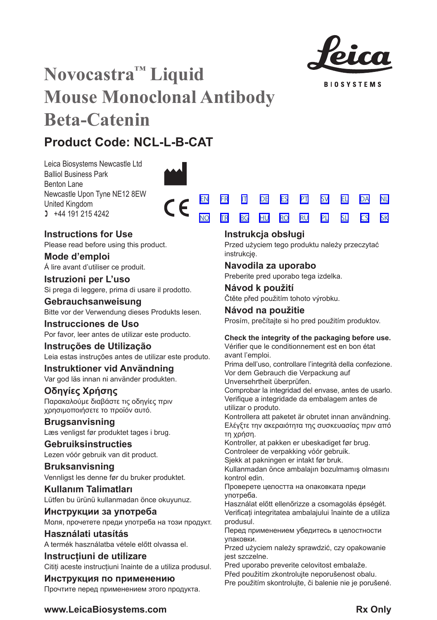

**BIOSYSTEMS** 

# **Novocastra™ Liquid Mouse Monoclonal Antibody Beta-Catenin**

# **Product Code: NCL-L-B-CAT**

Leica Biosystems Newcastle Ltd Balliol Business Park Benton Lane Newcastle Upon Tyne NE12 8EW United Kingdom  $1 +44 191 215 4242$ 



**Instructions for Use**

Please read before using this product.

**Mode d'emploi** Á lire avant d'utiliser ce produit.

**Istruzioni per L'uso** Si prega di leggere, prima di usare il prodotto.

# **Gebrauchsanweisung** Bitte vor der Verwendung dieses Produkts lesen.

**Instrucciones de Uso** Por favor, leer antes de utilizar este producto.

# **Instruções de Utilização** Leia estas instruções antes de utilizar este produto.

**Instruktioner vid Användning** Var god läs innan ni använder produkten.

**Οδηγίες Χρήσης** Παρακαλούμε διαβάστε τις οδηγίες πριν

χρησιμοποιήσετε το προϊόν αυτό.

**Brugsanvisning** Læs venligst før produktet tages i brug.

# **Gebruiksinstructies** Lezen vóór gebruik van dit product.

**Bruksanvisning** Vennligst les denne før du bruker produktet.

**Kullanım Talimatları** Lütfen bu ürünü kullanmadan önce okuyunuz.

**Инструкции за употреба** Моля, прочетете преди употреба на този продукт.

**Használati utasítás** A termék használatba vétele előtt olvassa el.

**Instrucțiuni de utilizare** Citiți aceste instrucțiuni înainte de a utiliza produsul.

# **Инструкция по применению**

Прочтите перед применением этого продукта.

|  |  | EN FR IT DE ES PT SV EL DA NL        |  |  |
|--|--|--------------------------------------|--|--|
|  |  | <u>NO TR BG HU RO RU PL SL CS SK</u> |  |  |

# **Instrukcja obsługi**

Przed użyciem tego produktu należy przeczytać instrukcję.

# **Navodila za uporabo**

Preberite pred uporabo tega izdelka.

**Návod k použití** Čtěte před použitím tohoto výrobku.

# **Návod na použitie** Prosím, prečítajte si ho pred použitím produktov.

# **Check the integrity of the packaging before use.**

Vérifier que le conditionnement est en bon état avant l'emploi.

Prima dell'uso, controllare l'integrità della confezione. Vor dem Gebrauch die Verpackung auf Unversehrtheit überprüfen.

Comprobar la integridad del envase, antes de usarlo. Verifique a integridade da embalagem antes de utilizar o produto.

Kontrollera att paketet är obrutet innan användning. Ελέγξτε την ακεραιότητα της συσκευασίας πριν από τη χρήση.

Kontroller, at pakken er ubeskadiget før brug.

Controleer de verpakking vóór gebruik.

Sjekk at pakningen er intakt før bruk. Kullanmadan önce ambalajın bozulmamış olmasını

kontrol edin.

Проверете целостта на опаковката преди употреба.

Használat előtt ellenőrizze a csomagolás épségét. Verificați integritatea ambalajului înainte de a utiliza produsul.

Перед применением убедитесь в целостности упаковки.

Przed użyciem należy sprawdzić, czy opakowanie jest szczelne.

Pred uporabo preverite celovitost embalaže.

Před použitím zkontroluite neporušenost obalu.

Pre použitím skontrolujte, či balenie nie je porušené.

# **www.LeicaBiosystems.com Rx** Only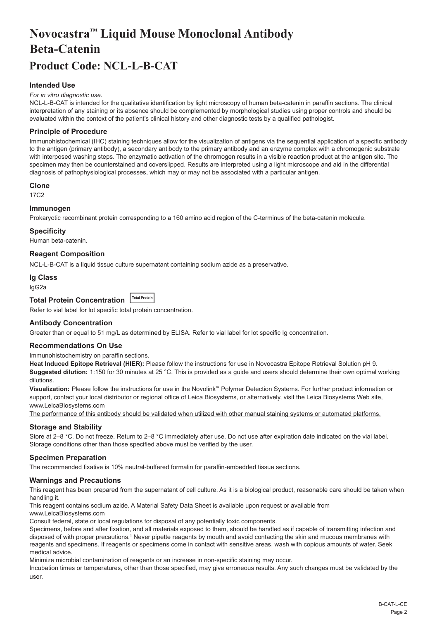# <span id="page-2-0"></span>**Novocastra™ Liquid Mouse Monoclonal Antibody Beta-Catenin Product Code: NCL-L-B-CAT**

# **Intended Use**

#### *For in vitro diagnostic use.*

NCL-L-B-CAT is intended for the qualitative identification by light microscopy of human beta-catenin in paraffin sections. The clinical interpretation of any staining or its absence should be complemented by morphological studies using proper controls and should be evaluated within the context of the patient's clinical history and other diagnostic tests by a qualified pathologist.

# **Principle of Procedure**

Immunohistochemical (IHC) staining techniques allow for the visualization of antigens via the sequential application of a specific antibody to the antigen (primary antibody), a secondary antibody to the primary antibody and an enzyme complex with a chromogenic substrate with interposed washing steps. The enzymatic activation of the chromogen results in a visible reaction product at the antigen site. The specimen may then be counterstained and coverslipped. Results are interpreted using a light microscope and aid in the differential diagnosis of pathophysiological processes, which may or may not be associated with a particular antigen.

#### **Clone**

17C2

# **Immunogen**

Prokaryotic recombinant protein corresponding to a 160 amino acid region of the C-terminus of the beta-catenin molecule.

#### **Specificity**

Human beta-catenin.

**Reagent Composition**

NCL-L-B-CAT is a liquid tissue culture supernatant containing sodium azide as a preservative.

### **Ig Class**

IgG2a

# **Total Protein Concentration Total Protein**

Refer to vial label for lot specific total protein concentration.

#### **Antibody Concentration**

Greater than or equal to 51 mg/L as determined by ELISA. Refer to vial label for lot specific Ig concentration.

# **Recommendations On Use**

Immunohistochemistry on paraffin sections.

**Heat Induced Epitope Retrieval (HIER):** Please follow the instructions for use in Novocastra Epitope Retrieval Solution pH 9. **Suggested dilution:** 1:150 for 30 minutes at 25 °C. This is provided as a guide and users should determine their own optimal working dilutions.

**Visualization:** Please follow the instructions for use in the Novolink™ Polymer Detection Systems. For further product information or support, contact your local distributor or regional office of Leica Biosystems, or alternatively, visit the Leica Biosystems Web site, www.LeicaBiosystems.com

The performance of this antibody should be validated when utilized with other manual staining systems or automated platforms.

# **Storage and Stability**

Store at 2–8 °C. Do not freeze. Return to 2–8 °C immediately after use. Do not use after expiration date indicated on the vial label. Storage conditions other than those specified above must be verified by the user.

#### **Specimen Preparation**

The recommended fixative is 10% neutral-buffered formalin for paraffin-embedded tissue sections.

#### **Warnings and Precautions**

This reagent has been prepared from the supernatant of cell culture. As it is a biological product, reasonable care should be taken when handling it.

This reagent contains sodium azide. A Material Safety Data Sheet is available upon request or available from

www.LeicaBiosystems.com

Consult federal, state or local regulations for disposal of any potentially toxic components.

Specimens, before and after fixation, and all materials exposed to them, should be handled as if capable of transmitting infection and disposed of with proper precautions.1 Never pipette reagents by mouth and avoid contacting the skin and mucous membranes with reagents and specimens. If reagents or specimens come in contact with sensitive areas, wash with copious amounts of water. Seek medical advice.

Minimize microbial contamination of reagents or an increase in non-specific staining may occur.

Incubation times or temperatures, other than those specified, may give erroneous results. Any such changes must be validated by the user.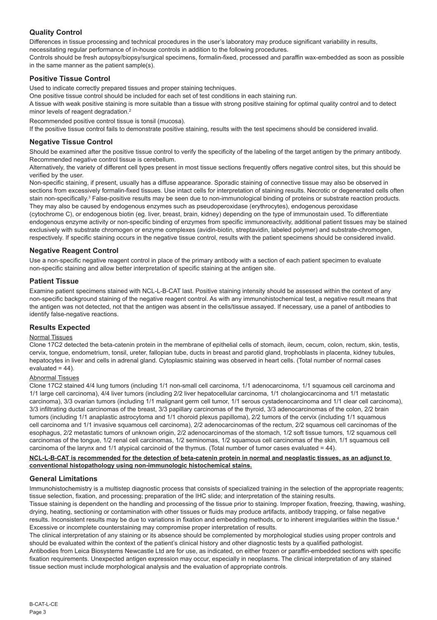# **Quality Control**

Differences in tissue processing and technical procedures in the user's laboratory may produce significant variability in results, necessitating regular performance of in-house controls in addition to the following procedures.

Controls should be fresh autopsy/biopsy/surgical specimens, formalin-fixed, processed and paraffin wax-embedded as soon as possible in the same manner as the patient sample(s).

# **Positive Tissue Control**

Used to indicate correctly prepared tissues and proper staining techniques.

One positive tissue control should be included for each set of test conditions in each staining run.

A tissue with weak positive staining is more suitable than a tissue with strong positive staining for optimal quality control and to detect minor levels of reagent degradation.<sup>2</sup>

Recommended positive control tissue is tonsil (mucosa).

If the positive tissue control fails to demonstrate positive staining, results with the test specimens should be considered invalid.

# **Negative Tissue Control**

Should be examined after the positive tissue control to verify the specificity of the labeling of the target antigen by the primary antibody. Recommended negative control tissue is cerebellum.

Alternatively, the variety of different cell types present in most tissue sections frequently offers negative control sites, but this should be verified by the user.

Non-specific staining, if present, usually has a diffuse appearance. Sporadic staining of connective tissue may also be observed in sections from excessively formalin-fixed tissues. Use intact cells for interpretation of staining results. Necrotic or degenerated cells often stain non-specifically.<sup>3</sup> False-positive results may be seen due to non-immunological binding of proteins or substrate reaction products. They may also be caused by endogenous enzymes such as pseudoperoxidase (erythrocytes), endogenous peroxidase

(cytochrome C), or endogenous biotin (eg. liver, breast, brain, kidney) depending on the type of immunostain used. To differentiate endogenous enzyme activity or non-specific binding of enzymes from specific immunoreactivity, additional patient tissues may be stained exclusively with substrate chromogen or enzyme complexes (avidin-biotin, streptavidin, labeled polymer) and substrate-chromogen, respectively. If specific staining occurs in the negative tissue control, results with the patient specimens should be considered invalid.

# **Negative Reagent Control**

Use a non-specific negative reagent control in place of the primary antibody with a section of each patient specimen to evaluate non-specific staining and allow better interpretation of specific staining at the antigen site.

# **Patient Tissue**

Examine patient specimens stained with NCL-L-B-CAT last. Positive staining intensity should be assessed within the context of any non-specific background staining of the negative reagent control. As with any immunohistochemical test, a negative result means that the antigen was not detected, not that the antigen was absent in the cells/tissue assayed. If necessary, use a panel of antibodies to identify false-negative reactions.

# **Results Expected**

# Normal Tissues

Clone 17C2 detected the beta-catenin protein in the membrane of epithelial cells of stomach, ileum, cecum, colon, rectum, skin, testis, cervix, tongue, endometrium, tonsil, ureter, fallopian tube, ducts in breast and parotid gland, trophoblasts in placenta, kidney tubules, hepatocytes in liver and cells in adrenal gland. Cytoplasmic staining was observed in heart cells. (Total number of normal cases evaluated =  $44$ ).

#### Abnormal Tissues

Clone 17C2 stained 4/4 lung tumors (including 1/1 non-small cell carcinoma, 1/1 adenocarcinoma, 1/1 squamous cell carcinoma and 1/1 large cell carcinoma), 4/4 liver tumors (including 2/2 liver hepatocellular carcinoma, 1/1 cholangiocarcinoma and 1/1 metastatic carcinoma), 3/3 ovarian tumors (including 1/1 malignant germ cell tumor, 1/1 serous cystadenocarcinoma and 1/1 clear cell carcinoma), 3/3 infiltrating ductal carcinomas of the breast, 3/3 papillary carcinomas of the thyroid, 3/3 adenocarcinomas of the colon, 2/2 brain tumors (including 1/1 anaplastic astrocytoma and 1/1 choroid plexus papilloma), 2/2 tumors of the cervix (including 1/1 squamous cell carcinoma and 1/1 invasive squamous cell carcinoma), 2/2 adenocarcinomas of the rectum, 2/2 squamous cell carcinomas of the esophagus, 2/2 metastatic tumors of unknown origin, 2/2 adenocarcinomas of the stomach, 1/2 soft tissue tumors, 1/2 squamous cell carcinomas of the tongue, 1/2 renal cell carcinomas, 1/2 seminomas, 1/2 squamous cell carcinomas of the skin, 1/1 squamous cell carcinoma of the larynx and 1/1 atypical carcinoid of the thymus. (Total number of tumor cases evaluated = 44).

# **NCL-L-B-CAT is recommended for the detection of beta-catenin protein in normal and neoplastic tissues, as an adjunct to conventional histopathology using non-immunologic histochemical stains.**

# **General Limitations**

Immunohistochemistry is a multistep diagnostic process that consists of specialized training in the selection of the appropriate reagents; tissue selection, fixation, and processing; preparation of the IHC slide; and interpretation of the staining results.

Tissue staining is dependent on the handling and processing of the tissue prior to staining. Improper fixation, freezing, thawing, washing, drying, heating, sectioning or contamination with other tissues or fluids may produce artifacts, antibody trapping, or false negative results. Inconsistent results may be due to variations in fixation and embedding methods, or to inherent irregularities within the tissue.<sup>4</sup> Excessive or incomplete counterstaining may compromise proper interpretation of results.

The clinical interpretation of any staining or its absence should be complemented by morphological studies using proper controls and should be evaluated within the context of the patient's clinical history and other diagnostic tests by a qualified pathologist. Antibodies from Leica Biosystems Newcastle Ltd are for use, as indicated, on either frozen or paraffin-embedded sections with specific fixation requirements. Unexpected antigen expression may occur, especially in neoplasms. The clinical interpretation of any stained tissue section must include morphological analysis and the evaluation of appropriate controls.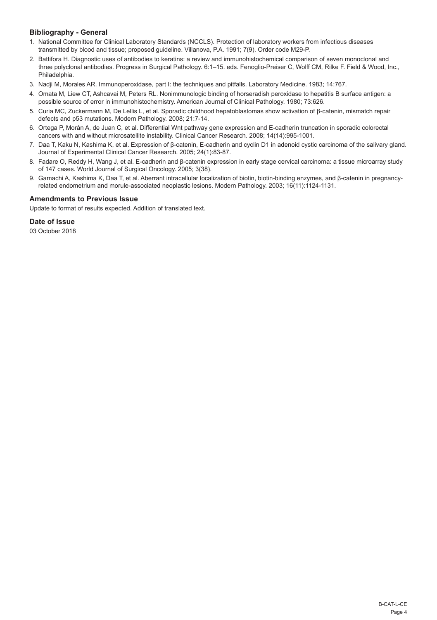# **Bibliography - General**

- 1. National Committee for Clinical Laboratory Standards (NCCLS). Protection of laboratory workers from infectious diseases transmitted by blood and tissue; proposed guideline. Villanova, P.A. 1991; 7(9). Order code M29-P.
- 2. Battifora H. Diagnostic uses of antibodies to keratins: a review and immunohistochemical comparison of seven monoclonal and three polyclonal antibodies. Progress in Surgical Pathology. 6:1–15. eds. Fenoglio-Preiser C, Wolff CM, Rilke F. Field & Wood, Inc., Philadelphia.
- 3. Nadji M, Morales AR. Immunoperoxidase, part I: the techniques and pitfalls. Laboratory Medicine. 1983; 14:767.
- 4. Omata M, Liew CT, Ashcavai M, Peters RL. Nonimmunologic binding of horseradish peroxidase to hepatitis B surface antigen: a possible source of error in immunohistochemistry. American Journal of Clinical Pathology. 1980; 73:626.
- 5. Curia MC, Zuckermann M, De Lellis L, et al. Sporadic childhood hepatoblastomas show activation of β-catenin, mismatch repair defects and p53 mutations. Modern Pathology. 2008; 21:7-14.
- 6. Ortega P, Morán A, de Juan C, et al. Differential Wnt pathway gene expression and E-cadherin truncation in sporadic colorectal cancers with and without microsatellite instability. Clinical Cancer Research. 2008; 14(14):995-1001.
- 7. Daa T, Kaku N, Kashima K, et al. Expression of β-catenin, E-cadherin and cyclin D1 in adenoid cystic carcinoma of the salivary gland. Journal of Experimental Clinical Cancer Research. 2005; 24(1):83-87.
- 8. Fadare O, Reddy H, Wang J, et al. E-cadherin and β-catenin expression in early stage cervical carcinoma: a tissue microarray study of 147 cases. World Journal of Surgical Oncology. 2005; 3(38).
- 9. Gamachi A, Kashima K, Daa T, et al. Aberrant intracellular localization of biotin, biotin-binding enzymes, and β-catenin in pregnancyrelated endometrium and morule-associated neoplastic lesions. Modern Pathology. 2003; 16(11):1124-1131.

# **Amendments to Previous Issue**

Update to format of results expected. Addition of translated text.

# **Date of Issue**

03 October 2018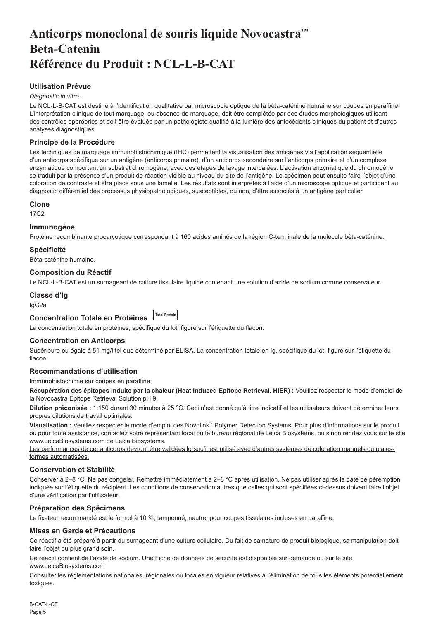# <span id="page-5-0"></span>**Anticorps monoclonal de souris liquide Novocastra™ Beta-Catenin Référence du Produit : NCL-L-B-CAT**

# **Utilisation Prévue**

#### *Diagnostic in vitro*.

Le NCL-L-B-CAT est destiné à l'identification qualitative par microscopie optique de la bêta-caténine humaine sur coupes en paraffine. L'interprétation clinique de tout marquage, ou absence de marquage, doit être complétée par des études morphologiques utilisant des contrôles appropriés et doit être évaluée par un pathologiste qualifié à la lumière des antécédents cliniques du patient et d'autres analyses diagnostiques.

# **Principe de la Procédure**

Les techniques de marquage immunohistochimique (IHC) permettent la visualisation des antigènes via l'application séquentielle d'un anticorps spécifique sur un antigène (anticorps primaire), d'un anticorps secondaire sur l'anticorps primaire et d'un complexe enzymatique comportant un substrat chromogène, avec des étapes de lavage intercalées. L'activation enzymatique du chromogène se traduit par la présence d'un produit de réaction visible au niveau du site de l'antigène. Le spécimen peut ensuite faire l'objet d'une coloration de contraste et être placé sous une lamelle. Les résultats sont interprétés à l'aide d'un microscope optique et participent au diagnostic différentiel des processus physiopathologiques, susceptibles, ou non, d'être associés à un antigène particulier.

#### **Clone**

17C2

# **Immunogène**

Protéine recombinante procaryotique correspondant à 160 acides aminés de la région C-terminale de la molécule bêta-caténine.

### **Spécificité**

Bêta-caténine humaine.

### **Composition du Réactif**

Le NCL-L-B-CAT est un surnageant de culture tissulaire liquide contenant une solution d'azide de sodium comme conservateur.

# **Classe d'Ig**

IgG2a

#### **Concentration Totale en Protéines Total Protein**

La concentration totale en protéines, spécifique du lot, figure sur l'étiquette du flacon.

# **Concentration en Anticorps**

Supérieure ou égale à 51 mg/l tel que déterminé par ELISA. La concentration totale en Ig, spécifique du lot, figure sur l'étiquette du flacon.

# **Recommandations d'utilisation**

Immunohistochimie sur coupes en paraffine.

**Récupération des épitopes induite par la chaleur (Heat Induced Epitope Retrieval, HIER) :** Veuillez respecter le mode d'emploi de la Novocastra Epitope Retrieval Solution pH 9.

**Dilution préconisée :** 1:150 durant 30 minutes à 25 °C. Ceci n'est donné qu'à titre indicatif et les utilisateurs doivent déterminer leurs propres dilutions de travail optimales.

**Visualisation :** Veuillez respecter le mode d'emploi des Novolink™ Polymer Detection Systems. Pour plus d'informations sur le produit ou pour toute assistance, contactez votre représentant local ou le bureau régional de Leica Biosystems, ou sinon rendez vous sur le site www.LeicaBiosystems.com de Leica Biosystems.

Les performances de cet anticorps devront être validées lorsqu'il est utilisé avec d'autres systèmes de coloration manuels ou platesformes automatisées.

# **Conservation et Stabilité**

Conserver à 2–8 °C. Ne pas congeler. Remettre immédiatement à 2–8 °C après utilisation. Ne pas utiliser après la date de péremption indiquée sur l'étiquette du récipient. Les conditions de conservation autres que celles qui sont spécifiées ci-dessus doivent faire l'objet d'une vérification par l'utilisateur.

# **Préparation des Spécimens**

Le fixateur recommandé est le formol à 10 %, tamponné, neutre, pour coupes tissulaires incluses en paraffine.

#### **Mises en Garde et Précautions**

Ce réactif a été préparé à partir du surnageant d'une culture cellulaire. Du fait de sa nature de produit biologique, sa manipulation doit faire l'objet du plus grand soin.

Ce réactif contient de l'azide de sodium. Une Fiche de données de sécurité est disponible sur demande ou sur le site www.LeicaBiosystems.com

Consulter les réglementations nationales, régionales ou locales en vigueur relatives à l'élimination de tous les éléments potentiellement toxiques.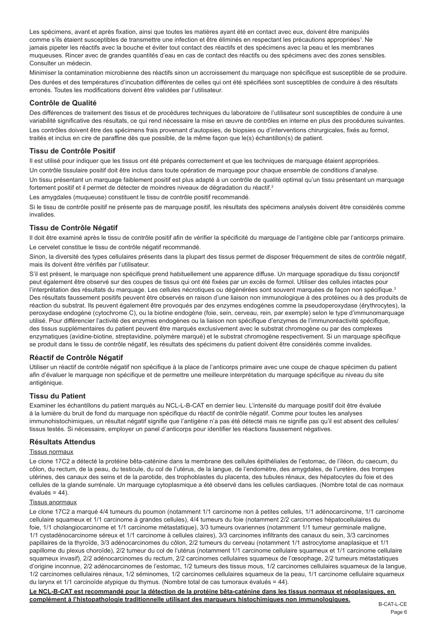Les spécimens, avant et après fixation, ainsi que toutes les matières ayant été en contact avec eux, doivent être manipulés comme s'ils étaient susceptibles de transmettre une infection et être éliminés en respectant les précautions appropriées<sup>1</sup>. Ne jamais pipeter les réactifs avec la bouche et éviter tout contact des réactifs et des spécimens avec la peau et les membranes muqueuses. Rincer avec de grandes quantités d'eau en cas de contact des réactifs ou des spécimens avec des zones sensibles. Consulter un médecin.

Minimiser la contamination microbienne des réactifs sinon un accroissement du marquage non spécifique est susceptible de se produire. Des durées et des températures d'incubation différentes de celles qui ont été spécifiées sont susceptibles de conduire à des résultats erronés. Toutes les modifications doivent être validées par l'utilisateur.

#### **Contrôle de Qualité**

Des différences de traitement des tissus et de procédures techniques du laboratoire de l'utilisateur sont susceptibles de conduire à une variabilité significative des résultats, ce qui rend nécessaire la mise en œuvre de contrôles en interne en plus des procédures suivantes.

Les contrôles doivent être des spécimens frais provenant d'autopsies, de biopsies ou d'interventions chirurgicales, fixés au formol, traités et inclus en cire de paraffine dès que possible, de la même façon que le(s) échantillon(s) de patient.

# **Tissu de Contrôle Positif**

Il est utilisé pour indiquer que les tissus ont été préparés correctement et que les techniques de marquage étaient appropriées.

Un contrôle tissulaire positif doit être inclus dans toute opération de marquage pour chaque ensemble de conditions d'analyse.

Un tissu présentant un marquage faiblement positif est plus adapté à un contrôle de qualité optimal qu'un tissu présentant un marquage fortement positif et il permet de détecter de moindres niveaux de dégradation du réactif.<sup>2</sup>

Les amygdales (muqueuse) constituent le tissu de contrôle positif recommandé.

Si le tissu de contrôle positif ne présente pas de marquage positif, les résultats des spécimens analysés doivent être considérés comme invalides.

# **Tissu de Contrôle Négatif**

Il doit être examiné après le tissu de contrôle positif afin de vérifier la spécificité du marquage de l'antigène cible par l'anticorps primaire. Le cervelet constitue le tissu de contrôle négatif recommandé.

Sinon, la diversité des types cellulaires présents dans la plupart des tissus permet de disposer fréquemment de sites de contrôle négatif, mais ils doivent être vérifiés par l'utilisateur.

S'il est présent, le marquage non spécifique prend habituellement une apparence diffuse. Un marquage sporadique du tissu conjonctif peut également être observé sur des coupes de tissus qui ont été fixées par un excès de formol. Utiliser des cellules intactes pour l'interprétation des résultats du marquage. Les cellules nécrotiques ou dégénérées sont souvent marquées de façon non spécifique.<sup>3</sup> Des résultats faussement positifs peuvent être observés en raison d'une liaison non immunologique à des protéines ou à des produits de réaction du substrat. Ils peuvent également être provoqués par des enzymes endogènes comme la pseudoperoxydase (érythrocytes), la peroxydase endogène (cytochrome C), ou la biotine endogène (foie, sein, cerveau, rein, par exemple) selon le type d'immunomarquage utilisé. Pour différencier l'activité des enzymes endogènes ou la liaison non spécifique d'enzymes de l'immunoréactivité spécifique, des tissus supplémentaires du patient peuvent être marqués exclusivement avec le substrat chromogène ou par des complexes enzymatiques (avidine-biotine, streptavidine, polymère marqué) et le substrat chromogène respectivement. Si un marquage spécifique se produit dans le tissu de contrôle négatif, les résultats des spécimens du patient doivent être considérés comme invalides.

# **Réactif de Contrôle Négatif**

Utiliser un réactif de contrôle négatif non spécifique à la place de l'anticorps primaire avec une coupe de chaque spécimen du patient afin d'évaluer le marquage non spécifique et de permettre une meilleure interprétation du marquage spécifique au niveau du site antigénique.

# **Tissu du Patient**

Examiner les échantillons du patient marqués au NCL-L-B-CAT en dernier lieu. L'intensité du marquage positif doit être évaluée à la lumière du bruit de fond du marquage non spécifique du réactif de contrôle négatif. Comme pour toutes les analyses immunohistochimiques, un résultat négatif signifie que l'antigène n'a pas été détecté mais ne signifie pas qu'il est absent des cellules/ tissus testés. Si nécessaire, employer un panel d'anticorps pour identifier les réactions faussement négatives.

#### **Résultats Attendus**

#### Tissus normaux

Le clone 17C2 a détecté la protéine bêta-caténine dans la membrane des cellules épithéliales de l'estomac, de l'iléon, du caecum, du côlon, du rectum, de la peau, du testicule, du col de l'utérus, de la langue, de l'endomètre, des amygdales, de l'uretère, des trompes utérines, des canaux des seins et de la parotide, des trophoblastes du placenta, des tubules rénaux, des hépatocytes du foie et des cellules de la glande surrénale. Un marquage cytoplasmique a été observé dans les cellules cardiaques. (Nombre total de cas normaux évalués =  $44$ ).

# Tissus anormaux

Le clone 17C2 a marqué 4/4 tumeurs du poumon (notamment 1/1 carcinome non à petites cellules, 1/1 adénocarcinome, 1/1 carcinome cellulaire squameux et 1/1 carcinome à grandes cellules), 4/4 tumeurs du foie (notamment 2/2 carcinomes hépatocellulaires du foie, 1/1 cholangiocarcinome et 1/1 carcinome métastatique), 3/3 tumeurs ovariennes (notamment 1/1 tumeur germinale maligne, 1/1 cystadénocarcinome séreux et 1/1 carcinome à cellules claires), 3/3 carcinomes infiltrants des canaux du sein, 3/3 carcinomes papillaires de la thyroïde, 3/3 adénocarcinomes du côlon, 2/2 tumeurs du cerveau (notamment 1/1 astrocytome anaplasique et 1/1 papillome du plexus choroïde), 2/2 tumeur du col de l'utérus (notamment 1/1 carcinome cellulaire squameux et 1/1 carcinome cellulaire squameux invasif), 2/2 adénocarcinomes du rectum, 2/2 carcinomes cellulaires squameux de l'œsophage, 2/2 tumeurs métastatiques d'origine inconnue, 2/2 adénocarcinomes de l'estomac, 1/2 tumeurs des tissus mous, 1/2 carcinomes cellulaires squameux de la langue, 1/2 carcinomes cellulaires rénaux, 1/2 séminomes, 1/2 carcinomes cellulaires squameux de la peau, 1/1 carcinome cellulaire squameux du larynx et 1/1 carcinoïde atypique du thymus. (Nombre total de cas tumoraux évalués = 44).

**Le NCL-B-CAT est recommandé pour la détection de la protéine bêta-caténine dans les tissus normaux et néoplasiques, en complément à l'histopathologie traditionnelle utilisant des marqueurs histochimiques non immunologiques.**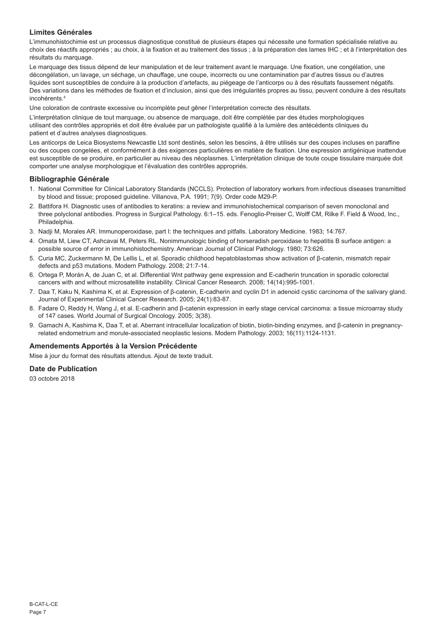# **Limites Générales**

L'immunohistochimie est un processus diagnostique constitué de plusieurs étapes qui nécessite une formation spécialisée relative au choix des réactifs appropriés ; au choix, à la fixation et au traitement des tissus ; à la préparation des lames IHC ; et à l'interprétation des résultats du marquage.

Le marquage des tissus dépend de leur manipulation et de leur traitement avant le marquage. Une fixation, une congélation, une décongélation, un lavage, un séchage, un chauffage, une coupe, incorrects ou une contamination par d'autres tissus ou d'autres liquides sont susceptibles de conduire à la production d'artefacts, au piégeage de l'anticorps ou à des résultats faussement négatifs. Des variations dans les méthodes de fixation et d'inclusion, ainsi que des irrégularités propres au tissu, peuvent conduire à des résultats incohérents.<sup>4</sup>

Une coloration de contraste excessive ou incomplète peut gêner l'interprétation correcte des résultats.

L'interprétation clinique de tout marquage, ou absence de marquage, doit être complétée par des études morphologiques utilisant des contrôles appropriés et doit être évaluée par un pathologiste qualifié à la lumière des antécédents cliniques du patient et d'autres analyses diagnostiques.

Les anticorps de Leica Biosystems Newcastle Ltd sont destinés, selon les besoins, à être utilisés sur des coupes incluses en paraffine ou des coupes congelées, et conformément à des exigences particulières en matière de fixation. Une expression antigénique inattendue est susceptible de se produire, en particulier au niveau des néoplasmes. L'interprétation clinique de toute coupe tissulaire marquée doit comporter une analyse morphologique et l'évaluation des contrôles appropriés.

### **Bibliographie Générale**

- 1. National Committee for Clinical Laboratory Standards (NCCLS). Protection of laboratory workers from infectious diseases transmitted by blood and tissue; proposed guideline. Villanova, P.A. 1991; 7(9). Order code M29-P.
- 2. Battifora H. Diagnostic uses of antibodies to keratins: a review and immunohistochemical comparison of seven monoclonal and three polyclonal antibodies. Progress in Surgical Pathology. 6:1–15. eds. Fenoglio-Preiser C, Wolff CM, Rilke F. Field & Wood, Inc., Philadelphia.
- 3. Nadji M, Morales AR. Immunoperoxidase, part I: the techniques and pitfalls. Laboratory Medicine. 1983; 14:767.
- 4. Omata M, Liew CT, Ashcavai M, Peters RL. Nonimmunologic binding of horseradish peroxidase to hepatitis B surface antigen: a possible source of error in immunohistochemistry. American Journal of Clinical Pathology. 1980; 73:626.
- 5. Curia MC, Zuckermann M, De Lellis L, et al. Sporadic childhood hepatoblastomas show activation of β-catenin, mismatch repair defects and p53 mutations. Modern Pathology. 2008; 21:7-14.
- 6. Ortega P, Morán A, de Juan C, et al. Differential Wnt pathway gene expression and E-cadherin truncation in sporadic colorectal cancers with and without microsatellite instability. Clinical Cancer Research. 2008; 14(14):995-1001.
- 7. Daa T, Kaku N, Kashima K, et al. Expression of β-catenin, E-cadherin and cyclin D1 in adenoid cystic carcinoma of the salivary gland. Journal of Experimental Clinical Cancer Research. 2005; 24(1):83-87.
- 8. Fadare O, Reddy H, Wang J, et al. E-cadherin and β-catenin expression in early stage cervical carcinoma: a tissue microarray study of 147 cases. World Journal of Surgical Oncology. 2005; 3(38).
- 9. Gamachi A, Kashima K, Daa T, et al. Aberrant intracellular localization of biotin, biotin-binding enzymes, and β-catenin in pregnancyrelated endometrium and morule-associated neoplastic lesions. Modern Pathology. 2003; 16(11):1124-1131.

# **Amendements Apportés à la Version Précédente**

Mise à jour du format des résultats attendus. Ajout de texte traduit.

# **Date de Publication**

03 octobre 2018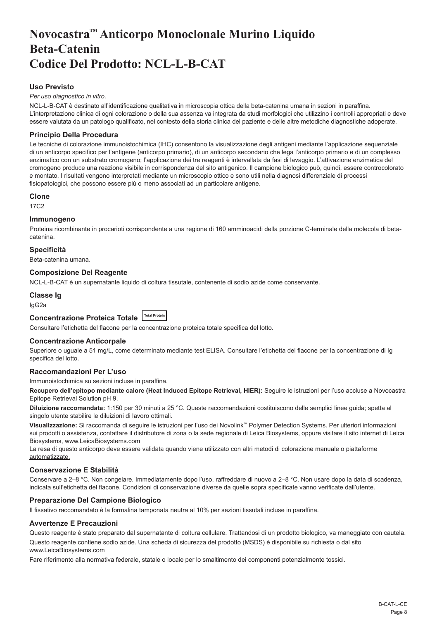# <span id="page-8-0"></span>**Novocastra™ Anticorpo Monoclonale Murino Liquido Beta-Catenin Codice Del Prodotto: NCL-L-B-CAT**

# **Uso Previsto**

#### *Per uso diagnostico in vitro*.

NCL-L-B-CAT è destinato all'identificazione qualitativa in microscopia ottica della beta-catenina umana in sezioni in paraffina. L'interpretazione clinica di ogni colorazione o della sua assenza va integrata da studi morfologici che utilizzino i controlli appropriati e deve essere valutata da un patologo qualificato, nel contesto della storia clinica del paziente e delle altre metodiche diagnostiche adoperate.

# **Principio Della Procedura**

Le tecniche di colorazione immunoistochimica (IHC) consentono la visualizzazione degli antigeni mediante l'applicazione sequenziale di un anticorpo specifico per l'antigene (anticorpo primario), di un anticorpo secondario che lega l'anticorpo primario e di un complesso enzimatico con un substrato cromogeno; l'applicazione dei tre reagenti è intervallata da fasi di lavaggio. L'attivazione enzimatica del cromogeno produce una reazione visibile in corrispondenza del sito antigenico. Il campione biologico può, quindi, essere controcolorato e montato. I risultati vengono interpretati mediante un microscopio ottico e sono utili nella diagnosi differenziale di processi fisiopatologici, che possono essere più o meno associati ad un particolare antigene.

#### **Clone**

17C2

### **Immunogeno**

Proteina ricombinante in procarioti corrispondente a una regione di 160 amminoacidi della porzione C-terminale della molecola di betacatenina.

### **Specificità**

Beta-catenina umana.

### **Composizione Del Reagente**

NCL-L-B-CAT è un supernatante liquido di coltura tissutale, contenente di sodio azide come conservante.

# **Classe Ig**

IgG2a

# **Concentrazione Proteica Totale Total Protein**

Consultare l'etichetta del flacone per la concentrazione proteica totale specifica del lotto.

# **Concentrazione Anticorpale**

Superiore o uguale a 51 mg/L, come determinato mediante test ELISA. Consultare l'etichetta del flacone per la concentrazione di Ig specifica del lotto.

# **Raccomandazioni Per L'uso**

Immunoistochimica su sezioni incluse in paraffina.

**Recupero dell'epitopo mediante calore (Heat Induced Epitope Retrieval, HIER):** Seguire le istruzioni per l'uso accluse a Novocastra Epitope Retrieval Solution pH 9.

**Diluizione raccomandata:** 1:150 per 30 minuti a 25 °C. Queste raccomandazioni costituiscono delle semplici linee guida; spetta al singolo utente stabilire le diluizioni di lavoro ottimali.

**Visualizzazione:** Si raccomanda di seguire le istruzioni per l'uso dei Novolink™ Polymer Detection Systems. Per ulteriori informazioni sui prodotti o assistenza, contattare il distributore di zona o la sede regionale di Leica Biosystems, oppure visitare il sito internet di Leica Biosystems, www.LeicaBiosystems.com

La resa di questo anticorpo deve essere validata quando viene utilizzato con altri metodi di colorazione manuale o piattaforme automatizzate.

# **Conservazione E Stabilità**

Conservare a 2–8 °C. Non congelare. Immediatamente dopo l'uso, raffreddare di nuovo a 2–8 °C. Non usare dopo la data di scadenza, indicata sull'etichetta del flacone. Condizioni di conservazione diverse da quelle sopra specificate vanno verificate dall'utente.

# **Preparazione Del Campione Biologico**

Il fissativo raccomandato è la formalina tamponata neutra al 10% per sezioni tissutali incluse in paraffina.

#### **Avvertenze E Precauzioni**

Questo reagente è stato preparato dal supernatante di coltura cellulare. Trattandosi di un prodotto biologico, va maneggiato con cautela.

Questo reagente contiene sodio azide. Una scheda di sicurezza del prodotto (MSDS) è disponibile su richiesta o dal sito www.LeicaBiosystems.com

Fare riferimento alla normativa federale, statale o locale per lo smaltimento dei componenti potenzialmente tossici.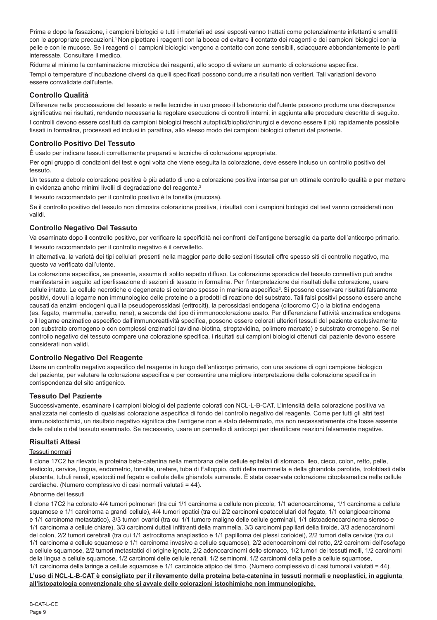Prima e dopo la fissazione, i campioni biologici e tutti i materiali ad essi esposti vanno trattati come potenzialmente infettanti e smaltiti con le appropriate precauzioni.<sup>1</sup> Non pipettare i reagenti con la bocca ed evitare il contatto dei reagenti e dei campioni biologici con la pelle e con le mucose. Se i reagenti o i campioni biologici vengono a contatto con zone sensibili, sciacquare abbondantemente le parti interessate. Consultare il medico.

Ridurre al minimo la contaminazione microbica dei reagenti, allo scopo di evitare un aumento di colorazione aspecifica. Tempi o temperature d'incubazione diversi da quelli specificati possono condurre a risultati non veritieri. Tali variazioni devono essere convalidate dall'utente.

# **Controllo Qualità**

Differenze nella processazione del tessuto e nelle tecniche in uso presso il laboratorio dell'utente possono produrre una discrepanza significativa nei risultati, rendendo necessaria la regolare esecuzione di controlli interni, in aggiunta alle procedure descritte di seguito.

I controlli devono essere costituiti da campioni biologici freschi autoptici/bioptici/chirurgici e devono essere il più rapidamente possibile fissati in formalina, processati ed inclusi in paraffina, allo stesso modo dei campioni biologici ottenuti dal paziente.

# **Controllo Positivo Del Tessuto**

È usato per indicare tessuti correttamente preparati e tecniche di colorazione appropriate.

Per ogni gruppo di condizioni del test e ogni volta che viene eseguita la colorazione, deve essere incluso un controllo positivo del tessuto.

Un tessuto a debole colorazione positiva è più adatto di uno a colorazione positiva intensa per un ottimale controllo qualità e per mettere in evidenza anche minimi livelli di degradazione del reagente.<sup>2</sup>

Il tessuto raccomandato per il controllo positivo è la tonsilla (mucosa).

Se il controllo positivo del tessuto non dimostra colorazione positiva, i risultati con i campioni biologici del test vanno considerati non validi.

# **Controllo Negativo Del Tessuto**

Va esaminato dopo il controllo positivo, per verificare la specificità nei confronti dell'antigene bersaglio da parte dell'anticorpo primario. Il tessuto raccomandato per il controllo negativo è il cervelletto.

In alternativa, la varietà dei tipi cellulari presenti nella maggior parte delle sezioni tissutali offre spesso siti di controllo negativo, ma questo va verificato dall'utente.

La colorazione aspecifica, se presente, assume di solito aspetto diffuso. La colorazione sporadica del tessuto connettivo può anche manifestarsi in seguito ad iperfissazione di sezioni di tessuto in formalina. Per l'interpretazione dei risultati della colorazione, usare cellule intatte. Le cellule necrotiche o degenerate si colorano spesso in maniera aspecifica<sup>3</sup>. Si possono osservare risultati falsamente positivi, dovuti a legame non immunologico delle proteine o a prodotti di reazione del substrato. Tali falsi positivi possono essere anche causati da enzimi endogeni quali la pseudoperossidasi (eritrociti), la perossidasi endogena (citocromo C) o la biotina endogena (es. fegato, mammella, cervello, rene), a seconda del tipo di immunocolorazione usato. Per differenziare l'attività enzimatica endogena o il legame enzimatico aspecifico dall'immunoreattività specifica, possono essere colorati ulteriori tessuti del paziente esclusivamente con substrato cromogeno o con complessi enzimatici (avidina-biotina, streptavidina, polimero marcato) e substrato cromogeno. Se nel controllo negativo del tessuto compare una colorazione specifica, i risultati sui campioni biologici ottenuti dal paziente devono essere considerati non validi.

# **Controllo Negativo Del Reagente**

Usare un controllo negativo aspecifico del reagente in luogo dell'anticorpo primario, con una sezione di ogni campione biologico del paziente, per valutare la colorazione aspecifica e per consentire una migliore interpretazione della colorazione specifica in corrispondenza del sito antigenico.

# **Tessuto Del Paziente**

Successivamente, esaminare i campioni biologici del paziente colorati con NCL-L-B-CAT. L'intensità della colorazione positiva va analizzata nel contesto di qualsiasi colorazione aspecifica di fondo del controllo negativo del reagente. Come per tutti gli altri test immunoistochimici, un risultato negativo significa che l'antigene non è stato determinato, ma non necessariamente che fosse assente dalle cellule o dal tessuto esaminato. Se necessario, usare un pannello di anticorpi per identificare reazioni falsamente negative.

# **Risultati Attesi**

#### Tessuti normali

Il clone 17C2 ha rilevato la proteina beta-catenina nella membrana delle cellule epiteliali di stomaco, ileo, cieco, colon, retto, pelle, testicolo, cervice, lingua, endometrio, tonsilla, uretere, tuba di Falloppio, dotti della mammella e della ghiandola parotide, trofoblasti della placenta, tubuli renali, epatociti nel fegato e cellule della ghiandola surrenale. È stata osservata colorazione citoplasmatica nelle cellule cardiache. (Numero complessivo di casi normali valutati = 44).

#### Abnorme dei tessuti

Il clone 17C2 ha colorato 4/4 tumori polmonari (tra cui 1/1 carcinoma a cellule non piccole, 1/1 adenocarcinoma, 1/1 carcinoma a cellule squamose e 1/1 carcinoma a grandi cellule), 4/4 tumori epatici (tra cui 2/2 carcinomi epatocellulari del fegato, 1/1 colangiocarcinoma e 1/1 carcinoma metastatico), 3/3 tumori ovarici (tra cui 1/1 tumore maligno delle cellule germinali, 1/1 cistoadenocarcinoma sieroso e 1/1 carcinoma a cellule chiare), 3/3 carcinomi duttali infiltranti della mammella, 3/3 carcinomi papillari della tiroide, 3/3 adenocarcinomi del colon, 2/2 tumori cerebrali (tra cui 1/1 astrocitoma anaplastico e 1/1 papilloma dei plessi corioidei), 2/2 tumori della cervice (tra cui 1/1 carcinoma a cellule squamose e 1/1 carcinoma invasivo a cellule squamose), 2/2 adenocarcinomi del retto, 2/2 carcinomi dell'esofago a cellule squamose, 2/2 tumori metastatici di origine ignota, 2/2 adenocarcinomi dello stomaco, 1/2 tumori dei tessuti molli, 1/2 carcinomi della lingua a cellule squamose, 1/2 carcinomi delle cellule renali, 1/2 seminomi, 1/2 carcinomi della pelle a cellule squamose, 1/1 carcinoma della laringe a cellule squamose e 1/1 carcinoide atipico del timo. (Numero complessivo di casi tumorali valutati = 44).

**L'uso di NCL-L-B-CAT è consigliato per il rilevamento della proteina beta-catenina in tessuti normali e neoplastici, in aggiunta all'istopatologia convenzionale che si avvale delle colorazioni istochimiche non immunologiche.**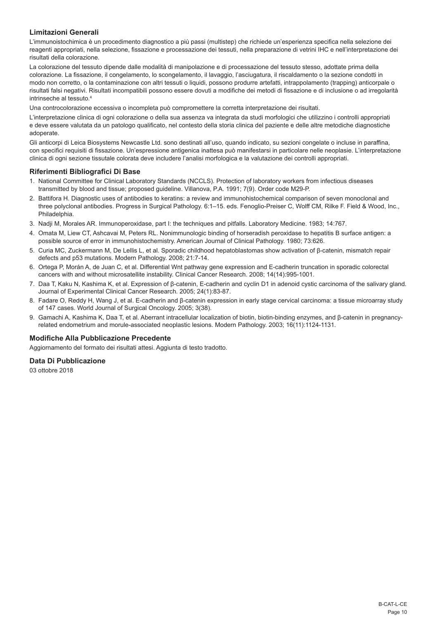# **Limitazioni Generali**

L'immunoistochimica è un procedimento diagnostico a più passi (multistep) che richiede un'esperienza specifica nella selezione dei reagenti appropriati, nella selezione, fissazione e processazione dei tessuti, nella preparazione di vetrini IHC e nell'interpretazione dei risultati della colorazione.

La colorazione del tessuto dipende dalle modalità di manipolazione e di processazione del tessuto stesso, adottate prima della colorazione. La fissazione, il congelamento, lo scongelamento, il lavaggio, l'asciugatura, il riscaldamento o la sezione condotti in modo non corretto, o la contaminazione con altri tessuti o liquidi, possono produrre artefatti, intrappolamento (trapping) anticorpale o risultati falsi negativi. Risultati incompatibili possono essere dovuti a modifiche dei metodi di fissazione e di inclusione o ad irregolarità intrinseche al tessuto.<sup>4</sup>

Una controcolorazione eccessiva o incompleta può compromettere la corretta interpretazione dei risultati.

L'interpretazione clinica di ogni colorazione o della sua assenza va integrata da studi morfologici che utilizzino i controlli appropriati e deve essere valutata da un patologo qualificato, nel contesto della storia clinica del paziente e delle altre metodiche diagnostiche adoperate.

Gli anticorpi di Leica Biosystems Newcastle Ltd. sono destinati all'uso, quando indicato, su sezioni congelate o incluse in paraffina, con specifici requisiti di fissazione. Un'espressione antigenica inattesa può manifestarsi in particolare nelle neoplasie. L'interpretazione clinica di ogni sezione tissutale colorata deve includere l'analisi morfologica e la valutazione dei controlli appropriati.

### **Riferimenti Bibliografici Di Base**

- 1. National Committee for Clinical Laboratory Standards (NCCLS). Protection of laboratory workers from infectious diseases transmitted by blood and tissue; proposed guideline. Villanova, P.A. 1991; 7(9). Order code M29-P.
- 2. Battifora H. Diagnostic uses of antibodies to keratins: a review and immunohistochemical comparison of seven monoclonal and three polyclonal antibodies. Progress in Surgical Pathology. 6:1–15. eds. Fenoglio-Preiser C, Wolff CM, Rilke F. Field & Wood, Inc., Philadelphia.
- 3. Nadji M, Morales AR. Immunoperoxidase, part I: the techniques and pitfalls. Laboratory Medicine. 1983; 14:767.
- 4. Omata M, Liew CT, Ashcavai M, Peters RL. Nonimmunologic binding of horseradish peroxidase to hepatitis B surface antigen: a possible source of error in immunohistochemistry. American Journal of Clinical Pathology. 1980; 73:626.
- 5. Curia MC, Zuckermann M, De Lellis L, et al. Sporadic childhood hepatoblastomas show activation of β-catenin, mismatch repair defects and p53 mutations. Modern Pathology. 2008; 21:7-14.
- 6. Ortega P, Morán A, de Juan C, et al. Differential Wnt pathway gene expression and E-cadherin truncation in sporadic colorectal cancers with and without microsatellite instability. Clinical Cancer Research. 2008; 14(14):995-1001.
- 7. Daa T, Kaku N, Kashima K, et al. Expression of β-catenin, E-cadherin and cyclin D1 in adenoid cystic carcinoma of the salivary gland. Journal of Experimental Clinical Cancer Research. 2005; 24(1):83-87.
- 8. Fadare O, Reddy H, Wang J, et al. E-cadherin and β-catenin expression in early stage cervical carcinoma: a tissue microarray study of 147 cases. World Journal of Surgical Oncology. 2005; 3(38).
- 9. Gamachi A, Kashima K, Daa T, et al. Aberrant intracellular localization of biotin, biotin-binding enzymes, and β-catenin in pregnancyrelated endometrium and morule-associated neoplastic lesions. Modern Pathology. 2003; 16(11):1124-1131.

# **Modifiche Alla Pubblicazione Precedente**

Aggiornamento del formato dei risultati attesi. Aggiunta di testo tradotto.

### **Data Di Pubblicazione**

03 ottobre 2018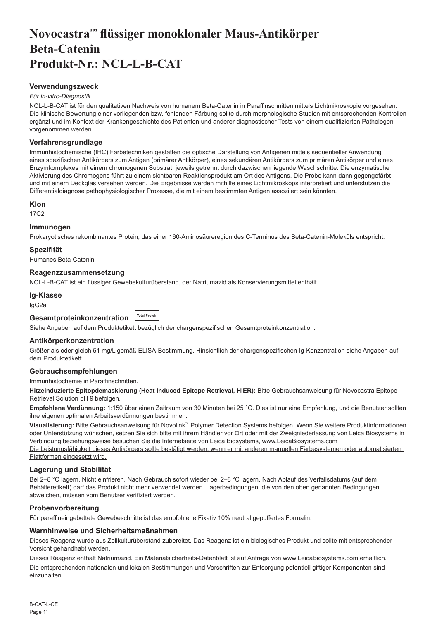# <span id="page-11-0"></span>**Novocastra™ flüssiger monoklonaler Maus-Antikörper Beta-Catenin Produkt-Nr.: NCL-L-B-CAT**

# **Verwendungszweck**

#### *Für in-vitro-Diagnostik*.

NCL-L-B-CAT ist für den qualitativen Nachweis von humanem Beta-Catenin in Paraffinschnitten mittels Lichtmikroskopie vorgesehen. Die klinische Bewertung einer vorliegenden bzw. fehlenden Färbung sollte durch morphologische Studien mit entsprechenden Kontrollen ergänzt und im Kontext der Krankengeschichte des Patienten und anderer diagnostischer Tests von einem qualifizierten Pathologen vorgenommen werden.

#### **Verfahrensgrundlage**

Immunhistochemische (IHC) Färbetechniken gestatten die optische Darstellung von Antigenen mittels sequentieller Anwendung eines spezifischen Antikörpers zum Antigen (primärer Antikörper), eines sekundären Antikörpers zum primären Antikörper und eines Enzymkomplexes mit einem chromogenen Substrat, jeweils getrennt durch dazwischen liegende Waschschritte. Die enzymatische Aktivierung des Chromogens führt zu einem sichtbaren Reaktionsprodukt am Ort des Antigens. Die Probe kann dann gegengefärbt und mit einem Deckglas versehen werden. Die Ergebnisse werden mithilfe eines Lichtmikroskops interpretiert und unterstützen die Differentialdiagnose pathophysiologischer Prozesse, die mit einem bestimmten Antigen assoziiert sein könnten.

#### **Klon**

17C2

# **Immunogen**

Prokaryotisches rekombinantes Protein, das einer 160-Aminosäureregion des C-Terminus des Beta-Catenin-Moleküls entspricht.

### **Spezifität**

Humanes Beta-Catenin

#### **Reagenzzusammensetzung**

NCL-L-B-CAT ist ein flüssiger Gewebekulturüberstand, der Natriumazid als Konservierungsmittel enthält.

# **Ig-Klasse**

IgG2a

| Gesamtproteinkonzentration | <b>Total Protein</b> |
|----------------------------|----------------------|
|                            |                      |

Siehe Angaben auf dem Produktetikett bezüglich der chargenspezifischen Gesamtproteinkonzentration.

# **Antikörperkonzentration**

Größer als oder gleich 51 mg/L gemäß ELISA-Bestimmung. Hinsichtlich der chargenspezifischen Ig-Konzentration siehe Angaben auf dem Produktetikett.

# **Gebrauchsempfehlungen**

Immunhistochemie in Paraffinschnitten.

**Hitzeinduzierte Epitopdemaskierung (Heat Induced Epitope Retrieval, HIER):** Bitte Gebrauchsanweisung für Novocastra Epitope Retrieval Solution pH 9 befolgen.

**Empfohlene Verdünnung:** 1:150 über einen Zeitraum von 30 Minuten bei 25 °C. Dies ist nur eine Empfehlung, und die Benutzer sollten ihre eigenen optimalen Arbeitsverdünnungen bestimmen.

**Visualisierung:** Bitte Gebrauchsanweisung für Novolink™ Polymer Detection Systems befolgen. Wenn Sie weitere Produktinformationen oder Unterstützung wünschen, setzen Sie sich bitte mit ihrem Händler vor Ort oder mit der Zweigniederlassung von Leica Biosystems in Verbindung beziehungsweise besuchen Sie die Internetseite von Leica Biosystems, www.LeicaBiosystems.com

Die Leistungsfähigkeit dieses Antikörpers sollte bestätigt werden, wenn er mit anderen manuellen Färbesystemen oder automatisierten Plattformen eingesetzt wird.

# **Lagerung und Stabilität**

Bei 2–8 °C lagern. Nicht einfrieren. Nach Gebrauch sofort wieder bei 2–8 °C lagern. Nach Ablauf des Verfallsdatums (auf dem Behälteretikett) darf das Produkt nicht mehr verwendet werden. Lagerbedingungen, die von den oben genannten Bedingungen abweichen, müssen vom Benutzer verifiziert werden.

# **Probenvorbereitung**

Für paraffineingebettete Gewebeschnitte ist das empfohlene Fixativ 10% neutral gepuffertes Formalin.

#### **Warnhinweise und Sicherheitsmaßnahmen**

Dieses Reagenz wurde aus Zellkulturüberstand zubereitet. Das Reagenz ist ein biologisches Produkt und sollte mit entsprechender Vorsicht gehandhabt werden.

Dieses Reagenz enthält Natriumazid. Ein Materialsicherheits-Datenblatt ist auf Anfrage von www.LeicaBiosystems.com erhältlich.

Die entsprechenden nationalen und lokalen Bestimmungen und Vorschriften zur Entsorgung potentiell giftiger Komponenten sind einzuhalten.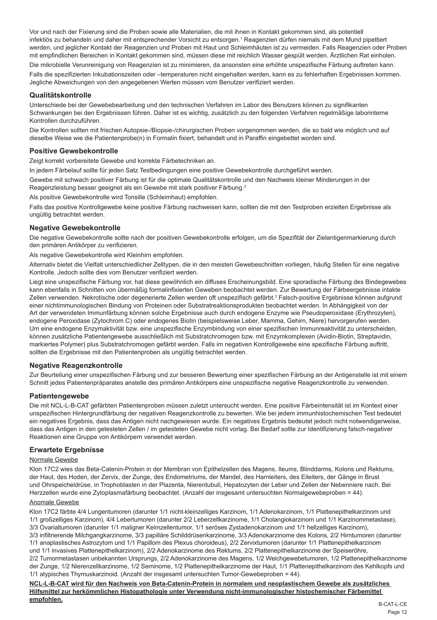Vor und nach der Fixierung sind die Proben sowie alle Materialien, die mit ihnen in Kontakt gekommen sind, als potentiell infektiös zu behandeln und daher mit entsprechender Vorsicht zu entsorgen.<sup>1</sup> Reagenzien dürfen niemals mit dem Mund pipettiert werden, und jeglicher Kontakt der Reagenzien und Proben mit Haut und Schleimhäuten ist zu vermeiden. Falls Reagenzien oder Proben mit empfindlichen Bereichen in Kontakt gekommen sind, müssen diese mit reichlich Wasser gespült werden. Ärztlichen Rat einholen.

Die mikrobielle Verunreinigung von Reagenzien ist zu minimieren, da ansonsten eine erhöhte unspezifische Färbung auftreten kann. Falls die spezifizierten Inkubationszeiten oder –temperaturen nicht eingehalten werden, kann es zu fehlerhaften Ergebnissen kommen. Jegliche Abweichungen von den angegebenen Werten müssen vom Benutzer verifiziert werden.

# **Qualitätskontrolle**

Unterschiede bei der Gewebebearbeitung und den technischen Verfahren im Labor des Benutzers können zu signifikanten Schwankungen bei den Ergebnissen führen. Daher ist es wichtig, zusätzlich zu den folgenden Verfahren regelmäßige laborinterne Kontrollen durchzuführen.

Die Kontrollen sollten mit frischen Autopsie-/Biopsie-/chirurgischen Proben vorgenommen werden, die so bald wie möglich und auf dieselbe Weise wie die Patientenprobe(n) in Formalin fixiert, behandelt und in Paraffin eingebettet worden sind.

# **Positive Gewebekontrolle**

Zeigt korrekt vorbereitete Gewebe und korrekte Färbetechniken an.

In jedem Färbelauf sollte für jeden Satz Testbedingungen eine positive Gewebekontrolle durchgeführt werden.

Gewebe mit schwach positiver Färbung ist für die optimale Qualitätskontrolle und den Nachweis kleiner Minderungen in der Reagenzleistung besser geeignet als ein Gewebe mit stark positiver Färbung.<sup>2</sup>

Als positive Gewebekontrolle wird Tonsille (Schleimhaut) empfohlen.

Falls das positive Kontrollgewebe keine positive Färbung nachweisen kann, sollten die mit den Testproben erzielten Ergebnisse als ungültig betrachtet werden.

# **Negative Gewebekontrolle**

Die negative Gewebekontrolle sollte nach der positiven Gewebekontrolle erfolgen, um die Spezifität der Zielantigenmarkierung durch den primären Antikörper zu verifizieren.

Als negative Gewebekontrolle wird Kleinhirn empfohlen.

Alternativ bietet die Vielfalt unterschiedlicher Zelltypen, die in den meisten Gewebeschnitten vorliegen, häufig Stellen für eine negative Kontrolle. Jedoch sollte dies vom Benutzer verifiziert werden.

Liegt eine unspezifische Färbung vor, hat diese gewöhnlich ein diffuses Erscheinungsbild. Eine sporadische Färbung des Bindegewebes kann ebenfalls in Schnitten von übermäßig formalinfixierten Geweben beobachtet werden. Zur Bewertung der Färbeergebnisse intakte Zellen verwenden. Nekrotische oder degenerierte Zellen werden oft unspezifisch gefärbt.<sup>3</sup> Falsch-positive Ergebnisse können aufgrund einer nichtimmunologischen Bindung von Proteinen oder Substratreaktionsprodukten beobachtet werden. In Abhängigkeit von der Art der verwendeten Immunfärbung können solche Ergebnisse auch durch endogene Enzyme wie Pseudoperoxidase (Erythrozyten), endogene Peroxidase (Zytochrom C) oder endogenes Biotin (beispielsweise Leber, Mamma, Gehirn, Niere) hervorgerufen werden. Um eine endogene Enzymaktivität bzw. eine unspezifische Enzymbindung von einer spezifischen Immunreaktivität zu unterscheiden, können zusätzliche Patientengewebe ausschließlich mit Substratchromogen bzw. mit Enzymkomplexen (Avidin-Biotin, Streptavidin, markiertes Polymer) plus Substratchromogen gefärbt werden. Falls im negativen Kontrollgewebe eine spezifische Färbung auftritt, sollten die Ergebnisse mit den Patientenproben als ungültig betrachtet werden.

# **Negative Reagenzkontrolle**

Zur Beurteilung einer unspezifischen Färbung und zur besseren Bewertung einer spezifischen Färbung an der Antigenstelle ist mit einem Schnitt jedes Patientenpräparates anstelle des primären Antikörpers eine unspezifische negative Reagenzkontrolle zu verwenden.

# **Patientengewebe**

Die mit NCL-L-B-CAT gefärbten Patientenproben müssen zuletzt untersucht werden. Eine positive Färbeintensität ist im Kontext einer unspezifischen Hintergrundfärbung der negativen Reagenzkontrolle zu bewerten. Wie bei jedem immunhistochemischen Test bedeutet ein negatives Ergebnis, dass das Antigen nicht nachgewiesen wurde. Ein negatives Ergebnis bedeutet jedoch nicht notwendigerweise, dass das Antigen in den getesteten Zellen / im getesteten Gewebe nicht vorlag. Bei Bedarf sollte zur Identifizierung falsch-negativer Reaktionen eine Gruppe von Antikörpern verwendet werden.

# **Erwartete Ergebnisse**

# Normale Gewebe

Klon 17C2 wies das Beta-Catenin-Protein in der Membran von Epithelzellen des Magens, Ileums, Blinddarms, Kolons und Rektums, der Haut, des Hoden, der Zervix, der Zunge, des Endometriums, der Mandel, des Harnleiters, des Eileiters, der Gänge in Brust und Ohrspeicheldrüse, in Trophoblasten in der Plazenta, Nierentubuli, Hepatozyten der Leber und Zellen der Nebenniere nach. Bei Herzzellen wurde eine Zytoplasmafärbung beobachtet. (Anzahl der insgesamt untersuchten Normalgewebeproben = 44).

# Anomale Gewebe

Klon 17C2 färbte 4/4 Lungentumoren (darunter 1/1 nicht-kleinzelliges Karzinom, 1/1 Adenokarzinom, 1/1 Plattenepithelkarzinom und 1/1 großzelliges Karzinom), 4/4 Lebertumoren (darunter 2/2 Leberzellkarzinome, 1/1 Cholangiokarzinom und 1/1 Karzinommetastase),

3/3 Ovarialtumoren (darunter 1/1 maligner Keimzellentumor, 1/1 seröses Zystadenokarzinom und 1/1 hellzelliges Karzinom),

3/3 infiltrierende Milchgangkarzinome, 3/3 papilläre Schilddrüsenkarzinome, 3/3 Adenokarzinome des Kolons, 2/2 Hirntumoren (darunter

1/1 anaplastisches Astrozytom und 1/1 Papillom des Plexus choroideus), 2/2 Zervixtumoren (darunter 1/1 Plattenepithelkarzinom und 1/1 invasives Plattenepithelkarzinom), 2/2 Adenokarzinome des Rektums, 2/2 Plattenepithelkarzinome der Speiseröhre,

2/2 Tumormetastasen unbekannten Ursprungs, 2/2 Adenokarzinome des Magens, 1/2 Weichgewebetumoren, 1/2 Plattenepithelkarzinome der Zunge, 1/2 Nierenzellkarzinome, 1/2 Seminome, 1/2 Plattenepithelkarzinome der Haut, 1/1 Plattenepithelkarzinom des Kehlkopfs und 1/1 atypisches Thymuskarzinoid. (Anzahl der insgesamt untersuchten Tumor-Gewebeproben = 44).

**NCL-L-B-CAT wird für den Nachweis von Beta-Catenin-Protein in normalem und neoplastischem Gewebe als zusätzliches Hilfsmittel zur herkömmlichen Histopathologie unter Verwendung nicht-immunologischer histochemischer Färbemittel empfohlen.**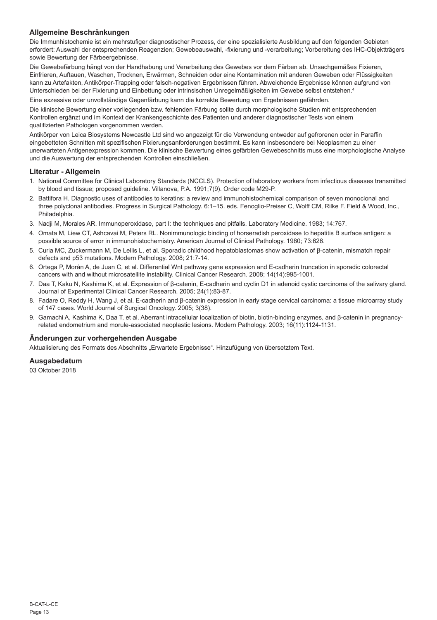# **Allgemeine Beschränkungen**

Die Immunhistochemie ist ein mehrstufiger diagnostischer Prozess, der eine spezialisierte Ausbildung auf den folgenden Gebieten erfordert: Auswahl der entsprechenden Reagenzien; Gewebeauswahl, -fixierung und -verarbeitung; Vorbereitung des IHC-Objektträgers sowie Bewertung der Färbeergebnisse.

Die Gewebefärbung hängt von der Handhabung und Verarbeitung des Gewebes vor dem Färben ab. Unsachgemäßes Fixieren, Einfrieren, Auftauen, Waschen, Trocknen, Erwärmen, Schneiden oder eine Kontamination mit anderen Geweben oder Flüssigkeiten kann zu Artefakten, Antikörper-Trapping oder falsch-negativen Ergebnissen führen. Abweichende Ergebnisse können aufgrund von Unterschieden bei der Fixierung und Einbettung oder intrinsischen Unregelmäßigkeiten im Gewebe selbst entstehen.<sup>4</sup>

Eine exzessive oder unvollständige Gegenfärbung kann die korrekte Bewertung von Ergebnissen gefährden.

Die klinische Bewertung einer vorliegenden bzw. fehlenden Färbung sollte durch morphologische Studien mit entsprechenden Kontrollen ergänzt und im Kontext der Krankengeschichte des Patienten und anderer diagnostischer Tests von einem qualifizierten Pathologen vorgenommen werden.

Antikörper von Leica Biosystems Newcastle Ltd sind wo angezeigt für die Verwendung entweder auf gefrorenen oder in Paraffin eingebetteten Schnitten mit spezifischen Fixierungsanforderungen bestimmt. Es kann insbesondere bei Neoplasmen zu einer unerwarteten Antigenexpression kommen. Die klinische Bewertung eines gefärbten Gewebeschnitts muss eine morphologische Analyse und die Auswertung der entsprechenden Kontrollen einschließen.

# **Literatur - Allgemein**

- 1. National Committee for Clinical Laboratory Standards (NCCLS). Protection of laboratory workers from infectious diseases transmitted by blood and tissue; proposed guideline. Villanova, P.A. 1991;7(9). Order code M29-P.
- 2. Battifora H. Diagnostic uses of antibodies to keratins: a review and immunohistochemical comparison of seven monoclonal and three polyclonal antibodies. Progress in Surgical Pathology. 6:1–15. eds. Fenoglio-Preiser C, Wolff CM, Rilke F. Field & Wood, Inc., Philadelphia.
- 3. Nadji M, Morales AR. Immunoperoxidase, part I: the techniques and pitfalls. Laboratory Medicine. 1983; 14:767.
- 4. Omata M, Liew CT, Ashcavai M, Peters RL. Nonimmunologic binding of horseradish peroxidase to hepatitis B surface antigen: a possible source of error in immunohistochemistry. American Journal of Clinical Pathology. 1980; 73:626.
- 5. Curia MC, Zuckermann M, De Lellis L, et al. Sporadic childhood hepatoblastomas show activation of β-catenin, mismatch repair defects and p53 mutations. Modern Pathology. 2008; 21:7-14.
- 6. Ortega P, Morán A, de Juan C, et al. Differential Wnt pathway gene expression and E-cadherin truncation in sporadic colorectal cancers with and without microsatellite instability. Clinical Cancer Research. 2008; 14(14):995-1001.
- 7. Daa T, Kaku N, Kashima K, et al. Expression of β-catenin, E-cadherin and cyclin D1 in adenoid cystic carcinoma of the salivary gland. Journal of Experimental Clinical Cancer Research. 2005; 24(1):83-87.
- 8. Fadare O, Reddy H, Wang J, et al. E-cadherin and β-catenin expression in early stage cervical carcinoma: a tissue microarray study of 147 cases. World Journal of Surgical Oncology. 2005; 3(38).
- 9. Gamachi A, Kashima K, Daa T, et al. Aberrant intracellular localization of biotin, biotin-binding enzymes, and β-catenin in pregnancyrelated endometrium and morule-associated neoplastic lesions. Modern Pathology. 2003; 16(11):1124-1131.

#### **Änderungen zur vorhergehenden Ausgabe**

Aktualisierung des Formats des Abschnitts "Erwartete Ergebnisse". Hinzufügung von übersetztem Text.

# **Ausgabedatum**

03 Oktober 2018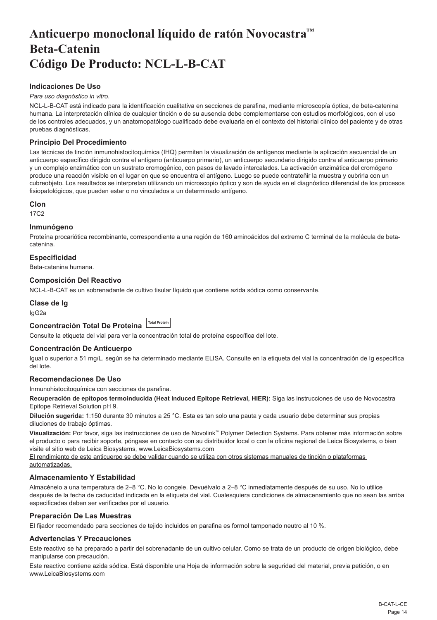# <span id="page-14-0"></span>**Anticuerpo monoclonal líquido de ratón Novocastra™ Beta-Catenin Código De Producto: NCL-L-B-CAT**

# **Indicaciones De Uso**

#### *Para uso diagnóstico in vitro*.

NCL-L-B-CAT está indicado para la identificación cualitativa en secciones de parafina, mediante microscopía óptica, de beta-catenina humana. La interpretación clínica de cualquier tinción o de su ausencia debe complementarse con estudios morfológicos, con el uso de los controles adecuados, y un anatomopatólogo cualificado debe evaluarla en el contexto del historial clínico del paciente y de otras pruebas diagnósticas.

# **Principio Del Procedimiento**

Las técnicas de tinción inmunohistocitoquímica (IHQ) permiten la visualización de antígenos mediante la aplicación secuencial de un anticuerpo específico dirigido contra el antígeno (anticuerpo primario), un anticuerpo secundario dirigido contra el anticuerpo primario y un complejo enzimático con un sustrato cromogénico, con pasos de lavado intercalados. La activación enzimática del cromógeno produce una reacción visible en el lugar en que se encuentra el antígeno. Luego se puede contrateñir la muestra y cubrirla con un cubreobjeto. Los resultados se interpretan utilizando un microscopio óptico y son de ayuda en el diagnóstico diferencial de los procesos fisiopatológicos, que pueden estar o no vinculados a un determinado antígeno.

#### **Clon**

17C2

#### **Inmunógeno**

Proteína procariótica recombinante, correspondiente a una región de 160 aminoácidos del extremo C terminal de la molécula de betacatenina.

### **Especificidad**

Beta-catenina humana.

### **Composición Del Reactivo**

NCL-L-B-CAT es un sobrenadante de cultivo tisular líquido que contiene azida sódica como conservante.

### **Clase de Ig**

IgG2a

# **Concentración Total De Proteína Total Protein**

Consulte la etiqueta del vial para ver la concentración total de proteína específica del lote.

#### **Concentración De Anticuerpo**

Igual o superior a 51 mg/L, según se ha determinado mediante ELISA. Consulte en la etiqueta del vial la concentración de Ig específica del lote.

# **Recomendaciones De Uso**

Inmunohistocitoquímica con secciones de parafina.

**Recuperación de epítopos termoinducida (Heat Induced Epitope Retrieval, HIER):** Siga las instrucciones de uso de Novocastra Epitope Retrieval Solution pH 9.

**Dilución sugerida:** 1:150 durante 30 minutos a 25 °C. Esta es tan solo una pauta y cada usuario debe determinar sus propias diluciones de trabajo óptimas.

**Visualización:** Por favor, siga las instrucciones de uso de Novolink™ Polymer Detection Systems. Para obtener más información sobre el producto o para recibir soporte, póngase en contacto con su distribuidor local o con la oficina regional de Leica Biosystems, o bien visite el sitio web de Leica Biosystems, www.LeicaBiosystems.com

El rendimiento de este anticuerpo se debe validar cuando se utiliza con otros sistemas manuales de tinción o plataformas automatizadas.

#### **Almacenamiento Y Estabilidad**

Almacénelo a una temperatura de 2–8 °C. No lo congele. Devuélvalo a 2–8 °C inmediatamente después de su uso. No lo utilice después de la fecha de caducidad indicada en la etiqueta del vial. Cualesquiera condiciones de almacenamiento que no sean las arriba especificadas deben ser verificadas por el usuario.

### **Preparación De Las Muestras**

El fijador recomendado para secciones de tejido incluidos en parafina es formol tamponado neutro al 10 %.

## **Advertencias Y Precauciones**

Este reactivo se ha preparado a partir del sobrenadante de un cultivo celular. Como se trata de un producto de origen biológico, debe manipularse con precaución.

Este reactivo contiene azida sódica. Está disponible una Hoja de información sobre la seguridad del material, previa petición, o en www.LeicaBiosystems.com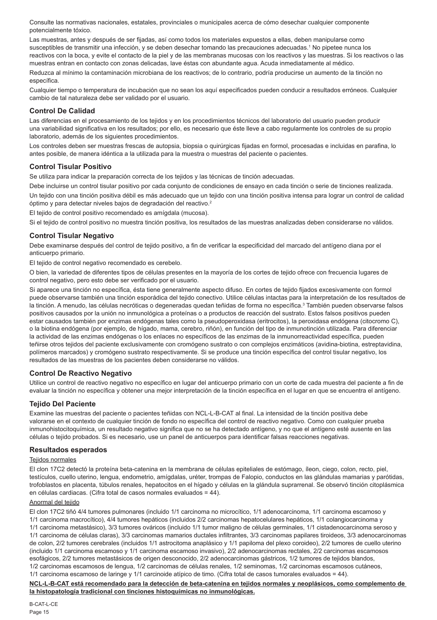Consulte las normativas nacionales, estatales, provinciales o municipales acerca de cómo desechar cualquier componente potencialmente tóxico.

Las muestras, antes y después de ser fijadas, así como todos los materiales expuestos a ellas, deben manipularse como susceptibles de transmitir una infección, y se deben desechar tomando las precauciones adecuadas.<sup>1</sup> No pipetee nunca los reactivos con la boca, y evite el contacto de la piel y de las membranas mucosas con los reactivos y las muestras. Si los reactivos o las muestras entran en contacto con zonas delicadas, lave éstas con abundante agua. Acuda inmediatamente al médico.

Reduzca al mínimo la contaminación microbiana de los reactivos; de lo contrario, podría producirse un aumento de la tinción no específica.

Cualquier tiempo o temperatura de incubación que no sean los aquí especificados pueden conducir a resultados erróneos. Cualquier cambio de tal naturaleza debe ser validado por el usuario.

# **Control De Calidad**

Las diferencias en el procesamiento de los tejidos y en los procedimientos técnicos del laboratorio del usuario pueden producir una variabilidad significativa en los resultados; por ello, es necesario que éste lleve a cabo regularmente los controles de su propio laboratorio, además de los siguientes procedimientos.

Los controles deben ser muestras frescas de autopsia, biopsia o quirúrgicas fijadas en formol, procesadas e incluidas en parafina, lo antes posible, de manera idéntica a la utilizada para la muestra o muestras del paciente o pacientes.

### **Control Tisular Positivo**

Se utiliza para indicar la preparación correcta de los tejidos y las técnicas de tinción adecuadas.

Debe incluirse un control tisular positivo por cada conjunto de condiciones de ensayo en cada tinción o serie de tinciones realizada. Un tejido con una tinción positiva débil es más adecuado que un tejido con una tinción positiva intensa para lograr un control de calidad óptimo y para detectar niveles bajos de degradación del reactivo.<sup>2</sup>

El tejido de control positivo recomendado es amígdala (mucosa).

Si el tejido de control positivo no muestra tinción positiva, los resultados de las muestras analizadas deben considerarse no válidos.

# **Control Tisular Negativo**

Debe examinarse después del control de tejido positivo, a fin de verificar la especificidad del marcado del antígeno diana por el anticuerpo primario.

El tejido de control negativo recomendado es cerebelo.

O bien, la variedad de diferentes tipos de células presentes en la mayoría de los cortes de tejido ofrece con frecuencia lugares de control negativo, pero esto debe ser verificado por el usuario.

Si aparece una tinción no específica, ésta tiene generalmente aspecto difuso. En cortes de tejido fijados excesivamente con formol puede observarse también una tinción esporádica del tejido conectivo. Utilice células intactas para la interpretación de los resultados de la tinción. A menudo, las células necróticas o degeneradas quedan teñidas de forma no específica.<sup>3</sup> También pueden observarse falsos positivos causados por la unión no inmunológica a proteínas o a productos de reacción del sustrato. Estos falsos positivos pueden estar causados también por enzimas endógenas tales como la pseudoperoxidasa (eritrocitos), la peroxidasa endógena (citocromo C), o la biotina endógena (por ejemplo, de hígado, mama, cerebro, riñón), en función del tipo de inmunotinción utilizada. Para diferenciar la actividad de las enzimas endógenas o los enlaces no específicos de las enzimas de la inmunorreactividad específica, pueden teñirse otros tejidos del paciente exclusivamente con cromógeno sustrato o con complejos enzimáticos (avidina-biotina, estreptavidina, polímeros marcados) y cromógeno sustrato respectivamente. Si se produce una tinción específica del control tisular negativo, los resultados de las muestras de los pacientes deben considerarse no válidos.

#### **Control De Reactivo Negativo**

Utilice un control de reactivo negativo no específico en lugar del anticuerpo primario con un corte de cada muestra del paciente a fin de evaluar la tinción no específica y obtener una mejor interpretación de la tinción específica en el lugar en que se encuentra el antígeno.

# **Tejido Del Paciente**

Examine las muestras del paciente o pacientes teñidas con NCL-L-B-CAT al final. La intensidad de la tinción positiva debe valorarse en el contexto de cualquier tinción de fondo no específica del control de reactivo negativo. Como con cualquier prueba inmunohistocitoquímica, un resultado negativo significa que no se ha detectado antígeno, y no que el antígeno esté ausente en las células o tejido probados. Si es necesario, use un panel de anticuerpos para identificar falsas reacciones negativas.

#### **Resultados esperados**

# Teiidos normales

El clon 17C2 detectó la proteína beta-catenina en la membrana de células epiteliales de estómago, íleon, ciego, colon, recto, piel, testículos, cuello uterino, lengua, endometrio, amígdalas, uréter, trompas de Falopio, conductos en las glándulas mamarias y parótidas, trofoblastos en placenta, túbulos renales, hepatocitos en el hígado y células en la glándula suprarrenal. Se observó tinción citoplásmica en células cardiacas. (Cifra total de casos normales evaluados = 44).

# Anormal del tejido

El clon 17C2 tiñó 4/4 tumores pulmonares (incluido 1/1 carcinoma no microcítico, 1/1 adenocarcinoma, 1/1 carcinoma escamoso y 1/1 carcinoma macrocítico), 4/4 tumores hepáticos (incluidos 2/2 carcinomas hepatocelulares hepáticos, 1/1 colangiocarcinoma y 1/1 carcinoma metastásico), 3/3 tumores ováricos (incluido 1/1 tumor maligno de células germinales, 1/1 cistadenocarcinoma seroso y 1/1 carcinoma de células claras), 3/3 carcinomas mamarios ductales infiltrantes, 3/3 carcinomas papilares tiroideos, 3/3 adenocarcinomas de colon, 2/2 tumores cerebrales (incluidos 1/1 astrocitoma anaplásico y 1/1 papiloma del plexo coroideo), 2/2 tumores de cuello uterino (incluido 1/1 carcinoma escamoso y 1/1 carcinoma escamoso invasivo), 2/2 adenocarcinomas rectales, 2/2 carcinomas escamosos esofágicos, 2/2 tumores metastásicos de origen desconocido, 2/2 adenocarcinomas gástricos, 1/2 tumores de tejidos blandos, 1/2 carcinomas escamosos de lengua, 1/2 carcinomas de células renales, 1/2 seminomas, 1/2 carcinomas escamosos cutáneos, 1/1 carcinoma escamoso de laringe y 1/1 carcinoide atípico de timo. (Cifra total de casos tumorales evaluados = 44).

**NCL-L-B-CAT está recomendado para la detección de beta-catenina en tejidos normales y neoplásicos, como complemento de la histopatología tradicional con tinciones histoquímicas no inmunológicas.**

B-CAT-L-CE Page 15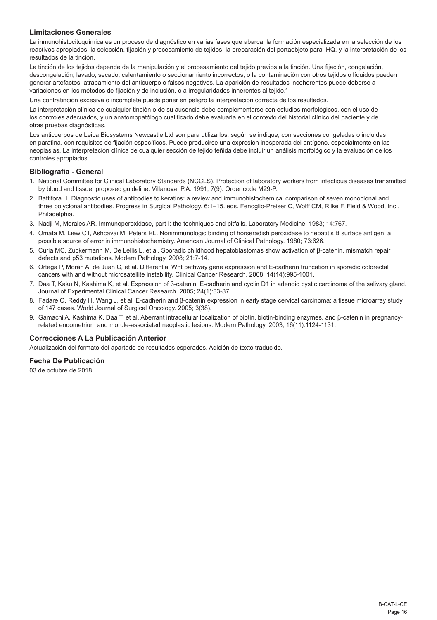# **Limitaciones Generales**

La inmunohistocitoquímica es un proceso de diagnóstico en varias fases que abarca: la formación especializada en la selección de los reactivos apropiados, la selección, fijación y procesamiento de tejidos, la preparación del portaobjeto para IHQ, y la interpretación de los resultados de la tinción.

La tinción de los tejidos depende de la manipulación y el procesamiento del tejido previos a la tinción. Una fijación, congelación, descongelación, lavado, secado, calentamiento o seccionamiento incorrectos, o la contaminación con otros tejidos o líquidos pueden generar artefactos, atrapamiento del anticuerpo o falsos negativos. La aparición de resultados incoherentes puede deberse a variaciones en los métodos de fijación y de inclusión, o a irregularidades inherentes al tejido.<sup>4</sup>

Una contratinción excesiva o incompleta puede poner en peligro la interpretación correcta de los resultados.

La interpretación clínica de cualquier tinción o de su ausencia debe complementarse con estudios morfológicos, con el uso de los controles adecuados, y un anatomopatólogo cualificado debe evaluarla en el contexto del historial clínico del paciente y de otras pruebas diagnósticas.

Los anticuerpos de Leica Biosystems Newcastle Ltd son para utilizarlos, según se indique, con secciones congeladas o incluidas en parafina, con requisitos de fijación específicos. Puede producirse una expresión inesperada del antígeno, especialmente en las neoplasias. La interpretación clínica de cualquier sección de tejido teñida debe incluir un análisis morfológico y la evaluación de los controles apropiados.

# **Bibliografía - General**

- 1. National Committee for Clinical Laboratory Standards (NCCLS). Protection of laboratory workers from infectious diseases transmitted by blood and tissue; proposed guideline. Villanova, P.A. 1991; 7(9). Order code M29-P.
- 2. Battifora H. Diagnostic uses of antibodies to keratins: a review and immunohistochemical comparison of seven monoclonal and three polyclonal antibodies. Progress in Surgical Pathology. 6:1–15. eds. Fenoglio-Preiser C, Wolff CM, Rilke F. Field & Wood, Inc., Philadelphia.
- 3. Nadji M, Morales AR. Immunoperoxidase, part I: the techniques and pitfalls. Laboratory Medicine. 1983; 14:767.
- 4. Omata M, Liew CT, Ashcavai M, Peters RL. Nonimmunologic binding of horseradish peroxidase to hepatitis B surface antigen: a possible source of error in immunohistochemistry. American Journal of Clinical Pathology. 1980; 73:626.
- 5. Curia MC, Zuckermann M, De Lellis L, et al. Sporadic childhood hepatoblastomas show activation of β-catenin, mismatch repair defects and p53 mutations. Modern Pathology. 2008; 21:7-14.
- 6. Ortega P, Morán A, de Juan C, et al. Differential Wnt pathway gene expression and E-cadherin truncation in sporadic colorectal cancers with and without microsatellite instability. Clinical Cancer Research. 2008; 14(14):995-1001.
- 7. Daa T, Kaku N, Kashima K, et al. Expression of β-catenin, E-cadherin and cyclin D1 in adenoid cystic carcinoma of the salivary gland. Journal of Experimental Clinical Cancer Research. 2005; 24(1):83-87.
- 8. Fadare O, Reddy H, Wang J, et al. E-cadherin and β-catenin expression in early stage cervical carcinoma: a tissue microarray study of 147 cases. World Journal of Surgical Oncology. 2005; 3(38).
- 9. Gamachi A, Kashima K, Daa T, et al. Aberrant intracellular localization of biotin, biotin-binding enzymes, and β-catenin in pregnancyrelated endometrium and morule-associated neoplastic lesions. Modern Pathology. 2003; 16(11):1124-1131.

# **Correcciones A La Publicación Anterior**

Actualización del formato del apartado de resultados esperados. Adición de texto traducido.

# **Fecha De Publicación**

03 de octubre de 2018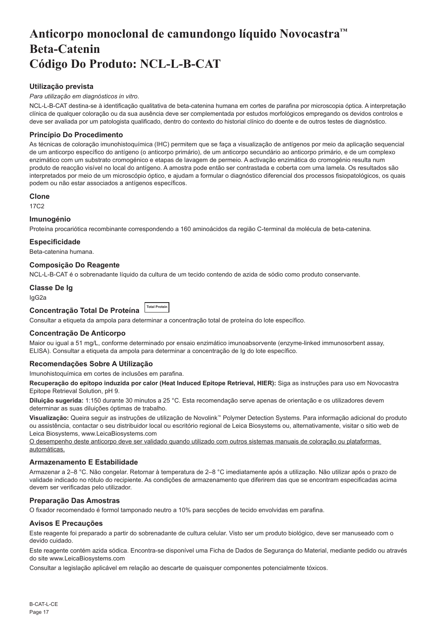# <span id="page-17-0"></span>**Anticorpo monoclonal de camundongo líquido Novocastra™ Beta-Catenin Código Do Produto: NCL-L-B-CAT**

# **Utilização prevista**

# *Para utilização em diagnósticos in vitro*.

NCL-L-B-CAT destina-se à identificação qualitativa de beta-catenina humana em cortes de parafina por microscopia óptica. A interpretação clínica de qualquer coloração ou da sua ausência deve ser complementada por estudos morfológicos empregando os devidos controlos e deve ser avaliada por um patologista qualificado, dentro do contexto do historial clínico do doente e de outros testes de diagnóstico.

# **Princípio Do Procedimento**

As técnicas de coloração imunohistoquímica (IHC) permitem que se faça a visualização de antígenos por meio da aplicação sequencial de um anticorpo específico do antígeno (o anticorpo primário), de um anticorpo secundário ao anticorpo primário, e de um complexo enzimático com um substrato cromogénico e etapas de lavagem de permeio. A activação enzimática do cromogénio resulta num produto de reacção visível no local do antígeno. A amostra pode então ser contrastada e coberta com uma lamela. Os resultados são interpretados por meio de um microscópio óptico, e ajudam a formular o diagnóstico diferencial dos processos fisiopatológicos, os quais podem ou não estar associados a antígenos específicos.

#### **Clone**

17C2

### **Imunogénio**

Proteína procariótica recombinante correspondendo a 160 aminoácidos da região C-terminal da molécula de beta-catenina.

### **Especificidade**

Beta-catenina humana.

# **Composição Do Reagente**

NCL-L-B-CAT é o sobrenadante líquido da cultura de um tecido contendo de azida de sódio como produto conservante.

#### **Classe De Ig**

IgG2a

| Concentração Total De Proteína ITotal Proteín |  |
|-----------------------------------------------|--|
|                                               |  |

Consultar a etiqueta da ampola para determinar a concentração total de proteína do lote específico.

#### **Concentração De Anticorpo**

Maior ou igual a 51 mg/L, conforme determinado por ensaio enzimático imunoabsorvente (enzyme-linked immunosorbent assay, ELISA). Consultar a etiqueta da ampola para determinar a concentração de Ig do lote específico.

# **Recomendações Sobre A Utilização**

Imunohistoquímica em cortes de inclusões em parafina.

**Recuperação do epítopo induzida por calor (Heat Induced Epitope Retrieval, HIER):** Siga as instruções para uso em Novocastra Epitope Retrieval Solution, pH 9.

**Diluição sugerida:** 1:150 durante 30 minutos a 25 °C. Esta recomendação serve apenas de orientação e os utilizadores devem determinar as suas diluições óptimas de trabalho.

**Visualização:** Queira seguir as instruções de utilização de Novolink™ Polymer Detection Systems. Para informação adicional do produto ou assistência, contactar o seu distribuidor local ou escritório regional de Leica Biosystems ou, alternativamente, visitar o sitio web de Leica Biosystems, www.LeicaBiosystems.com

O desempenho deste anticorpo deve ser validado quando utilizado com outros sistemas manuais de coloração ou plataformas automáticas.

# **Armazenamento E Estabilidade**

Armazenar a 2–8 °C. Não congelar. Retornar à temperatura de 2–8 °C imediatamente após a utilização. Não utilizar após o prazo de validade indicado no rótulo do recipiente. As condições de armazenamento que diferirem das que se encontram especificadas acima devem ser verificadas pelo utilizador.

# **Preparação Das Amostras**

O fixador recomendado é formol tamponado neutro a 10% para secções de tecido envolvidas em parafina.

# **Avisos E Precauções**

Este reagente foi preparado a partir do sobrenadante de cultura celular. Visto ser um produto biológico, deve ser manuseado com o devido cuidado.

Este reagente contém azida sódica. Encontra-se disponível uma Ficha de Dados de Segurança do Material, mediante pedido ou através do site www.LeicaBiosystems.com

Consultar a legislação aplicável em relação ao descarte de quaisquer componentes potencialmente tóxicos.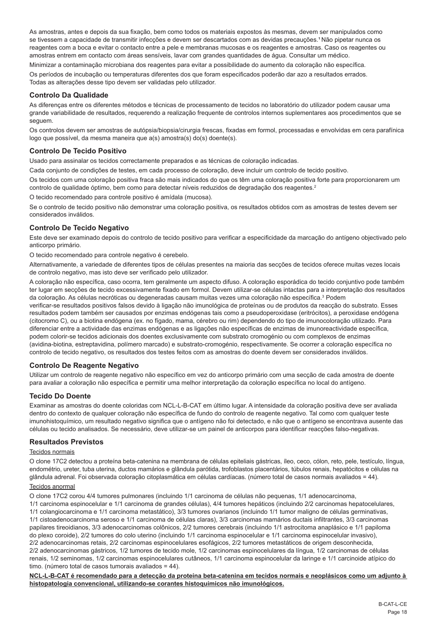As amostras, antes e depois da sua fixação, bem como todos os materiais expostos às mesmas, devem ser manipulados como se tivessem a capacidade de transmitir infecções e devem ser descartados com as devidas precauções.<sup>1</sup> Não pipetar nunca os reagentes com a boca e evitar o contacto entre a pele e membranas mucosas e os reagentes e amostras. Caso os reagentes ou amostras entrem em contacto com áreas sensíveis, lavar com grandes quantidades de água. Consultar um médico.

Minimizar a contaminação microbiana dos reagentes para evitar a possibilidade do aumento da coloração não específica. Os períodos de incubação ou temperaturas diferentes dos que foram especificados poderão dar azo a resultados errados. Todas as alterações desse tipo devem ser validadas pelo utilizador.

# **Controlo Da Qualidade**

As diferenças entre os diferentes métodos e técnicas de processamento de tecidos no laboratório do utilizador podem causar uma grande variabilidade de resultados, requerendo a realização frequente de controlos internos suplementares aos procedimentos que se seguem.

Os controlos devem ser amostras de autópsia/biopsia/cirurgia frescas, fixadas em formol, processadas e envolvidas em cera parafínica logo que possível, da mesma maneira que a(s) amostra(s) do(s) doente(s).

# **Controlo De Tecido Positivo**

Usado para assinalar os tecidos correctamente preparados e as técnicas de coloração indicadas.

Cada conjunto de condições de testes, em cada processo de coloração, deve incluir um controlo de tecido positivo.

Os tecidos com uma coloração positiva fraca são mais indicados do que os têm uma coloração positiva forte para proporcionarem um controlo de qualidade óptimo, bem como para detectar níveis reduzidos de degradação dos reagentes.<sup>2</sup>

O tecido recomendado para controle positivo é amídala (mucosa).

Se o controlo de tecido positivo não demonstrar uma coloração positiva, os resultados obtidos com as amostras de testes devem ser considerados inválidos.

# **Controlo De Tecido Negativo**

Este deve ser examinado depois do controlo de tecido positivo para verificar a especificidade da marcação do antígeno objectivado pelo anticorpo primário.

O tecido recomendado para controle negativo é cerebelo.

Alternativamente, a variedade de diferentes tipos de células presentes na maioria das secções de tecidos oferece muitas vezes locais de controlo negativo, mas isto deve ser verificado pelo utilizador.

A coloração não específica, caso ocorra, tem geralmente um aspecto difuso. A coloração esporádica do tecido conjuntivo pode também ter lugar em secções de tecido excessivamente fixado em formol. Devem utilizar-se células intactas para a interpretação dos resultados da coloração. As células necróticas ou degeneradas causam muitas vezes uma coloração não específica.<sup>3</sup> Podem

verificar-se resultados positivos falsos devido à ligação não imunológica de proteínas ou de produtos da reacção do substrato. Esses resultados podem também ser causados por enzimas endógenas tais como a pseudoperoxidase (eritrócitos), a peroxidase endógena (citocromo C), ou a biotina endógena (ex. no fígado, mama, cérebro ou rim) dependendo do tipo de imunocoloração utilizado. Para diferenciar entre a actividade das enzimas endógenas e as ligações não específicas de enzimas de imunoreactividade específica, podem colorir-se tecidos adicionais dos doentes exclusivamente com substrato cromogénio ou com complexos de enzimas (avidina-biotina, estreptavidina, polímero marcado) e substrato-cromogénio, respectivamente. Se ocorrer a coloração específica no controlo de tecido negativo, os resultados dos testes feitos com as amostras do doente devem ser considerados inválidos.

# **Controlo De Reagente Negativo**

Utilizar um controlo de reagente negativo não específico em vez do anticorpo primário com uma secção de cada amostra de doente para avaliar a coloração não específica e permitir uma melhor interpretação da coloração específica no local do antígeno.

# **Tecido Do Doente**

Examinar as amostras do doente coloridas com NCL-L-B-CAT em último lugar. A intensidade da coloração positiva deve ser avaliada dentro do contexto de qualquer coloração não específica de fundo do controlo de reagente negativo. Tal como com qualquer teste imunohistoquímico, um resultado negativo significa que o antígeno não foi detectado, e não que o antígeno se encontrava ausente das células ou tecido analisados. Se necessário, deve utilizar-se um painel de anticorpos para identificar reacções falso-negativas.

# **Resultados Previstos**

### Tecidos normais

O clone 17C2 detectou a proteína beta-catenina na membrana de células epiteliais gástricas, íleo, ceco, cólon, reto, pele, testículo, língua, endométrio, ureter, tuba uterina, ductos mamários e glândula parótida, trofoblastos placentários, túbulos renais, hepatócitos e células na glândula adrenal. Foi observada coloração citoplasmática em células cardíacas. (número total de casos normais avaliados = 44).

# Tecidos anormal

O clone 17C2 corou 4/4 tumores pulmonares (incluindo 1/1 carcinoma de células não pequenas, 1/1 adenocarcinoma,

1/1 carcinoma espinocelular e 1/1 carcinoma de grandes células), 4/4 tumores hepáticos (incluindo 2/2 carcinomas hepatocelulares, 1/1 colangiocarcinoma e 1/1 carcinoma metastático), 3/3 tumores ovarianos (incluindo 1/1 tumor maligno de células germinativas, 1/1 cistoadenocarcinoma seroso e 1/1 carcinoma de células claras), 3/3 carcinomas mamários ductais infiltrantes, 3/3 carcinomas papilares tireoidianos, 3/3 adenocarcinomas colônicos, 2/2 tumores cerebrais (incluindo 1/1 astrocitoma anaplásico e 1/1 papiloma do plexo coroide), 2/2 tumores do colo uterino (incluindo 1/1 carcinoma espinocelular e 1/1 carcinoma espinocelular invasivo),

2/2 adenocarcinomas retais, 2/2 carcinomas espinocelulares esofágicos, 2/2 tumores metastáticos de origem desconhecida, 2/2 adenocarcinomas gástricos, 1/2 tumores de tecido mole, 1/2 carcinomas espinocelulares da língua, 1/2 carcinomas de células renais, 1/2 seminomas, 1/2 carcinomas espinocelulares cutâneos, 1/1 carcinoma espinocelular da laringe e 1/1 carcinoide atípico do timo. (número total de casos tumorais avaliados = 44).

**NCL-L-B-CAT é recomendado para a detecção da proteína beta-catenina em tecidos normais e neoplásicos como um adjunto à histopatologia convencional, utilizando-se corantes histoquímicos não imunológicos.**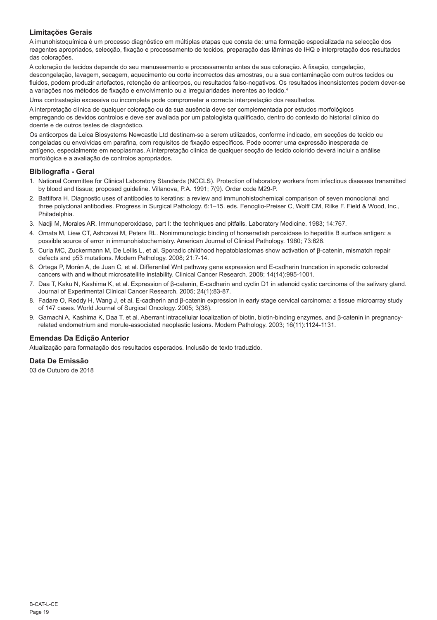# **Limitações Gerais**

A imunohistoquímica é um processo diagnóstico em múltiplas etapas que consta de: uma formação especializada na selecção dos reagentes apropriados, selecção, fixação e processamento de tecidos, preparação das lâminas de IHQ e interpretação dos resultados das colorações.

A coloração de tecidos depende do seu manuseamento e processamento antes da sua coloração. A fixação, congelação, descongelação, lavagem, secagem, aquecimento ou corte incorrectos das amostras, ou a sua contaminação com outros tecidos ou fluidos, podem produzir artefactos, retenção de anticorpos, ou resultados falso-negativos. Os resultados inconsistentes podem dever-se a variações nos métodos de fixação e envolvimento ou a irregularidades inerentes ao tecido.<sup>4</sup>

Uma contrastação excessiva ou incompleta pode comprometer a correcta interpretação dos resultados.

A interpretação clínica de qualquer coloração ou da sua ausência deve ser complementada por estudos morfológicos empregando os devidos controlos e deve ser avaliada por um patologista qualificado, dentro do contexto do historial clínico do doente e de outros testes de diagnóstico.

Os anticorpos da Leica Biosystems Newcastle Ltd destinam-se a serem utilizados, conforme indicado, em secções de tecido ou congeladas ou envolvidas em parafina, com requisitos de fixação específicos. Pode ocorrer uma expressão inesperada de antígeno, especialmente em neoplasmas. A interpretação clínica de qualquer secção de tecido colorido deverá incluir a análise morfológica e a avaliação de controlos apropriados.

# **Bibliografia - Geral**

- 1. National Committee for Clinical Laboratory Standards (NCCLS). Protection of laboratory workers from infectious diseases transmitted by blood and tissue; proposed guideline. Villanova, P.A. 1991; 7(9). Order code M29-P.
- 2. Battifora H. Diagnostic uses of antibodies to keratins: a review and immunohistochemical comparison of seven monoclonal and three polyclonal antibodies. Progress in Surgical Pathology. 6:1–15. eds. Fenoglio-Preiser C, Wolff CM, Rilke F. Field & Wood, Inc., Philadelphia.
- 3. Nadji M, Morales AR. Immunoperoxidase, part I: the techniques and pitfalls. Laboratory Medicine. 1983; 14:767.
- 4. Omata M, Liew CT, Ashcavai M, Peters RL. Nonimmunologic binding of horseradish peroxidase to hepatitis B surface antigen: a possible source of error in immunohistochemistry. American Journal of Clinical Pathology. 1980; 73:626.
- 5. Curia MC, Zuckermann M, De Lellis L, et al. Sporadic childhood hepatoblastomas show activation of β-catenin, mismatch repair defects and p53 mutations. Modern Pathology. 2008; 21:7-14.
- 6. Ortega P, Morán A, de Juan C, et al. Differential Wnt pathway gene expression and E-cadherin truncation in sporadic colorectal cancers with and without microsatellite instability. Clinical Cancer Research. 2008; 14(14):995-1001.
- 7. Daa T, Kaku N, Kashima K, et al. Expression of β-catenin, E-cadherin and cyclin D1 in adenoid cystic carcinoma of the salivary gland. Journal of Experimental Clinical Cancer Research. 2005; 24(1):83-87.
- 8. Fadare O, Reddy H, Wang J, et al. E-cadherin and β-catenin expression in early stage cervical carcinoma: a tissue microarray study of 147 cases. World Journal of Surgical Oncology. 2005; 3(38).
- 9. Gamachi A, Kashima K, Daa T, et al. Aberrant intracellular localization of biotin, biotin-binding enzymes, and β-catenin in pregnancyrelated endometrium and morule-associated neoplastic lesions. Modern Pathology. 2003; 16(11):1124-1131.

# **Emendas Da Edição Anterior**

Atualização para formatação dos resultados esperados. Inclusão de texto traduzido.

# **Data De Emissão**

03 de Outubro de 2018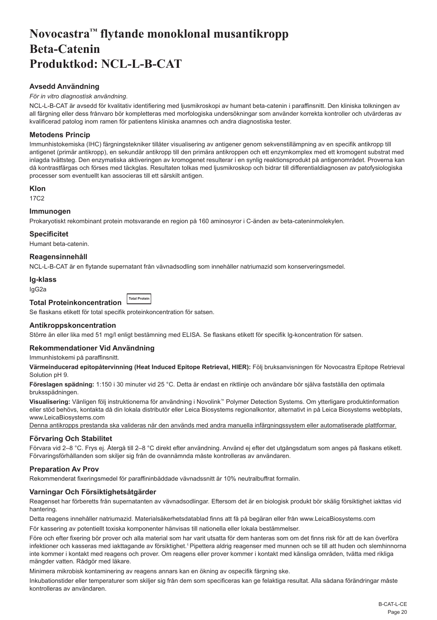# <span id="page-20-0"></span>**Novocastra™ flytande monoklonal musantikropp Beta-Catenin Produktkod: NCL-L-B-CAT**

# **Avsedd Användning**

### *För in vitro diagnostisk användning*.

NCL-L-B-CAT är avsedd för kvalitativ identifiering med ljusmikroskopi av humant beta-catenin i paraffinsnitt. Den kliniska tolkningen av all färgning eller dess frånvaro bör kompletteras med morfologiska undersökningar som använder korrekta kontroller och utvärderas av kvalificerad patolog inom ramen för patientens kliniska anamnes och andra diagnostiska tester.

# **Metodens Princip**

Immunhistokemiska (IHC) färgningstekniker tillåter visualisering av antigener genom sekvenstillämpning av en specifik antikropp till antigenet (primär antikropp), en sekundär antikropp till den primära antikroppen och ett enzymkomplex med ett kromogent substrat med inlagda tvättsteg. Den enzymatiska aktiveringen av kromogenet resulterar i en synlig reaktionsprodukt på antigenområdet. Proverna kan då kontrastfärgas och förses med täckglas. Resultaten tolkas med ljusmikroskop och bidrar till differentialdiagnosen av patofysiologiska processer som eventuellt kan associeras till ett särskilt antigen.

# **Klon**

17C2

# **Immunogen**

Prokaryotiskt rekombinant protein motsvarande en region på 160 aminosyror i C-änden av beta-cateninmolekylen.

# **Specificitet**

Humant beta-catenin.

# **Reagensinnehåll**

NCL-L-B-CAT är en flytande supernatant från vävnadsodling som innehåller natriumazid som konserveringsmedel.

#### **Ig-klass**

IgG2a

#### **Total Proteinkoncentration Total Protei**

Se flaskans etikett för total specifik proteinkoncentration för satsen.

# **Antikroppskoncentration**

Större än eller lika med 51 mg/l enligt bestämning med ELISA. Se flaskans etikett för specifik Ig-koncentration för satsen.

# **Rekommendationer Vid Användning**

Immunhistokemi på paraffinsnitt.

**Värmeinducerad epitopåtervinning (Heat Induced Epitope Retrieval, HIER):** Följ bruksanvisningen för Novocastra Epitope Retrieval Solution pH 9.

**Föreslagen spädning:** 1:150 i 30 minuter vid 25 °C. Detta är endast en riktlinje och användare bör själva fastställa den optimala bruksspädningen.

**Visualisering:** Vänligen följ instruktionerna för användning i Novolink™ Polymer Detection Systems. Om ytterligare produktinformation eller stöd behövs, kontakta då din lokala distributör eller Leica Biosystems regionalkontor, alternativt in på Leica Biosystems webbplats, www.LeicaBiosystems.com

Denna antikropps prestanda ska valideras när den används med andra manuella infärgningssystem eller automatiserade plattformar.

# **Förvaring Och Stabilitet**

Förvara vid 2–8 °C. Frys ej. Återgå till 2–8 °C direkt efter användning. Använd ej efter det utgångsdatum som anges på flaskans etikett. Förvaringsförhållanden som skiljer sig från de ovannämnda måste kontrolleras av användaren.

# **Preparation Av Prov**

Rekommenderat fixeringsmedel för paraffininbäddade vävnadssnitt är 10% neutralbuffrat formalin.

# **Varningar Och Försiktighetsåtgärder**

Reagenset har förberetts från supernatanten av vävnadsodlingar. Eftersom det är en biologisk produkt bör skälig försiktighet iakttas vid hantering.

Detta reagens innehåller natriumazid. Materialsäkerhetsdatablad finns att få på begäran eller från www.LeicaBiosystems.com

För kassering av potentiellt toxiska komponenter hänvisas till nationella eller lokala bestämmelser.

Före och efter fixering bör prover och alla material som har varit utsatta för dem hanteras som om det finns risk för att de kan överföra infektioner och kasseras med iakttagande av försiktighet.<sup>1</sup> Pipettera aldrig reagenser med munnen och se till att huden och slemhinnorna inte kommer i kontakt med reagens och prover. Om reagens eller prover kommer i kontakt med känsliga områden, tvätta med rikliga mängder vatten. Rådgör med läkare.

Minimera mikrobisk kontaminering av reagens annars kan en ökning av ospecifik färgning ske.

Inkubationstider eller temperaturer som skiljer sig från dem som specificeras kan ge felaktiga resultat. Alla sådana förändringar måste kontrolleras av användaren.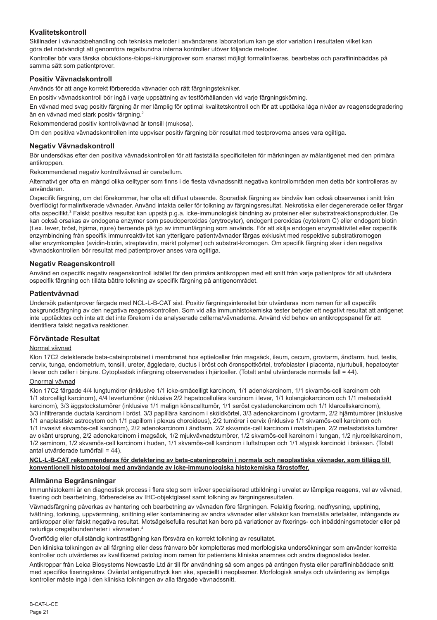# **Kvalitetskontroll**

Skillnader i vävnadsbehandling och tekniska metoder i användarens laboratorium kan ge stor variation i resultaten vilket kan göra det nödvändigt att genomföra regelbundna interna kontroller utöver följande metoder.

Kontroller bör vara färska obduktions-/biopsi-/kirurgiprover som snarast möjligt formalinfixeras, bearbetas och paraffininbäddas på samma sätt som patientprover.

# **Positiv Vävnadskontroll**

Används för att ange korrekt förberedda vävnader och rätt färgningstekniker.

En positiv vävnadskontroll bör ingå i varje uppsättning av testförhållanden vid varje färgningskörning.

En vävnad med svag positiv färgning är mer lämplig för optimal kvalitetskontroll och för att upptäcka låga nivåer av reagensdegradering än en vävnad med stark positiv färgning.<sup>2</sup>

Rekommenderad positiv kontrollvävnad är tonsill (mukosa).

Om den positiva vävnadskontrollen inte uppvisar positiv färgning bör resultat med testproverna anses vara ogiltiga.

### **Negativ Vävnadskontroll**

Bör undersökas efter den positiva vävnadskontrollen för att fastställa specificiteten för märkningen av målantigenet med den primära antikroppen.

Rekommenderad negativ kontrollvävnad är cerebellum.

Alternativt ger ofta en mängd olika celltyper som finns i de flesta vävnadssnitt negativa kontrollområden men detta bör kontrolleras av användaren.

Ospecifik färgning, om det förekommer, har ofta ett diffust utseende. Sporadisk färgning av bindväv kan också observeras i snitt från överflödigt formalinfixerade vävnader. Använd intakta celler för tolkning av färgningsresultat. Nekrotiska eller degenererade celler färgar ofta ospecifikt.<sup>s</sup> Falskt positiva resultat kan uppstå p.g.a. icke-immunologisk bindning av proteiner eller substratreaktionsprodukter. De kan också orsakas av endogena enzymer som pseudoperoxidas (erytrocyter), endogent peroxidas (cytokrom C) eller endogent biotin (t.ex. lever, bröst, hjärna, njure) beroende på typ av immunfärgning som används. För att skilja endogen enzymaktivitet eller ospecifik enzymbindning från specifik immunreaktivitet kan ytterligare patientvävnader färgas exklusivt med respektive substratkromogen eller enzymkomplex (avidin-biotin, streptavidin, märkt polymer) och substrat-kromogen. Om specifik färgning sker i den negativa vävnadskontrollen bör resultat med patientprover anses vara ogiltiga.

# **Negativ Reagenskontroll**

Använd en ospecifik negativ reagenskontroll istället för den primära antikroppen med ett snitt från varje patientprov för att utvärdera ospecifik färgning och tillåta bättre tolkning av specifik färgning på antigenområdet.

### **Patientvävnad**

Undersök patientprover färgade med NCL-L-B-CAT sist. Positiv färgningsintensitet bör utvärderas inom ramen för all ospecifik bakgrundsfärgning av den negativa reagenskontrollen. Som vid alla immunhistokemiska tester betyder ett negativt resultat att antigenet inte upptäcktes och inte att det inte förekom i de analyserade cellerna/vävnaderna. Använd vid behov en antikroppspanel för att identifiera falskt negativa reaktioner.

#### **Förväntade Resultat**

## Normal vävnad

Klon 17C2 detekterade beta-cateinproteinet i membranet hos eptielceller från magsäck, ileum, cecum, grovtarm, ändtarm, hud, testis, cervix, tunga, endometrium, tonsill, ureter, äggledare, ductus i bröst och öronspottkörtel, trofoblaster i placenta, njurtubuli, hepatocyter i lever och celler i binjure. Cytoplastisk infärgning observerades i hjärtceller. (Totalt antal utvärderade normala fall = 44).

#### Onormal vävnad

Klon 17C2 färgade 4/4 lungtumörer (inklusive 1/1 icke-småcelligt karcinom, 1/1 adenokarcinom, 1/1 skvamös-cell karcinom och 1/1 storcelligt karcinom), 4/4 levertumörer (inklusive 2/2 hepatocellulära karcinom i lever, 1/1 kolangiokarcinom och 1/1 metastatiskt karcinom), 3/3 äggstockstumörer (inklusive 1/1 malign könscelltumör, 1/1 seröst cystadenokarcinom och 1/1 klarcellskarcinom), 3/3 infiltrerande ductala karcinom i bröst, 3/3 papillära karcinom i sköldkörtel, 3/3 adenokarcinom i grovtarm, 2/2 hjärntumörer (inklusive 1/1 anaplastiskt astrocytom och 1/1 papillom i plexus choroideus), 2/2 tumörer i cervix (inklusive 1/1 skvamös-cell karcinom och 1/1 invasivt skvamös-cell karcinom), 2/2 adenokarcinom i ändtarm, 2/2 skvamös-cell karcinom i matstrupen, 2/2 metastatiska tumörer av okänt ursprung, 2/2 adenokarcinom i magsäck, 1/2 mjukvävnadstumörer, 1/2 skvamös-cell karcinom i tungan, 1/2 njurcellskarcinom, 1/2 seminom, 1/2 skvamös-cell karcinom i huden, 1/1 skvamös-cell karcinom i luftstrupen och 1/1 atypisk karcinoid i brässen. (Totalt antal utvärderade tumörfall = 44).

#### **NCL-L-B-CAT rekommenderas för detektering av beta-cateninprotein i normala och neoplastiska vävnader, som tillägg till konventionell histopatologi med användande av icke-immunologiska histokemiska färgstoffer.**

#### **Allmänna Begränsningar**

Immunhistokemi är en diagnostisk process i flera steg som kräver specialiserad utbildning i urvalet av lämpliga reagens, val av vävnad, fixering och bearbetning, förberedelse av IHC-objektglaset samt tolkning av färgningsresultaten.

Vävnadsfärgning påverkas av hantering och bearbetning av vävnaden före färgningen. Felaktig fixering, nedfrysning, upptining, tvättning, torkning, uppvärmning, snittning eller kontaminering av andra vävnader eller vätskor kan framställa artefakter, infångande av antikroppar eller falskt negativa resultat. Motsägelsefulla resultat kan bero på variationer av fixerings- och inbäddningsmetoder eller på naturliga oregelbundenheter i vävnaden.<sup>4</sup>

Överflödig eller ofullständig kontrastfägning kan försvåra en korrekt tolkning av resultatet.

Den kliniska tolkningen av all färgning eller dess frånvaro bör kompletteras med morfologiska undersökningar som använder korrekta kontroller och utvärderas av kvalificerad patolog inom ramen för patientens kliniska anamnes och andra diagnostiska tester.

Antikroppar från Leica Biosystems Newcastle Ltd är till för användning så som anges på antingen frysta eller paraffininbäddade snitt med specifika fixeringskrav. Oväntat antigenuttryck kan ske, speciellt i neoplasmer. Morfologisk analys och utvärdering av lämpliga kontroller måste ingå i den kliniska tolkningen av alla färgade vävnadssnitt.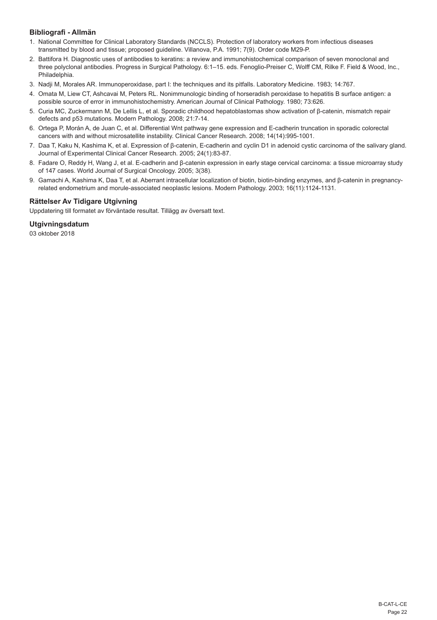# **Bibliografi - Allmän**

- 1. National Committee for Clinical Laboratory Standards (NCCLS). Protection of laboratory workers from infectious diseases transmitted by blood and tissue; proposed guideline. Villanova, P.A. 1991; 7(9). Order code M29-P.
- 2. Battifora H. Diagnostic uses of antibodies to keratins: a review and immunohistochemical comparison of seven monoclonal and three polyclonal antibodies. Progress in Surgical Pathology. 6:1–15. eds. Fenoglio-Preiser C, Wolff CM, Rilke F. Field & Wood, Inc., Philadelphia.
- 3. Nadji M, Morales AR. Immunoperoxidase, part I: the techniques and its pitfalls. Laboratory Medicine. 1983; 14:767.
- 4. Omata M, Liew CT, Ashcavai M, Peters RL. Nonimmunologic binding of horseradish peroxidase to hepatitis B surface antigen: a possible source of error in immunohistochemistry. American Journal of Clinical Pathology. 1980; 73:626.
- 5. Curia MC, Zuckermann M, De Lellis L, et al. Sporadic childhood hepatoblastomas show activation of β-catenin, mismatch repair defects and p53 mutations. Modern Pathology. 2008; 21:7-14.
- 6. Ortega P, Morán A, de Juan C, et al. Differential Wnt pathway gene expression and E-cadherin truncation in sporadic colorectal cancers with and without microsatellite instability. Clinical Cancer Research. 2008; 14(14):995-1001.
- 7. Daa T, Kaku N, Kashima K, et al. Expression of β-catenin, E-cadherin and cyclin D1 in adenoid cystic carcinoma of the salivary gland. Journal of Experimental Clinical Cancer Research. 2005; 24(1):83-87.
- 8. Fadare O, Reddy H, Wang J, et al. E-cadherin and β-catenin expression in early stage cervical carcinoma: a tissue microarray study of 147 cases. World Journal of Surgical Oncology. 2005; 3(38).
- 9. Gamachi A, Kashima K, Daa T, et al. Aberrant intracellular localization of biotin, biotin-binding enzymes, and β-catenin in pregnancyrelated endometrium and morule-associated neoplastic lesions. Modern Pathology. 2003; 16(11):1124-1131.

# **Rättelser Av Tidigare Utgivning**

Uppdatering till formatet av förväntade resultat. Tillägg av översatt text.

# **Utgivningsdatum**

03 oktober 2018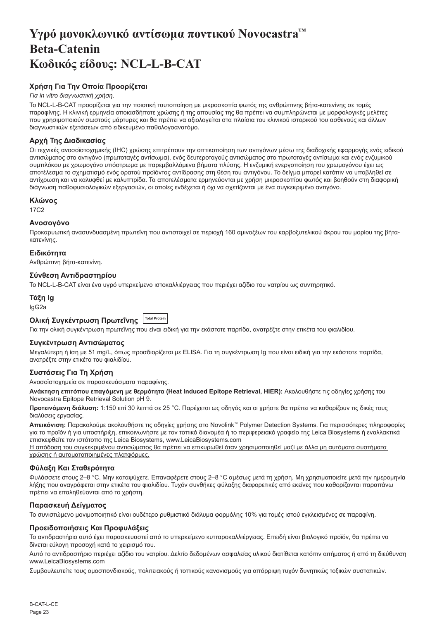# <span id="page-23-0"></span>**Υγρό μονοκλωνικό αντίσωμα ποντικού Novocastra™ Beta-Catenin Κωδικός είδους: NCL-L-B-CAT**

# **Χρήση Για Την Οποία Προορίζεται**

# *Για in vitro διαγνωστική χρήση*.

Το NCL-L-B-CAT προορίζεται για την ποιοτική ταυτοποίηση με μικροσκοπία φωτός της ανθρώπινης βήτα-κατενίνης σε τομές παραφίνης. Η κλινική ερμηνεία οποιασδήποτε χρώσης ή της απουσίας της θα πρέπει να συμπληρώνεται με μορφολογικές μελέτες που χρησιμοποιούν σωστούς μάρτυρες και θα πρέπει να αξιολογείται στα πλαίσια του κλινικού ιστορικού του ασθενούς και άλλων διαγνωστικών εξετάσεων από ειδικευμένο παθολογοανατόμο.

# **Αρχή Της Διαδικασίας**

Οι τεχνικές ανοσοϊστοχημικής (IHC) χρώσης επιτρέπουν την οπτικοποίηση των αντιγόνων μέσω της διαδοχικής εφαρμογής ενός ειδικού αντισώματος στο αντιγόνο (πρωτοταγές αντίσωμα), ενός δευτεροταγούς αντισώματος στο πρωτοταγές αντίσωμα και ενός ενζυμικού συμπλόκου με χρωμογόνο υπόστρωμα με παρεμβαλλόμενα βήματα πλύσης. Η ενζυμική ενεργοποίηση του χρωμογόνου έχει ως αποτέλεσμα το σχηματισμό ενός ορατού προϊόντος αντίδρασης στη θέση του αντιγόνου. Το δείγμα μπορεί κατόπιν να υποβληθεί σε αντίχρωση και να καλυφθεί με καλυπτρίδα. Τα αποτελέσματα ερμηνεύονται με χρήση μικροσκοπίου φωτός και βοηθούν στη διαφορική διάγνωση παθοφυσιολογικών εξεργασιών, οι οποίες ενδέχεται ή όχι να σχετίζονται με ένα συγκεκριμένο αντιγόνο.

# **Κλώνος**

17C2

# **Ανοσογόνο**

Προκαρυωτική ανασυνδυασμένη πρωτεΐνη που αντιστοιχεί σε περιοχή 160 αμινοξέων του καρβοξυτελικού άκρου του μορίου της βήτακατενίνης.

# **Ειδικότητα**

Ανθρώπινη βήτα-κατενίνη.

# **Σύνθεση Αντιδραστηρίου**

Το NCL-L-B-CAT είναι ένα υγρό υπερκείμενο ιστοκαλλιέργειας που περιέχει αζίδιο του νατρίου ως συντηρητικό.

# **Τάξη Ig** IgG2a

# **Ολική Συγκέντρωση Πρωτεΐνης Total Protein**

Για την ολική συγκέντρωση πρωτεΐνης που είναι ειδική για την εκάστοτε παρτίδα, ανατρέξτε στην ετικέτα του φιαλιδίου.

# **Συγκέντρωση Αντισώματος**

Μεγαλύτερη ή ίση με 51 mg/L, όπως προσδιορίζεται με ELISA. Για τη συγκέντρωση Ig που είναι ειδική για την εκάστοτε παρτίδα, ανατρέξτε στην ετικέτα του φιαλιδίου.

# **Συστάσεις Για Τη Χρήση**

Ανοσοϊστοχημεία σε παρασκευάσματα παραφίνης.

**Ανάκτηση επιτόπου επαγόμενη με θερμότητα (Heat Induced Epitope Retrieval, HIER):** Ακολουθήστε τις οδηγίες χρήσης του Novocastra Epitope Retrieval Solution pH 9.

**Προτεινόμενη διάλυση:** 1:150 επί 30 λεπτά σε 25 °C. Παρέχεται ως οδηγός και οι χρήστε θα πρέπει να καθορίζουν τις δικές τους διαλύσεις εργασίας.

**Απεικόνιση:** Παρακαλούμε ακολουθήστε τις οδηγίες χρήσης στο Novolink™ Polymer Detection Systems. Για περισσότερες πληροφορίες για το προϊόν ή για υποστήριξη, επικοινωνήστε με τον τοπικό διανομέα ή το περιφερειακό γραφείο της Leica Biosystems ή εναλλακτικά επισκεφθείτε τον ιστότοπο της Leica Biosystems, www.LeicaBiosystems.com

Η απόδοση του συγκεκριμένου αντισώματος θα πρέπει να επικυρωθεί όταν χρησιμοποιηθεί μαζί με άλλα μη αυτόματα συστήματα χρώσης ή αυτοματοποιημένες πλατφόρμες.

# **Φύλαξη Και Σταθερότητα**

Φυλάσσετε στους 2–8 °C. Μην καταψύχετε. Επαναφέρετε στους 2–8 °C αμέσως μετά τη χρήση. Μη χρησιμοποιείτε μετά την ημερομηνία λήξης που αναγράφεται στην ετικέτα του φιαλιδίου. Τυχόν συνθήκες φύλαξης διαφορετικές από εκείνες που καθορίζονται παραπάνω πρέπει να επαληθεύονται από το χρήστη.

# **Παρασκευή Δείγματος**

Το συνιστώμενο μονιμοποιητικό είναι ουδέτερο ρυθμιστικό διάλυμα φορμόλης 10% για τομές ιστού εγκλεισμένες σε παραφίνη.

# **Προειδοποιήσεις Και Προφυλάξεις**

Το αντιδραστήριο αυτό έχει παρασκευαστεί από το υπερκείμενο κυτταροκαλλιέργειας. Επειδή είναι βιολογικό προϊόν, θα πρέπει να δίνεται εύλογη προσοχή κατά το χειρισμό του.

Αυτό το αντιδραστήριο περιέχει αζίδιο του νατρίου. Δελτίο δεδομένων ασφαλείας υλικού διατίθεται κατόπιν αιτήματος ή από τη διεύθυνση www.LeicaBiosystems.com

Συμβουλευτείτε τους ομοσπονδιακούς, πολιτειακούς ή τοπικούς κανονισμούς για απόρριψη τυχόν δυνητικώς τοξικών συστατικών.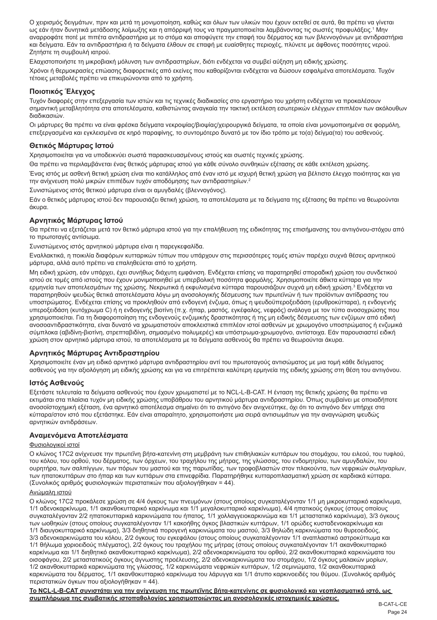Ο χειρισμός δειγμάτων, πριν και μετά τη μονιμοποίηση, καθώς και όλων των υλικών που έχουν εκτεθεί σε αυτά, θα πρέπει να γίνεται ως εάν ήταν δυνητικά μετάδοσης λοίμωξης και η απόρριψή τους να πραγματοποιείται λαμβάνοντας τις σωστές προφυλάξεις.' Μην αναρροφάτε ποτέ με πιπέτα αντιδραστήρια με το στόμα και αποφύγετε την επαφή του δέρματος και των βλεννογόνων με αντιδραστήρια και δείγματα. Εάν τα αντιδραστήρια ή τα δείγματα έλθουν σε επαφή με ευαίσθητες περιοχές, πλύνετε με άφθονες ποσότητες νερού. Ζητήστε τη συμβουλή ιατρού.

Ελαχιστοποιήστε τη μικροβιακή μόλυνση των αντιδραστηρίων, διότι ενδέχεται να συμβεί αύξηση μη ειδικής χρώσης.

Χρόνοι ή θερμοκρασίες επώασης διαφορετικές από εκείνες που καθορίζονται ενδέχεται να δώσουν εσφαλμένα αποτελέσματα. Τυχόν τέτοιες μεταβολές πρέπει να επικυρώνονται από το χρήστη.

# **Ποιοτικός Έλεγχος**

Τυχόν διαφορές στην επεξεργασία των ιστών και τις τεχνικές διαδικασίες στο εργαστήριο του χρήστη ενδέχεται να προκαλέσουν σημαντική μεταβλητότητα στα αποτελέσματα, καθιστώντας αναγκαία την τακτική εκτέλεση εσωτερικών ελέγχων επιπλέον των ακόλουθων διαδικασιών.

Οι μάρτυρες θα πρέπει να είναι φρέσκα δείγματα νεκροψίας/βιοψίας/χειρουργικά δείγματα, τα οποία είναι μονιμοποιημένα σε φορμόλη, επεξεργασμένα και εγκλεισμένα σε κηρό παραφίνης, το συντομότερο δυνατό με τον ίδιο τρόπο με το(α) δείγμα(τα) του ασθενούς.

# **Θετικός Μάρτυρας Ιστού**

Χρησιμοποιείται για να υποδεικνύει σωστά παρασκευασμένους ιστούς και σωστές τεχνικές χρώσης.

Θα πρέπει να περιλαμβάνεται ένας θετικός μάρτυρας ιστού για κάθε σύνολο συνθηκών εξέτασης σε κάθε εκτέλεση χρώσης.

Ένας ιστός με ασθενή θετική χρώση είναι πιο κατάλληλος από έναν ιστό με ισχυρή θετική χρώση για βέλτιστο έλεγχο ποιότητας και για την ανίχνευση πολύ μικρών επιπέδων τυχόν αποδόμησης των αντιδραστηρίων.<sup>2</sup>

Συνιστώμενος ιστός θετικού μάρτυρα είναι οι αμυγδαλές (βλεννογόνος).

Εάν ο θετικός μάρτυρας ιστού δεν παρουσιάζει θετική χρώση, τα αποτελέσματα με τα δείγματα της εξέτασης θα πρέπει να θεωρούνται άκυρα.

# **Αρνητικός Μάρτυρας Ιστού**

Θα πρέπει να εξετάζεται μετά τον θετικό μάρτυρα ιστού για την επαλήθευση της ειδικότητας της επισήμανσης του αντιγόνου-στόχου από το πρωτοταγές αντίσωμα.

Συνιστώμενος ιστός αρνητικού μάρτυρα είναι η παρεγκεφαλίδα.

Εναλλακτικά, η ποικιλία διαφόρων κυτταρικών τύπων που υπάρχουν στις περισσότερες τομές ιστών παρέχει συχνά θέσεις αρνητικού μάρτυρα, αλλά αυτό πρέπει να επαληθεύεται από το χρήστη.

Μη ειδική χρώση, εάν υπάρχει, έχει συνήθως διάχυτη εμφάνιση. Ενδέχεται επίσης να παρατηρηθεί σποραδική χρώση του συνδετικού ιστού σε τομές από ιστούς που έχουν μονιμοποιηθεί με υπερβολική ποσότητα φορμόλης. Χρησιμοποιείτε άθικτα κύτταρα για την ερμηνεία των αποτελεσμάτων της χρώσης. Νεκρωτικά ή εκφυλισμένα κύτταρα παρουσιάζουν συχνά μη ειδική χρώση.<sup>3</sup> Ενδέχεται να παρατηρηθούν ψευδώς θετικά αποτελέσματα λόγω μη ανοσολογικής δέσμευσης των πρωτεϊνών ή των προϊόντων αντίδρασης του υποστρώματος. Ενδέχεται επίσης να προκληθούν από ενδογενή ένζυμα, όπως η ψευδοϋπεροξειδάση (ερυθροκύτταρα), η ενδογενής υπεροξειδάση (κυτόχρωμα C) ή η ενδογενής βιοτίνη (π.χ. ήπαρ, μαστός, εγκέφαλος, νεφρός) ανάλογα με τον τύπο ανοσοχρώσης που χρησιμοποιείται. Για τη διαφοροποίηση της ενδογενούς ενζυμικής δραστικότητας ή της μη ειδικής δέσμευσης των ενζύμων από ειδική ανοσοαντιδραστικότητα, είναι δυνατό να χρωματιστούν αποκλειστικά επιπλέον ιστοί ασθενών με χρωμογόνο υποστρώματος ή ενζυμικά σύμπλοκα (αβιδίνη-βιοτίνη, στρεπταβιδίνη, σημασμένο πολυμερές) και υπόστρωμα-χρωμογόνο, αντίστοιχα. Εάν παρουσιαστεί ειδική χρώση στον αρνητικό μάρτυρα ιστού, τα αποτελέσματα με τα δείγματα ασθενούς θα πρέπει να θεωρούνται άκυρα.

# **Αρνητικός Μάρτυρας Αντιδραστηρίου**

Χρησιμοποιείτε έναν μη ειδικό αρνητικό μάρτυρα αντιδραστηρίου αντί του πρωτοταγούς αντισώματος με μια τομή κάθε δείγματος ασθενούς για την αξιολόγηση μη ειδικής χρώσης και για να επιτρέπεται καλύτερη ερμηνεία της ειδικής χρώσης στη θέση του αντιγόνου.

# **Ιστός Ασθενούς**

Εξετάστε τελευταία τα δείγματα ασθενούς που έχουν χρωματιστεί με το NCL-L-B-CAT. Η ένταση της θετικής χρώσης θα πρέπει να εκτιμάται στα πλαίσια τυχόν μη ειδικής χρώσης υποβάθρου του αρνητικού μάρτυρα αντιδραστηρίου. Όπως συμβαίνει με οποιαδήποτε ανοσοϊστοχημική εξέταση, ένα αρνητικό αποτέλεσμα σημαίνει ότι το αντιγόνο δεν ανιχνεύτηκε, όχι ότι το αντιγόνο δεν υπήρχε στα κύτταρα/στον ιστό που εξετάστηκε. Εάν είναι απαραίτητο, χρησιμοποιήστε μια σειρά αντισωμάτων για την αναγνώριση ψευδώς αρνητικών αντιδράσεων.

# **Αναμενόμενα Αποτελέσματα**

# Φυσιολογικοί ιστοί

Ο κλώνος 17C2 ανίχνευσε την πρωτεΐνη βήτα-κατενίνη στη μεμβράνη των επιθηλιακών κυττάρων του στομάχου, του ειλεού, του τυφλού, του κόλου, του ορθού, του δέρματος, των όρχεων, του τραχήλου της μήτρας, της γλώσσας, του ενδομητρίου, των αμυγδαλών, του ουρητήρα, των σαλπίγγων, των πόρων του μαστού και της παρωτίδας, των τροφοβλαστών στον πλακούντα, των νεφρικών σωληναρίων, των ηπατοκυττάρων στο ήπαρ και των κυττάρων στα επινεφρίδια. Παρατηρήθηκε κυτταροπλασματική χρώση σε καρδιακά κύτταρα. (Συνολικός αριθμός φυσιολογικών περιστατικών που αξιολογήθηκαν = 44).

# Ανώμαλη ιστού

Ο κλώνος 17C2 προκάλεσε χρώση σε 4/4 όγκους των πνευμόνων (στους οποίους συγκαταλέγονταν 1/1 μη μικροκυτταρικό καρκίνωμα, 1/1 αδενοκαρκίνωμα, 1/1 ακανθοκυτταρικό καρκίνωμα και 1/1 μεγαλοκυτταρικό καρκίνωμα), 4/4 ηπατικούς όγκους (στους οποίους συγκαταλέγονταν 2/2 ηπατοκυτταρικά καρκινώματα του ήπατος, 1/1 χολλαγγειοκαρκινώμα και 1/1 μεταστατικό καρκίνωμα), 3/3 όγκους των ωοθηκών (στους οποίους συγκαταλέγονταν 1/1 κακοήθης όγκος βλαστικών κυττάρων, 1/1 ορώδες κυσταδενοκαρκίνωμα και 1/1 διαυγοκυτταρικό καρκίνωμα), 3/3 διηθητικά πορογενή καρκινώματα του μαστού, 3/3 θηλώδη καρκινώματα του θυρεοειδούς, 3/3 αδενοκαρκινώματα του κόλου, 2/2 όγκους του εγκεφάλου (στους οποίους συγκαταλέγονταν 1/1 αναπλαστικό αστροκύττωμα και 1/1 θήλωμα χοριοειδούς πλέγματος), 2/2 όγκους του τραχήλου της μήτρας (στους οποίους συγκαταλέγονταν 1/1 ακανθοκυτταρικό καρκίνωμα και 1/1 διηθητικό ακανθοκυτταρικό καρκίνωμα), 2/2 αδενοκαρκινώματα του ορθού, 2/2 ακανθοκυτταρικά καρκινώματα του οισοφάγου, 2/2 μεταστατικούς όγκους άγνωστης προέλευσης, 2/2 αδενοκαρκινώματα του στομάχου, 1/2 όγκους μαλακών μορίων, 1/2 ακανθοκυτταρικά καρκινώματα της γλώσσας, 1/2 καρκινώματα νεφρικών κυττάρων, 1/2 σεμινώματα, 1/2 ακανθοκυτταρικά καρκινώματα του δέρματος, 1/1 ακανθοκυτταρικό καρκίνωμα του λάρυγγα και 1/1 άτυπο καρκινοειδές του θύμου. (Συνολικός αριθμός περιστατικών όγκων που αξιολογήθηκαν = 44).

**Το NCL-L-B-CAT συνιστάται για την ανίχνευση της πρωτεΐνης βήτα-κατενίνης σε φυσιολογικό και νεοπλασματικό ιστό, ως συμπλήρωμα της συμβατικής ιστοπαθολογίας χρησιμοποιώντας μη ανοσολογικές ιστοχημικές χρώσεις.**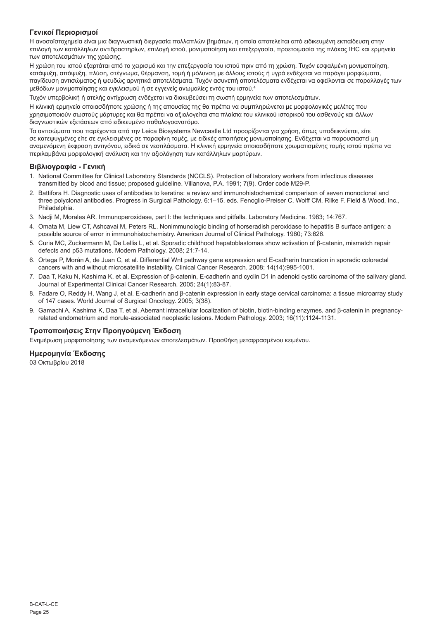# **Γενικοί Περιορισμοί**

Η ανοσοϊστοχημεία είναι μια διαγνωστική διεργασία πολλαπλών βημάτων, η οποία αποτελείται από ειδικευμένη εκπαίδευση στην επιλογή των κατάλληλων αντιδραστηρίων, επιλογή ιστού, μονιμοποίηση και επεξεργασία, προετοιμασία της πλάκας IHC και ερμηνεία των αποτελεσμάτων της χρώσης.

Η χρώση του ιστού εξαρτάται από το χειρισμό και την επεξεργασία του ιστού πριν από τη χρώση. Τυχόν εσφαλμένη μονιμοποίηση, κατάψυξη, απόψυξη, πλύση, στέγνωμα, θέρμανση, τομή ή μόλυνση με άλλους ιστούς ή υγρά ενδέχεται να παράγει μορφώματα, παγίδευση αντισώματος ή ψευδώς αρνητικά αποτελέσματα. Τυχόν ασυνεπή αποτελέσματα ενδέχεται να οφείλονται σε παραλλαγές των μεθόδων μονιμοποίησης και εγκλεισμού ή σε εγγενείς ανωμαλίες εντός του ιστού.<sup>4</sup>

Τυχόν υπερβολική ή ατελής αντίχρωση ενδέχεται να διακυβεύσει τη σωστή ερμηνεία των αποτελεσμάτων.

Η κλινική ερμηνεία οποιασδήποτε χρώσης ή της απουσίας της θα πρέπει να συμπληρώνεται με μορφολογικές μελέτες που χρησιμοποιούν σωστούς μάρτυρες και θα πρέπει να αξιολογείται στα πλαίσια του κλινικού ιστορικού του ασθενούς και άλλων διαγνωστικών εξετάσεων από ειδικευμένο παθολογοανατόμο.

Τα αντισώματα που παρέχονται από την Leica Biosystems Newcastle Ltd προορίζονται για χρήση, όπως υποδεικνύεται, είτε σε κατεψυγμένες είτε σε εγκλεισμένες σε παραφίνη τομές, με ειδικές απαιτήσεις μονιμοποίησης. Ενδέχεται να παρουσιαστεί μη αναμενόμενη έκφραση αντιγόνου, ειδικά σε νεοπλάσματα. Η κλινική ερμηνεία οποιασδήποτε χρωματισμένης τομής ιστού πρέπει να περιλαμβάνει μορφολογική ανάλυση και την αξιολόγηση των κατάλληλων μαρτύρων.

# **Βιβλιογραφία - Γενική**

- 1. National Committee for Clinical Laboratory Standards (NCCLS). Protection of laboratory workers from infectious diseases transmitted by blood and tissue; proposed guideline. Villanova, P.A. 1991; 7(9). Order code M29-P.
- 2. Battifora H. Diagnostic uses of antibodies to keratins: a review and immunohistochemical comparison of seven monoclonal and three polyclonal antibodies. Progress in Surgical Pathology. 6:1–15. eds. Fenoglio-Preiser C, Wolff CM, Rilke F. Field & Wood, Inc., Philadelphia.
- 3. Nadji M, Morales AR. Immunoperoxidase, part I: the techniques and pitfalls. Laboratory Medicine. 1983; 14:767.
- 4. Omata M, Liew CT, Ashcavai M, Peters RL. Nonimmunologic binding of horseradish peroxidase to hepatitis B surface antigen: a possible source of error in immunohistochemistry. American Journal of Clinical Pathology. 1980; 73:626.
- 5. Curia MC, Zuckermann M, De Lellis L, et al. Sporadic childhood hepatoblastomas show activation of β-catenin, mismatch repair defects and p53 mutations. Modern Pathology. 2008; 21:7-14.
- 6. Ortega P, Morán A, de Juan C, et al. Differential Wnt pathway gene expression and E-cadherin truncation in sporadic colorectal cancers with and without microsatellite instability. Clinical Cancer Research. 2008; 14(14):995-1001.
- 7. Daa T, Kaku N, Kashima K, et al. Expression of β-catenin, E-cadherin and cyclin D1 in adenoid cystic carcinoma of the salivary gland. Journal of Experimental Clinical Cancer Research. 2005; 24(1):83-87.
- 8. Fadare O, Reddy H, Wang J, et al. E-cadherin and β-catenin expression in early stage cervical carcinoma: a tissue microarray study of 147 cases. World Journal of Surgical Oncology. 2005; 3(38).
- 9. Gamachi A, Kashima K, Daa T, et al. Aberrant intracellular localization of biotin, biotin-binding enzymes, and β-catenin in pregnancyrelated endometrium and morule-associated neoplastic lesions. Modern Pathology. 2003; 16(11):1124-1131.

# **Τροποποιήσεις Στην Προηγούμενη Έκδοση**

Ενημέρωση μορφοποίησης των αναμενόμενων αποτελεσμάτων. Προσθήκη μεταφρασμένου κειμένου.

# **Ημερομηνία Έκδοσης**

03 Οκτωβρίου 2018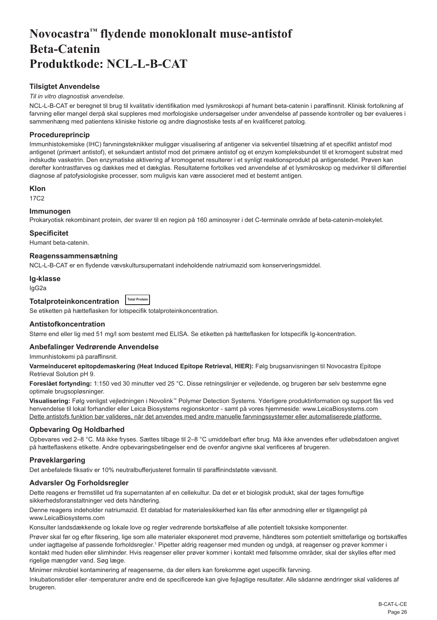# <span id="page-26-0"></span>**Novocastra™ flydende monoklonalt muse-antistof Beta-Catenin Produktkode: NCL-L-B-CAT**

# **Tilsigtet Anvendelse**

# *Til in vitro diagnostisk anvendelse*.

NCL-L-B-CAT er beregnet til brug til kvalitativ identifikation med lysmikroskopi af humant beta-catenin i paraffinsnit. Klinisk fortolkning af farvning eller mangel derpå skal suppleres med morfologiske undersøgelser under anvendelse af passende kontroller og bør evalueres i sammenhæng med patientens kliniske historie og andre diagnostiske tests af en kvalificeret patolog.

# **Procedureprincip**

Immunhistokemiske (IHC) farvningsteknikker muliggør visualisering af antigener via sekventiel tilsætning af et specifikt antistof mod antigenet (primært antistof), et sekundært antistof mod det primære antistof og et enzym kompleksbundet til et kromogent substrat med indskudte vasketrin. Den enzymatiske aktivering af kromogenet resulterer i et synligt reaktionsprodukt på antigenstedet. Prøven kan derefter kontrastfarves og dækkes med et dækglas. Resultaterne fortolkes ved anvendelse af et lysmikroskop og medvirker til differentiel diagnose af patofysiologiske processer, som muligvis kan være associeret med et bestemt antigen.

# **Klon**

17C2

# **Immunogen**

Prokaryotisk rekombinant protein, der svarer til en region på 160 aminosyrer i det C-terminale område af beta-catenin-molekylet.

### **Specificitet**

Humant beta-catenin.

#### **Reagenssammensætning**

NCL-L-B-CAT er en flydende vævskultursupernatant indeholdende natriumazid som konserveringsmiddel.

#### **Ig-klasse**

IgG2a

# **Totalproteinkoncentration Total Protein**

Se etiketten på hætteflasken for lotspecifik totalproteinkoncentration.

# **Antistofkoncentration**

Større end eller lig med 51 mg/l som bestemt med ELISA. Se etiketten på hætteflasken for lotspecifik Ig-koncentration.

# **Anbefalinger Vedrørende Anvendelse**

Immunhistokemi på paraffinsnit.

**Varmeinduceret epitopdemaskering (Heat Induced Epitope Retrieval, HIER):** Følg brugsanvisningen til Novocastra Epitope Retrieval Solution pH 9.

**Foreslået fortynding:** 1:150 ved 30 minutter ved 25 °C. Disse retningslinjer er vejledende, og brugeren bør selv bestemme egne optimale brugsopløsninger.

**Visualisering:** Følg venligst vejledningen i Novolink™ Polymer Detection Systems. Yderligere produktinformation og support fås ved henvendelse til lokal forhandler eller Leica Biosystems regionskontor - samt på vores hjemmeside: www.LeicaBiosystems.com Dette antistofs funktion bør valideres, når det anvendes med andre manuelle farvningssystemer eller automatiserede platforme.

# **Opbevaring Og Holdbarhed**

Opbevares ved 2–8 °C. Må ikke fryses. Sættes tilbage til 2–8 °C umiddelbart efter brug. Må ikke anvendes efter udløbsdatoen angivet på hætteflaskens etikette. Andre opbevaringsbetingelser end de ovenfor angivne skal verificeres af brugeren.

# **Prøveklargøring**

Det anbefalede fiksativ er 10% neutralbufferjusteret formalin til paraffinindstøbte vævssnit.

# **Advarsler Og Forholdsregler**

Dette reagens er fremstillet ud fra supernatanten af en cellekultur. Da det er et biologisk produkt, skal der tages fornuftige sikkerhedsforanstaltninger ved dets håndtering.

Denne reagens indeholder natriumazid. Et datablad for materialesikkerhed kan fås efter anmodning eller er tilgængeligt på www.LeicaBiosystems.com

Konsulter landsdækkende og lokale love og regler vedrørende bortskaffelse af alle potentielt toksiske komponenter.

Prøver skal før og efter fiksering, lige som alle materialer eksponeret mod prøverne, håndteres som potentielt smittefarlige og bortskaffes under iagttagelse af passende forholdsregler.<sup>1</sup> Pipetter aldrig reagenser med munden og undgå, at reagenser og prøver kommer i kontakt med huden eller slimhinder. Hvis reagenser eller prøver kommer i kontakt med følsomme områder, skal der skylles efter med rigelige mængder vand. Søg læge.

Minimer mikrobiel kontaminering af reagenserne, da der ellers kan forekomme øget uspecifik farvning.

Inkubationstider eller -temperaturer andre end de specificerede kan give fejlagtige resultater. Alle sådanne ændringer skal valideres af brugeren.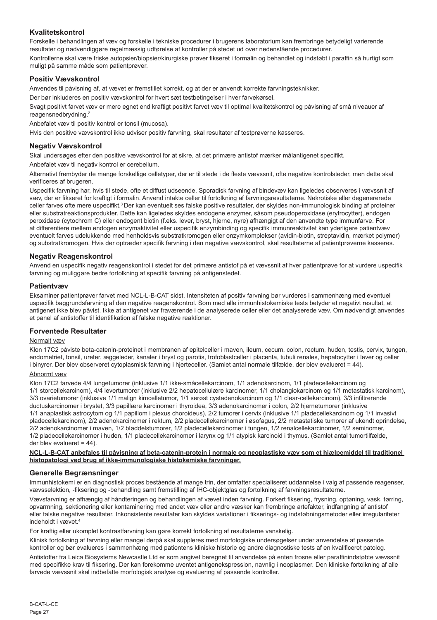# **Kvalitetskontrol**

Forskelle i behandlingen af væv og forskelle i tekniske procedurer i brugerens laboratorium kan frembringe betydeligt varierende resultater og nødvendiggøre regelmæssig udførelse af kontroller på stedet ud over nedenstående procedurer.

Kontrollerne skal være friske autopsier/biopsier/kirurgiske prøver fikseret i formalin og behandlet og indstøbt i paraffin så hurtigt som muligt på samme måde som patientprøver.

# **Positiv Vævskontrol**

Anvendes til påvisning af, at vævet er fremstillet korrekt, og at der er anvendt korrekte farvningsteknikker.

Der bør inkluderes en positiv vævskontrol for hvert sæt testbetingelser i hver farvekørsel.

Svagt positivt farvet væv er mere egnet end kraftigt positivt farvet væv til optimal kvalitetskontrol og påvisning af små niveauer af reagensnedbrydning.<sup>2</sup>

Anbefalet væv til positiv kontrol er tonsil (mucosa).

Hvis den positive vævskontrol ikke udviser positiv farvning, skal resultater af testprøverne kasseres.

# **Negativ Vævskontrol**

Skal undersøges efter den positive vævskontrol for at sikre, at det primære antistof mærker målantigenet specifikt.

Anbefalet væv til negativ kontrol er cerebellum.

Alternativt frembyder de mange forskellige celletyper, der er til stede i de fleste vævssnit, ofte negative kontrolsteder, men dette skal verificeres af brugeren.

Uspecifik farvning har, hvis til stede, ofte et diffust udseende. Sporadisk farvning af bindevæv kan ligeledes observeres i vævssnit af væv, der er fikseret for kraftigt i formalin. Anvend intakte celler til fortolkning af farvningsresultaterne. Nekrotiske eller degenererede celler farves ofte mere uspecifikt.3 Der kan eventuelt ses falske positive resultater, der skyldes non-immunologisk binding af proteiner eller substratreaktionsprodukter. Dette kan ligeledes skyldes endogene enzymer, såsom pseudoperoxidase (erytrocytter), endogen peroxidase (cytochrom C) eller endogent biotin (f.eks. lever, bryst, hjerne, nyre) afhængigt af den anvendte type immunfarve. For at differentiere mellem endogen enzymaktivitet eller uspecifik enzymbinding og specifik immunreaktivitet kan yderligere patientvæv eventuelt farves udelukkende med henholdsvis substratkromogen eller enzymkomplekser (avidin-biotin, streptavidin, mærket polymer) og substratkromogen. Hvis der optræder specifik farvning i den negative vævskontrol, skal resultaterne af patientprøverne kasseres.

### **Negativ Reagenskontrol**

Anvend en uspecifik negativ reagenskontrol i stedet for det primære antistof på et vævssnit af hver patientprøve for at vurdere uspecifik farvning og muliggøre bedre fortolkning af specifik farvning på antigenstedet.

### **Patientvæv**

Eksaminer patientprøver farvet med NCL-L-B-CAT sidst. Intensiteten af positiv farvning bør vurderes i sammenhæng med eventuel uspecifik baggrundsfarvning af den negative reagenskontrol. Som med alle immunhistokemiske tests betyder et negativt resultat, at antigenet ikke blev påvist. Ikke at antigenet var fraværende i de analyserede celler eller det analyserede væv. Om nødvendigt anvendes et panel af antistoffer til identifikation af falske negative reaktioner.

# **Forventede Resultater**

# Normalt væv

Klon 17C2 påviste beta-catenin-proteinet i membranen af epitelceller i maven, ileum, cecum, colon, rectum, huden, testis, cervix, tungen, endometriet, tonsil, ureter, æggeleder, kanaler i bryst og parotis, trofoblastceller i placenta, tubuli renales, hepatocytter i lever og celler i binyrer. Der blev observeret cytoplasmisk farvning i hjerteceller. (Samlet antal normale tilfælde, der blev evalueret = 44).

# Abnormt væv

Klon 17C2 farvede 4/4 lungetumorer (inklusive 1/1 ikke-småcellekarcinom, 1/1 adenokarcinom, 1/1 pladecellekarcinom og 1/1 storcellekarcinom), 4/4 levertumorer (inklusive 2/2 hepatocellulære karcinomer, 1/1 cholangiokarcinom og 1/1 metastatisk karcinom), 3/3 ovarietumorer (inklusive 1/1 malign kimcelletumor, 1/1 serøst cystadenokarcinom og 1/1 clear-cellekarcinom), 3/3 infiltrerende ductuskarcinomer i brystet, 3/3 papillære karcinomer i thyroidea, 3/3 adenokarcinomer i colon, 2/2 hjernetumorer (inklusive 1/1 anaplastisk astrocytom og 1/1 papillom i plexus choroideus), 2/2 tumorer i cervix (inklusive 1/1 pladecellekarcinom og 1/1 invasivt pladecellekarcinom), 2/2 adenokarcinomer i rektum, 2/2 pladecellekarcinomer i øsofagus, 2/2 metastatiske tumorer af ukendt oprindelse, 2/2 adenokarcinomer i maven, 1/2 bløddelstumorer, 1/2 pladecellekarcinomer i tungen, 1/2 renalcellekarcinomer, 1/2 seminomer, 1/2 pladecellekarcinomer i huden, 1/1 pladecellekarcinomer i larynx og 1/1 atypisk karcinoid i thymus. (Samlet antal tumortilfælde, der blev evalueret = 44).

**NCL-L-B-CAT anbefales til påvisning af beta-catenin-protein i normale og neoplastiske væv som et hjælpemiddel til traditionel histopatologi ved brug af ikke-immunologiske histokemiske farvninger.**

# **Generelle Begrænsninger**

Immunhistokemi er en diagnostisk proces bestående af mange trin, der omfatter specialiseret uddannelse i valg af passende reagenser, vævsselektion, -fiksering og -behandling samt fremstilling af IHC-objektglas og fortolkning af farvningsresultaterne.

Vævsfarvning er afhængig af håndteringen og behandlingen af vævet inden farvning. Forkert fiksering, frysning, optøning, vask, tørring, opvarmning, sektionering eller kontaminering med andet væv eller andre væsker kan frembringe artefakter, indfangning af antistof eller falske negative resultater. Inkonsistente resultater kan skyldes variationer i fikserings- og indstøbningsmetoder eller irregulariteter indeholdt i vævet.<sup>4</sup>

For kraftig eller ukomplet kontrastfarvning kan gøre korrekt fortolkning af resultaterne vanskelig.

Klinisk fortolkning af farvning eller mangel derpå skal suppleres med morfologiske undersøgelser under anvendelse af passende kontroller og bør evalueres i sammenhæng med patientens kliniske historie og andre diagnostiske tests af en kvalificeret patolog.

Antistoffer fra Leica Biosystems Newcastle Ltd er som angivet beregnet til anvendelse på enten frosne eller paraffinindstøbte vævssnit med specifikke krav til fiksering. Der kan forekomme uventet antigenekspression, navnlig i neoplasmer. Den kliniske fortolkning af alle farvede vævssnit skal indbefatte morfologisk analyse og evaluering af passende kontroller.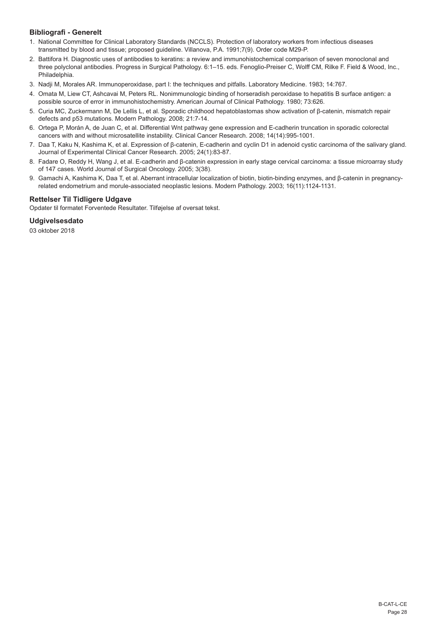# **Bibliografi - Generelt**

- 1. National Committee for Clinical Laboratory Standards (NCCLS). Protection of laboratory workers from infectious diseases transmitted by blood and tissue; proposed guideline. Villanova, P.A. 1991;7(9). Order code M29-P.
- 2. Battifora H. Diagnostic uses of antibodies to keratins: a review and immunohistochemical comparison of seven monoclonal and three polyclonal antibodies. Progress in Surgical Pathology. 6:1–15. eds. Fenoglio-Preiser C, Wolff CM, Rilke F. Field & Wood, Inc., Philadelphia.
- 3. Nadji M, Morales AR. Immunoperoxidase, part I: the techniques and pitfalls. Laboratory Medicine. 1983; 14:767.
- 4. Omata M, Liew CT, Ashcavai M, Peters RL. Nonimmunologic binding of horseradish peroxidase to hepatitis B surface antigen: a possible source of error in immunohistochemistry. American Journal of Clinical Pathology. 1980; 73:626.
- 5. Curia MC, Zuckermann M, De Lellis L, et al. Sporadic childhood hepatoblastomas show activation of β-catenin, mismatch repair defects and p53 mutations. Modern Pathology. 2008; 21:7-14.
- 6. Ortega P, Morán A, de Juan C, et al. Differential Wnt pathway gene expression and E-cadherin truncation in sporadic colorectal cancers with and without microsatellite instability. Clinical Cancer Research. 2008; 14(14):995-1001.
- 7. Daa T, Kaku N, Kashima K, et al. Expression of β-catenin, E-cadherin and cyclin D1 in adenoid cystic carcinoma of the salivary gland. Journal of Experimental Clinical Cancer Research. 2005; 24(1):83-87.
- 8. Fadare O, Reddy H, Wang J, et al. E-cadherin and β-catenin expression in early stage cervical carcinoma: a tissue microarray study of 147 cases. World Journal of Surgical Oncology. 2005; 3(38).
- 9. Gamachi A, Kashima K, Daa T, et al. Aberrant intracellular localization of biotin, biotin-binding enzymes, and β-catenin in pregnancyrelated endometrium and morule-associated neoplastic lesions. Modern Pathology. 2003; 16(11):1124-1131.

# **Rettelser Til Tidligere Udgave**

Opdater til formatet Forventede Resultater. Tilføjelse af oversat tekst.

#### **Udgivelsesdato**

03 oktober 2018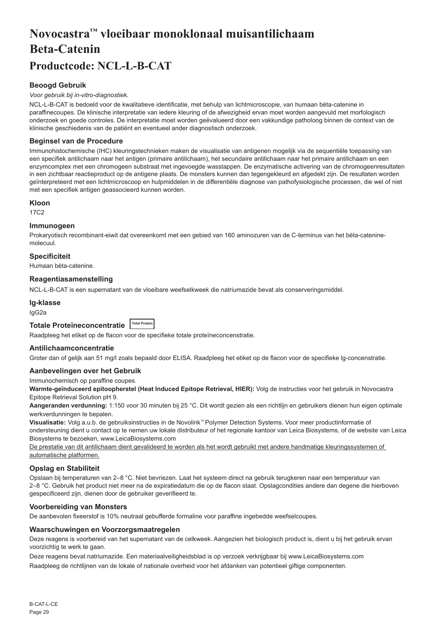# <span id="page-29-0"></span>**Novocastra™ vloeibaar monoklonaal muisantilichaam Beta-Catenin Productcode: NCL-L-B-CAT**

# **Beoogd Gebruik**

#### *Voor gebruik bij in-vitro-diagnostiek.*

NCL-L-B-CAT is bedoeld voor de kwalitatieve identificatie, met behulp van lichtmicroscopie, van humaan bèta-catenine in paraffinecoupes. De klinische interpretatie van iedere kleuring of de afwezigheid ervan moet worden aangevuld met morfologisch onderzoek en goede controles. De interpretatie moet worden geëvalueerd door een vakkundige patholoog binnen de context van de klinische geschiedenis van de patiënt en eventueel ander diagnostisch onderzoek.

### **Beginsel van de Procedure**

Immunohistochemische (IHC) kleuringstechnieken maken de visualisatie van antigenen mogelijk via de sequentiële toepassing van een specifiek antilichaam naar het antigen (primaire antilichaam), het secundaire antilichaam naar het primaire antilichaam en een enzymcomplex met een chromogeen substraat met ingevoegde wasstappen. De enzymatische activering van de chromogeenresultaten in een zichtbaar reactieproduct op de antigene plaats. De monsters kunnen dan tegengekleurd en afgedekt zijn. De resultaten worden geïnterpreteerd met een lichtmicroscoop en hulpmiddelen in de differentiële diagnose van pathofysiologische processen, die wel of niet met een specifiek antigen geassocieerd kunnen worden.

#### **Kloon**

17C2

### **Immunogeen**

Prokaryotisch recombinant-eiwit dat overeenkomt met een gebied van 160 aminozuren van de C-terminus van het bèta-cateninemolecuul.

# **Specificiteit**

Humaan bèta-catenine.

# **Reagentiasamenstelling**

NCL-L-B-CAT is een supernatant van de vloeibare weefselkweek die natriumazide bevat als conserveringsmiddel.

#### **Ig-klasse**

IgG2a

# **Totale Proteïneconcentratie Total Protein**

Raadpleeg het etiket op de flacon voor de specifieke totale proteïneconcenstratie.

# **Antilichaamconcentratie**

Groter dan of gelijk aan 51 mg/l zoals bepaald door ELISA. Raadpleeg het etiket op de flacon voor de specifieke lg-concenstratie.

#### **Aanbevelingen over het Gebruik**

Immunochemisch op paraffine coupes.

**Warmte-geïnduceerd epitoopherstel (Heat Induced Epitope Retrieval, HIER):** Volg de instructies voor het gebruik in Novocastra Epitope Retrieval Solution pH 9.

Aangeranden verdunning: 1:150 voor 30 minuten bij 25 °C. Dit wordt gezien als een richtlijn en gebruikers dienen hun eigen optimale werkverdunningen te bepalen.

**Visualisatie:** Volg a.u.b. de gebruiksinstructies in de Novolink™ Polymer Detection Systems. Voor meer productinformatie of ondersteuning dient u contact op te nemen uw lokale distributeur of het regionale kantoor van Leica Biosystems, of de website van Leica Biosystems te bezoeken, www.LeicaBiosystems.com

De prestatie van dit antilichaam dient gevalideerd te worden als het wordt gebruikt met andere handmatige kleuringssystemen of automatische platformen.

#### **Opslag en Stabiliteit**

Opslaan bij temperaturen van 2–8 °C. Niet bevriezen. Laat het systeem direct na gebruik terugkeren naar een temperatuur van 2–8 °C. Gebruik het product niet meer na de expiratiedatum die op de flacon staat. Opslagcondities andere dan degene die hierboven gespecificeerd zijn, dienen door de gebruiker geverifieerd te.

### **Voorbereiding van Monsters**

De aanbevolen fixeerstof is 10% neutraal gebufferde formaline voor paraffine ingebedde weefselcoupes.

#### **Waarschuwingen en Voorzorgsmaatregelen**

Deze reagens is voorbereid van het supernatant van de celkweek. Aangezien het biologisch product is, dient u bij het gebruik ervan voorzichtig te werk te gaan.

Deze reagens bevat natriumazide. Een materiaalveiligheidsblad is op verzoek verkrijgbaar bij www.LeicaBiosystems.com

Raadpleeg de richtlijnen van de lokale of nationale overheid voor het afdanken van potentieel giftige componenten.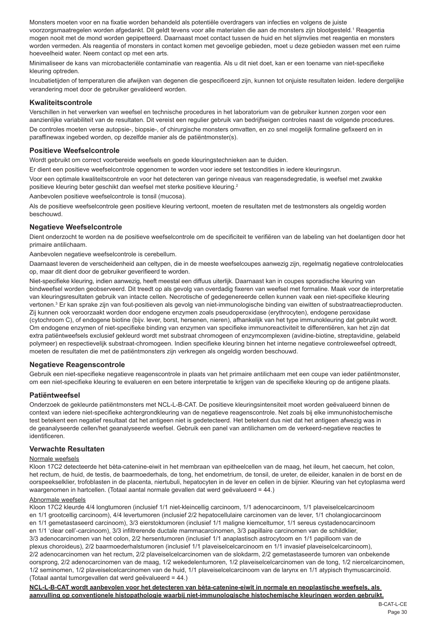Monsters moeten voor en na fixatie worden behandeld als potentiële overdragers van infecties en volgens de juiste voorzorgsmaatregelen worden afgedankt. Dit geldt tevens voor alle materialen die aan de monsters zijn blootgesteld.' Reagentia mogen nooit met de mond worden gepipetteerd. Daarnaast moet contact tussen de huid en het slijmvlies met reagentia en monsters worden vermeden. Als reagentia of monsters in contact komen met gevoelige gebieden, moet u deze gebieden wassen met een ruime hoeveelheid water. Neem contact op met een arts.

Minimaliseer de kans van microbacteriële contaminatie van reagentia. Als u dit niet doet, kan er een toename van niet-specifieke kleuring optreden.

Incubatietijden of temperaturen die afwijken van degenen die gespecificeerd zijn, kunnen tot onjuiste resultaten leiden. Iedere dergelijke verandering moet door de gebruiker gevalideerd worden.

#### **Kwaliteitscontrole**

Verschillen in het verwerken van weefsel en technische procedures in het laboratorium van de gebruiker kunnen zorgen voor een aanzienlijke variabiliteit van de resultaten. Dit vereist een regulier gebruik van bedrijfseigen controles naast de volgende procedures.

De controles moeten verse autopsie-, biopsie-, of chirurgische monsters omvatten, en zo snel mogelijk formaline gefixeerd en in paraffinewax ingebed worden, op dezelfde manier als de patiëntmonster(s).

#### **Positieve Weefselcontrole**

Wordt gebruikt om correct voorbereide weefsels en goede kleuringstechnieken aan te duiden.

Er dient een positieve weefselcontrole opgenomen te worden voor iedere set testcondities in iedere kleuringsrun.

Voor een optimale kwaliteitscontrole en voor het detecteren van geringe niveaus van reagensdegredatie, is weefsel met zwakke positieve kleuring beter geschikt dan weefsel met sterke positieve kleuring.<sup>2</sup>

Aanbevolen positieve weefselcontrole is tonsil (mucosa).

Als de positieve weefselcontrole geen positieve kleuring vertoont, moeten de resultaten met de testmonsters als ongeldig worden beschouwd.

#### **Negatieve Weefselcontrole**

Dient onderzocht te worden na de positieve weefselcontrole om de specificiteit te verifiëren van de labeling van het doelantigen door het primaire antilichaam.

Aanbevolen negatieve weefselcontrole is cerebellum.

Daarnaast leveren de verscheidenheid aan celtypen, die in de meeste weefselcoupes aanwezig zijn, regelmatig negatieve controlelocaties op, maar dit dient door de gebruiker geverifieerd te worden.

Niet-specifieke kleuring, indien aanwezig, heeft meestal een diffuus uiterlijk. Daarnaast kan in coupes sporadische kleuring van bindweefsel worden geobserveerd. Dit treedt op als gevolg van overdadig fixeren van weefsel met formaline. Maak voor de interpretatie van kleuringsresultaten gebruik van intacte cellen. Necrotische of gedegenereerde cellen kunnen vaak een niet-specifieke kleuring vertonen.<sup>3</sup> Er kan sprake zijn van fout-positieven als gevolg van niet-immunologische binding van eiwitten of substraatreactieproducten. Zij kunnen ook veroorzaakt worden door endogene enzymen zoals pseudoperoxidase (erythrocyten), endogene peroxidase (cytochroom C), of endogene biotine (bijv. lever, borst, hersenen, nieren), afhankelijk van het type immunokleuring dat gebruikt wordt. Om endogene enzymen of niet-specifieke binding van enzymen van specifieke immunoreactiviteit te differentiëren, kan het zijn dat extra patiëntweefsels exclusief gekleurd wordt met substraat chromogeen of enzymcomplexen (avidine-biotine, streptavidine, gelabeld polymeer) en respectievelijk substraat-chromogeen. Indien specifieke kleuring binnen het interne negatieve controleweefsel optreedt, moeten de resultaten die met de patiëntmonsters zijn verkregen als ongeldig worden beschouwd.

#### **Negatieve Reagenscontrole**

Gebruik een niet-specifieke negatieve reagenscontrole in plaats van het primaire antilichaam met een coupe van ieder patiëntmonster, om een niet-specifieke kleuring te evalueren en een betere interpretatie te krijgen van de specifieke kleuring op de antigene plaats.

#### **Patiëntweefsel**

Onderzoek de gekleurde patiëntmonsters met NCL-L-B-CAT. De positieve kleuringsintensiteit moet worden geëvalueerd binnen de context van iedere niet-specifieke achtergrondkleuring van de negatieve reagenscontrole. Net zoals bij elke immunohistochemische test betekent een negatief resultaat dat het antigeen niet is gedetecteerd. Het betekent dus niet dat het antigeen afwezig was in de geanalyseerde cellen/het geanalyseerde weefsel. Gebruik een panel van antilichamen om de verkeerd-negatieve reacties te identificeren.

#### **Verwachte Resultaten**

#### Normale weefsels

Kloon 17C2 detecteerde het bèta-catenine-eiwit in het membraan van epitheelcellen van de maag, het ileum, het caecum, het colon, het rectum, de huid, de testis, de baarmoederhals, de tong, het endometrium, de tonsil, de ureter, de eileider, kanalen in de borst en de oorspeekselklier, trofoblasten in de placenta, niertubuli, hepatocyten in de lever en cellen in de bijnier. Kleuring van het cytoplasma werd waargenomen in hartcellen. (Totaal aantal normale gevallen dat werd geëvalueerd = 44.)

#### Abnormale weefsels

Kloon 17C2 kleurde 4/4 longtumoren (inclusief 1/1 niet-kleincellig carcinoom, 1/1 adenocarcinoom, 1/1 plaveiselcelcarcinoom en 1/1 grootcellig carcinoom), 4/4 levertumoren (inclusief 2/2 hepatocellulaire carcinomen van de lever, 1/1 cholangiocarcinoom en 1/1 gemetastaseerd carcinoom), 3/3 eierstoktumoren (inclusief 1/1 maligne kiemceltumor, 1/1 sereus cystadenocarcinoom en 1/1 'clear cell'-carcinoom), 3/3 infiltrerende ductale mammacarcinomen, 3/3 papillaire carcinomen van de schildklier, 3/3 adenocarcinomen van het colon, 2/2 hersentumoren (inclusief 1/1 anaplastisch astrocytoom en 1/1 papilloom van de plexus choroideus), 2/2 baarmoederhalstumoren (inclusief 1/1 plaveiselcelcarcinoom en 1/1 invasief plaveiselcelcarcinoom), 2/2 adenocarcinomen van het rectum, 2/2 plaveiselcelcarcinomen van de slokdarm, 2/2 gemetastaseerde tumoren van onbekende oorsprong, 2/2 adenocarcinomen van de maag, 1/2 wekedelentumoren, 1/2 plaveiselcelcarcinomen van de tong, 1/2 niercelcarcinomen, 1/2 seminomen, 1/2 plaveiselcelcarcinomen van de huid, 1/1 plaveiselcelcarcinoom van de larynx en 1/1 atypisch thymuscarcinoïd. (Totaal aantal tumorgevallen dat werd geëvalueerd = 44.)

**NCL-L-B-CAT wordt aanbevolen voor het detecteren van bèta-catenine-eiwit in normale en neoplastische weefsels, als aanvulling op conventionele histopathologie waarbij niet-immunologische histochemische kleuringen worden gebruikt.**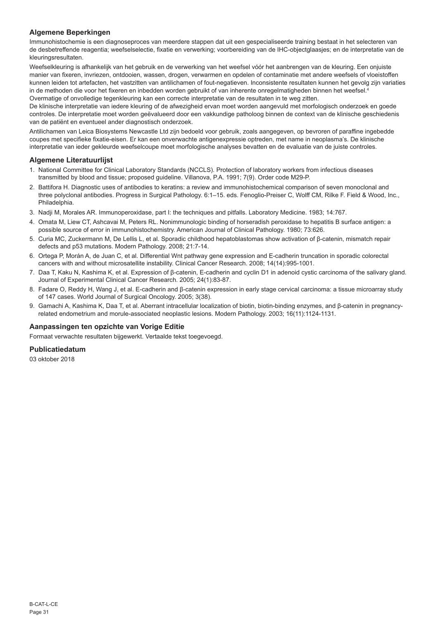# **Algemene Beperkingen**

Immunohistochemie is een diagnoseproces van meerdere stappen dat uit een gespecialiseerde training bestaat in het selecteren van de desbetreffende reagentia; weefselselectie, fixatie en verwerking; voorbereiding van de IHC-objectglaasjes; en de interpretatie van de kleuringsresultaten.

Weefselkleuring is afhankelijk van het gebruik en de verwerking van het weefsel vóór het aanbrengen van de kleuring. Een onjuiste manier van fixeren, invriezen, ontdooien, wassen, drogen, verwarmen en opdelen of contaminatie met andere weefsels of vloeistoffen kunnen leiden tot artefacten, het vastzitten van antilichamen of fout-negatieven. Inconsistente resultaten kunnen het gevolg zijn variaties in de methoden die voor het fixeren en inbedden worden gebruikt of van inherente onregelmatigheden binnen het weefsel.<sup>4</sup> Overmatige of onvolledige tegenkleuring kan een correcte interpretatie van de resultaten in te weg zitten.

De klinische interpretatie van iedere kleuring of de afwezigheid ervan moet worden aangevuld met morfologisch onderzoek en goede controles. De interpretatie moet worden geëvalueerd door een vakkundige patholoog binnen de context van de klinische geschiedenis van de patiënt en eventueel ander diagnostisch onderzoek.

Antilichamen van Leica Biosystems Newcastle Ltd zijn bedoeld voor gebruik, zoals aangegeven, op bevroren of paraffine ingebedde coupes met specifieke fixatie-eisen. Er kan een onverwachte antigenexpressie optreden, met name in neoplasma's. De klinische interpretatie van ieder gekleurde weefselcoupe moet morfologische analyses bevatten en de evaluatie van de juiste controles.

# **Algemene Literatuurlijst**

- 1. National Committee for Clinical Laboratory Standards (NCCLS). Protection of laboratory workers from infectious diseases transmitted by blood and tissue; proposed guideline. Villanova, P.A. 1991; 7(9). Order code M29-P.
- 2. Battifora H. Diagnostic uses of antibodies to keratins: a review and immunohistochemical comparison of seven monoclonal and three polyclonal antibodies. Progress in Surgical Pathology. 6:1–15. eds. Fenoglio-Preiser C, Wolff CM, Rilke F. Field & Wood, Inc., Philadelphia.
- 3. Nadji M, Morales AR. Immunoperoxidase, part I: the techniques and pitfalls. Laboratory Medicine. 1983; 14:767.
- 4. Omata M, Liew CT, Ashcavai M, Peters RL. Nonimmunologic binding of horseradish peroxidase to hepatitis B surface antigen: a possible source of error in immunohistochemistry. American Journal of Clinical Pathology. 1980; 73:626.
- 5. Curia MC, Zuckermann M, De Lellis L, et al. Sporadic childhood hepatoblastomas show activation of β-catenin, mismatch repair defects and p53 mutations. Modern Pathology. 2008; 21:7-14.
- 6. Ortega P, Morán A, de Juan C, et al. Differential Wnt pathway gene expression and E-cadherin truncation in sporadic colorectal cancers with and without microsatellite instability. Clinical Cancer Research. 2008; 14(14):995-1001.
- 7. Daa T, Kaku N, Kashima K, et al. Expression of β-catenin, E-cadherin and cyclin D1 in adenoid cystic carcinoma of the salivary gland. Journal of Experimental Clinical Cancer Research. 2005; 24(1):83-87.
- 8. Fadare O, Reddy H, Wang J, et al. E-cadherin and β-catenin expression in early stage cervical carcinoma: a tissue microarray study of 147 cases. World Journal of Surgical Oncology. 2005; 3(38).
- 9. Gamachi A, Kashima K, Daa T, et al. Aberrant intracellular localization of biotin, biotin-binding enzymes, and β-catenin in pregnancyrelated endometrium and morule-associated neoplastic lesions. Modern Pathology. 2003; 16(11):1124-1131.

# **Aanpassingen ten opzichte van Vorige Editie**

Formaat verwachte resultaten bijgewerkt. Vertaalde tekst toegevoegd.

# **Publicatiedatum**

03 oktober 2018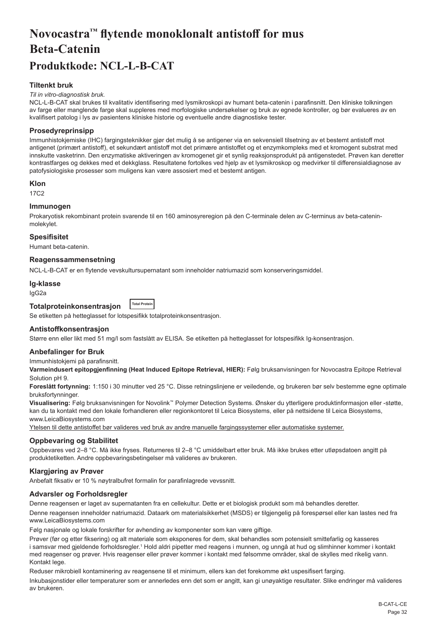# <span id="page-32-0"></span>**Novocastra™ flytende monoklonalt antistoff for mus Beta-Catenin**

# **Produktkode: NCL-L-B-CAT**

# **Tiltenkt bruk**

#### *Til in vitro-diagnostisk bruk.*

NCL-L-B-CAT skal brukes til kvalitativ identifisering med lysmikroskopi av humant beta-catenin i parafinsnitt. Den kliniske tolkningen av farge eller manglende farge skal suppleres med morfologiske undersøkelser og bruk av egnede kontroller, og bør evalueres av en kvalifisert patolog i lys av pasientens kliniske historie og eventuelle andre diagnostiske tester.

# **Prosedyreprinsipp**

Immunhistokjemiske (IHC) fargingsteknikker gjør det mulig å se antigener via en sekvensiell tilsetning av et bestemt antistoff mot antigenet (primært antistoff), et sekundært antistoff mot det primære antistoffet og et enzymkompleks med et kromogent substrat med innskutte vasketrinn. Den enzymatiske aktiveringen av kromogenet gir et synlig reaksjonsprodukt på antigenstedet. Prøven kan deretter kontrastfarges og dekkes med et dekkglass. Resultatene fortolkes ved hjelp av et lysmikroskop og medvirker til differensialdiagnose av patofysiologiske prosesser som muligens kan være assosiert med et bestemt antigen.

### **Klon**

17C2

# **Immunogen**

Prokaryotisk rekombinant protein svarende til en 160 aminosyreregion på den C-terminale delen av C-terminus av beta-cateninmolekylet.

### **Spesifisitet**

Humant beta-catenin.

# **Reagenssammensetning**

NCL-L-B-CAT er en flytende vevskultursupernatant som inneholder natriumazid som konserveringsmiddel.

# **Ig-klasse**

IgG2a

#### **Totalproteinkonsentrasjon Total Protein**

Se etiketten på hetteglasset for lotspesifikk totalproteinkonsentrasjon.

# **Antistoffkonsentrasjon**

Større enn eller likt med 51 mg/l som fastslått av ELISA. Se etiketten på hetteglasset for lotspesifikk Ig-konsentrasjon.

# **Anbefalinger for Bruk**

Immunhistokjemi på parafinsnitt.

**Varmeindusert epitopgjenfinning (Heat Induced Epitope Retrieval, HIER):** Følg bruksanvisningen for Novocastra Epitope Retrieval Solution pH 9.

**Foreslått fortynning:** 1:150 i 30 minutter ved 25 °C. Disse retningslinjene er veiledende, og brukeren bør selv bestemme egne optimale bruksfortynninger.

**Visualisering:** Følg bruksanvisningen for Novolink™ Polymer Detection Systems. Ønsker du ytterligere produktinformasjon eller -støtte, kan du ta kontakt med den lokale forhandleren eller regionkontoret til Leica Biosystems, eller på nettsidene til Leica Biosystems, www.LeicaBiosystems.com

Ytelsen til dette antistoffet bør valideres ved bruk av andre manuelle fargingssystemer eller automatiske systemer.

# **Oppbevaring og Stabilitet**

Oppbevares ved 2–8 °C. Må ikke fryses. Returneres til 2–8 °C umiddelbart etter bruk. Må ikke brukes etter utløpsdatoen angitt på produktetiketten. Andre oppbevaringsbetingelser må valideres av brukeren.

# **Klargjøring av Prøver**

Anbefalt fiksativ er 10 % nøytralbufret formalin for parafinlagrede vevssnitt.

# **Advarsler og Forholdsregler**

Denne reagensen er laget av supernatanten fra en cellekultur. Dette er et biologisk produkt som må behandles deretter. Denne reagensen inneholder natriumazid. Dataark om materialsikkerhet (MSDS) er tilgjengelig på forespørsel eller kan lastes ned fra www.LeicaBiosystems.com

Følg nasjonale og lokale forskrifter for avhending av komponenter som kan være giftige.

Prøver (før og etter fiksering) og alt materiale som eksponeres for dem, skal behandles som potensielt smittefarlig og kasseres i samsvar med gjeldende forholdsregler.1 Hold aldri pipetter med reagens i munnen, og unngå at hud og slimhinner kommer i kontakt med reagenser og prøver. Hvis reagenser eller prøver kommer i kontakt med følsomme områder, skal de skylles med rikelig vann. Kontakt lege.

Reduser mikrobiell kontaminering av reagensene til et minimum, ellers kan det forekomme økt uspesifisert farging.

Inkubasjonstider eller temperaturer som er annerledes enn det som er angitt, kan gi unøyaktige resultater. Slike endringer må valideres av brukeren.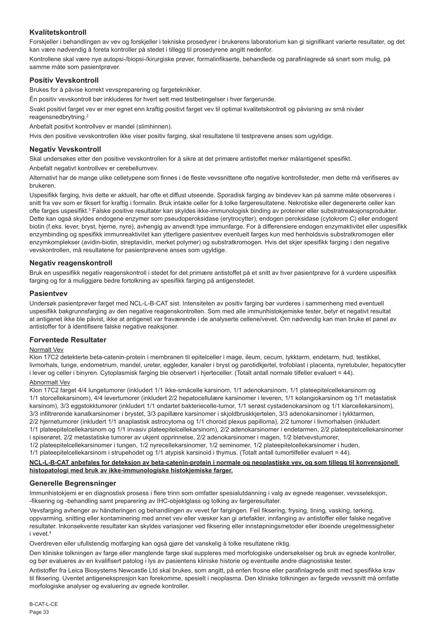# **Kvalitetskontroll**

Forskjeller i behandlingen av vev og forskjeller i tekniske prosedyrer i brukerens laboratorium kan gi signifikant varierte resultater, og det kan være nødvendig å foreta kontroller på stedet i tillegg til prosedyrene angitt nedenfor.

Kontrollene skal være nye autopsi-/biopsi-/kirurgiske prøver, formalinfikserte, behandlede og parafinlagrede så snart som mulig, på samme måte som pasientprøver.

# **Positiv Vevskontroll**

Brukes for å påvise korrekt vevspreparering og fargeteknikker.

Én positiv vevskontroll bør inkluderes for hvert sett med testbetingelser i hver fargerunde.

Svakt positivt farget vev er mer egnet enn kraftig positivt farget vev til optimal kvalitetskontroll og påvisning av små nivåer reagensnedbrytning.<sup>2</sup>

Anbefalt positivt kontrollvev er mandel (slimhinnen).

Hvis den positive vevskontrollen ikke viser positiv farging, skal resultatene til testprøvene anses som ugyldige.

# **Negativ Vevskontroll**

Skal undersøkes etter den positive vevskontrollen for å sikre at det primære antistoffet merker målantigenet spesifikt.

Anbefalt negativt kontrollvev er cerebellumvev.

Alternativt har de mange ulike celletypene som finnes i de fleste vevssnittene ofte negative kontrollsteder, men dette må verifiseres av brukeren.

Uspesifikk farging, hvis dette er aktuelt, har ofte et diffust utseende. Sporadisk farging av bindevev kan på samme måte observeres i snitt fra vev som er fiksert for kraftig i formalin. Bruk intakte celler for å tolke fargeresultatene. Nekrotiske eller degenererte celler kan ofte farges uspesifikt.<sup>3</sup> Falske positive resultater kan skyldes ikke-immunologisk binding av proteiner eller substratreaksjonsprodukter. Dette kan også skyldes endogene enzymer som pseudoperoksidase (erytrocytter), endogen peroksidase (cytokrom C) eller endogent biotin (f.eks. lever, bryst, hjerne, nyre), avhengig av anvendt type immunfarge. For å differensiere endogen enzymaktivitet eller uspesifikk enzymbinding og spesifikk immunreaktivitet kan ytterligere pasientvev eventuelt farges kun med henholdsvis substratkromogen eller enzymkomplekser (avidin-biotin, streptavidin, merket polymer) og substratkromogen. Hvis det skjer spesifikk farging i den negative vevskontrollen, må resultatene for pasientprøvene anses som ugyldige.

# **Negativ reagenskontroll**

Bruk en uspesifikk negativ reagenskontroll i stedet for det primære antistoffet på et snitt av hver pasientprøve for å vurdere uspesifikk farging og for å muliggjøre bedre fortolkning av spesifikk farging på antigenstedet.

# **Pasientvev**

Undersøk pasientprøver farget med NCL-L-B-CAT sist. Intensiteten av positiv farging bør vurderes i sammenheng med eventuell uspesifikk bakgrunnsfarging av den negative reagenskontrollen. Som med alle immunhistokjemiske tester, betyr et negativt resultat at antigenet ikke ble påvist, ikke at antigenet var fraværende i de analyserte cellene/vevet. Om nødvendig kan man bruke et panel av antistoffer for å identifisere falske negative reaksjoner.

# **Forventede Resultater**

# Normalt Vev

Klon 17C2 detekterte beta-catenin-protein i membranen til epitelceller i mage, ileum, cecum, tykktarm, endetarm, hud, testikkel, livmorhals, tunge, endometrium, mandel, ureter, eggleder, kanaler i bryst og parotidkjertel, trofoblast i placenta, nyretubuler, hepatocytter i lever og celler i binyren. Cytoplasmisk farging ble observert i hjerteceller. (Totalt antall normale tilfeller evaluert = 44).

# Abnormalt Vev

Klon 17C2 farget 4/4 lungetumorer (inkludert 1/1 ikke-småcelle karsinom, 1/1 adenokarsinom, 1/1 plateepitelcellekarsinom og 1/1 storcellekarsinom), 4/4 levertumorer (inkludert 2/2 hepatocellulære karsinomer i leveren, 1/1 kolangiokarsinom og 1/1 metastatisk karsinom), 3/3 eggstokktumorer (inkludert 1/1 ondartet bakteriecelle-tumor, 1/1 serøst cystadenokarsinom og 1/1 klarcellekarsinom), 3/3 infiltrerende kanalkarsinomer i brystet, 3/3 papillære karsinomer i skjoldbruskkjertelen, 3/3 adenokarsinomer i tykktarmen, 2/2 hjernetumorer (inkludert 1/1 anaplastisk astrocytoma og 1/1 choroid plexus papilloma), 2/2 tumorer i livmorhalsen (inkludert 1/1 plateepitelcellekarsinom og 1/1 invasiv plateepitelcellekarsinom), 2/2 adenokarsinomer i endetarmen, 2/2 plateepitelcellekarsinomer i spiserøret, 2/2 metastatiske tumorer av ukjent opprinnelse, 2/2 adenokarsinomer i magen, 1/2 bløtvevstumorer, 1/2 plateepitelcellekarsinomer i tungen, 1/2 nyrecellekarsinomer, 1/2 seminomer, 1/2 plateepitelcellekarsinomer i huden,

1/1 plateepitelcellekarsinom i strupehodet og 1/1 atypisk karsinoid i thymus. (Totalt antall tumortilfeller evaluert = 44).

# **NCL-L-B-CAT anbefales for deteksjon av beta-catenin-protein i normale og neoplastiske vev, og som tillegg til konvensjonell histopatologi med bruk av ikke-immunologiske histokjemiske farger.**

# **Generelle Begrensninger**

Immunhistokjemi er en diagnostisk prosess i flere trinn som omfatter spesialutdanning i valg av egnede reagenser, vevsseleksjon, -fiksering og -behandling samt preparering av IHC-objektglass og tolking av fargeresultater.

Vevsfarging avhenger av håndteringen og behandlingen av vevet før fargingen. Feil fiksering, frysing, tining, vasking, tørking, oppvarming, snitting eller kontaminering med annet vev eller væsker kan gi artefakter, innfanging av antistoffer eller falske negative resultater. Inkonsekvente resultater kan skyldes variasjoner ved fiksering eller innstøpningsmetoder eller iboende uregelmessigheter i vevet<sup>4</sup>

Overdreven eller ufullstendig motfarging kan også gjøre det vanskelig å tolke resultatene riktig.

Den kliniske tolkningen av farge eller manglende farge skal suppleres med morfologiske undersøkelser og bruk av egnede kontroller, og bør evalueres av en kvalifisert patolog i lys av pasientens kliniske historie og eventuelle andre diagnostiske tester.

Antistoffer fra Leica Biosystems Newcastle Ltd skal brukes, som angitt, på enten frosne eller parafinlagrede snitt med spesifikke krav til fiksering. Uventet antigenekspresjon kan forekomme, spesielt i neoplasma. Den kliniske tolkningen av fargede vevssnitt må omfatte morfologiske analyser og evaluering av egnede kontroller.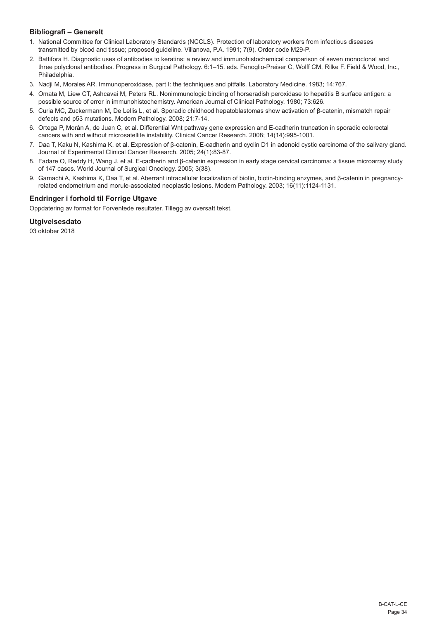# **Bibliografi – Generelt**

- 1. National Committee for Clinical Laboratory Standards (NCCLS). Protection of laboratory workers from infectious diseases transmitted by blood and tissue; proposed guideline. Villanova, P.A. 1991; 7(9). Order code M29-P.
- 2. Battifora H. Diagnostic uses of antibodies to keratins: a review and immunohistochemical comparison of seven monoclonal and three polyclonal antibodies. Progress in Surgical Pathology. 6:1–15. eds. Fenoglio-Preiser C, Wolff CM, Rilke F. Field & Wood, Inc., Philadelphia.
- 3. Nadji M, Morales AR. Immunoperoxidase, part I: the techniques and pitfalls. Laboratory Medicine. 1983; 14:767.
- 4. Omata M, Liew CT, Ashcavai M, Peters RL. Nonimmunologic binding of horseradish peroxidase to hepatitis B surface antigen: a possible source of error in immunohistochemistry. American Journal of Clinical Pathology. 1980; 73:626.
- 5. Curia MC, Zuckermann M, De Lellis L, et al. Sporadic childhood hepatoblastomas show activation of β-catenin, mismatch repair defects and p53 mutations. Modern Pathology. 2008; 21:7-14.
- 6. Ortega P, Morán A, de Juan C, et al. Differential Wnt pathway gene expression and E-cadherin truncation in sporadic colorectal cancers with and without microsatellite instability. Clinical Cancer Research. 2008; 14(14):995-1001.
- 7. Daa T, Kaku N, Kashima K, et al. Expression of β-catenin, E-cadherin and cyclin D1 in adenoid cystic carcinoma of the salivary gland. Journal of Experimental Clinical Cancer Research. 2005; 24(1):83-87.
- 8. Fadare O, Reddy H, Wang J, et al. E-cadherin and β-catenin expression in early stage cervical carcinoma: a tissue microarray study of 147 cases. World Journal of Surgical Oncology. 2005; 3(38).
- 9. Gamachi A, Kashima K, Daa T, et al. Aberrant intracellular localization of biotin, biotin-binding enzymes, and β-catenin in pregnancyrelated endometrium and morule-associated neoplastic lesions. Modern Pathology. 2003; 16(11):1124-1131.

# **Endringer i forhold til Forrige Utgave**

Oppdatering av format for Forventede resultater. Tillegg av oversatt tekst.

# **Utgivelsesdato**

03 oktober 2018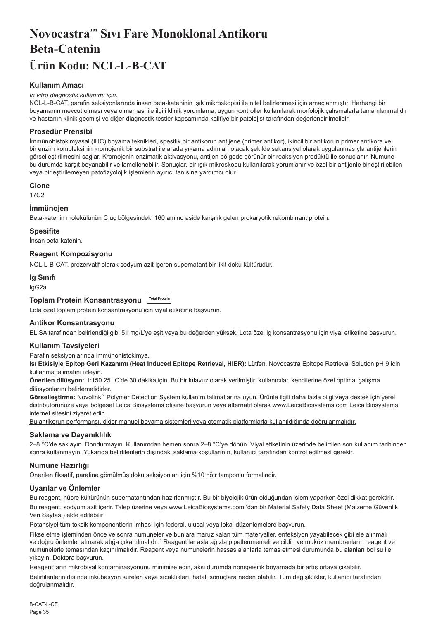# <span id="page-35-0"></span>**Novocastra™ Sıvı Fare Monoklonal Antikoru Beta-Catenin Ürün Kodu: NCL-L-B-CAT**

# **Kullanım Amacı**

#### *In vitro diagnostik kullanımı için.*

NCL-L-B-CAT, parafin seksiyonlarında insan beta-kateninin ışık mikroskopisi ile nitel belirlenmesi için amaçlanmıştır. Herhangi bir boyamanın mevcut olması veya olmaması ile ilgili klinik yorumlama, uygun kontroller kullanılarak morfolojik çalışmalarla tamamlanmalıdır ve hastanın klinik geçmişi ve diğer diagnostik testler kapsamında kalifiye bir patolojist tarafından değerlendirilmelidir.

# **Prosedür Prensibi**

İmmünohistokimyasal (IHC) boyama teknikleri, spesifik bir antikorun antijene (primer antikor), ikincil bir antikorun primer antikora ve bir enzim kompleksinin kromojenik bir substrat ile arada yıkama adımları olacak şekilde sekansiyel olarak uygulanmasıyla antijenlerin görselleştirilmesini sağlar. Kromojenin enzimatik aktivasyonu, antijen bölgede görünür bir reaksiyon prodüktü ile sonuçlanır. Numune bu durumda karşıt boyanabilir ve lamellenebilir. Sonuçlar, bir ışık mikroskopu kullanılarak yorumlanır ve özel bir antijenle birleştirilebilen veya birleştirilemeyen patofizyolojik işlemlerin ayırıcı tanısına yardımcı olur.

#### **Clone**

17C2

## **İmmünojen**

Beta-katenin molekülünün C uç bölgesindeki 160 amino aside karşılık gelen prokaryotik rekombinant protein.

#### **Spesifite**

İnsan beta-katenin.

### **Reagent Kompozisyonu**

NCL-L-B-CAT, prezervatif olarak sodyum azit içeren supernatant bir likit doku kültürüdür.

### **Ig Sınıfı**

IgG2a

# **Toplam Protein Konsantrasyonu Total Protein**

Lota özel toplam protein konsantrasyonu için viyal etiketine başvurun.

#### **Antikor Konsantrasyonu**

ELISA tarafından belirlendiği gibi 51 mg/L'ye eşit veya bu değerden yüksek. Lota özel lg konsantrasyonu için viyal etiketine başvurun.

#### **Kullanım Tavsiyeleri**

Parafin seksiyonlarında immünohistokimya.

**Isı Etkisiyle Epitop Geri Kazanımı (Heat Induced Epitope Retrieval, HIER):** Lütfen, Novocastra Epitope Retrieval Solution pH 9 için kullanma talimatını izleyin.

**Önerilen dilüsyon:** 1:150 25 °C'de 30 dakika için. Bu bir kılavuz olarak verilmiştir; kullanıcılar, kendilerine özel optimal çalışma dilüsyonlarını belirlemelidirler.

**Görselleştirme:** Novolink™ Polymer Detection System kullanım talimatlarına uyun. Ürünle ilgili daha fazla bilgi veya destek için yerel distribütörünüze veya bölgesel Leica Biosystems ofisine başvurun veya alternatif olarak www.LeicaBiosystems.com Leica Biosystems internet sitesini ziyaret edin.

Bu antikorun performansı, diğer manuel boyama sistemleri veya otomatik platformlarla kullanıldığında doğrulanmalıdır.

#### **Saklama ve Dayanıklılık**

2–8 °C'de saklayın. Dondurmayın. Kullanımdan hemen sonra 2–8 °C'ye dönün. Viyal etiketinin üzerinde belirtilen son kullanım tarihinden sonra kullanmayın. Yukarıda belirtilenlerin dışındaki saklama koşullarının, kullanıcı tarafından kontrol edilmesi gerekir.

# **Numune Hazırlığı**

Önerilen fiksatif, parafine gömülmüş doku seksiyonları için %10 nötr tamponlu formalindir.

# **Uyarılar ve Önlemler**

Bu reagent, hücre kültürünün supernatantından hazırlanmıştır. Bu bir biyolojik ürün olduğundan işlem yaparken özel dikkat gerektirir.

Bu reagent, sodyum azit içerir. Talep üzerine veya www.LeicaBiosystems.com 'dan bir Material Safety Data Sheet (Malzeme Güvenlik Veri Sayfası) elde edilebilir

Potansiyel tüm toksik komponentlerin imhası için federal, ulusal veya lokal düzenlemelere başvurun.

Fikse etme işleminden önce ve sonra numuneler ve bunlara maruz kalan tüm materyaller, enfeksiyon yayabilecek gibi ele alınmalı ve doğru önlemler alınarak atığa çıkartılmalıdır.<sup>1</sup> Reagent'lar asla ağızla pipetlenmemeli ve cildin ve muköz membranların reagent ve numunelerle temasından kaçınılmalıdır. Reagent veya numunelerin hassas alanlarla temas etmesi durumunda bu alanları bol su ile yıkayın. Doktora başvurun.

Reagent'ların mikrobiyal kontaminasyonunu minimize edin, aksi durumda nonspesifik boyamada bir artış ortaya çıkabilir.

Belirtilenlerin dışında inkübasyon süreleri veya sıcaklıkları, hatalı sonuçlara neden olabilir. Tüm değişiklikler, kullanıcı tarafından doğrulanmalıdır.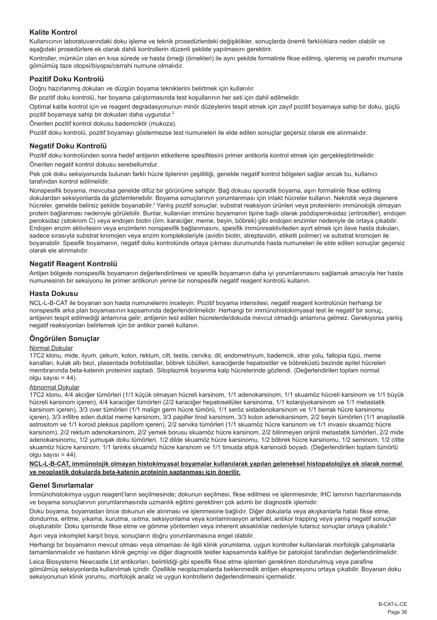# **Kalite Kontrol**

Kullanıcının laboratuvarındaki doku işleme ve teknik prosedürlerdeki değişiklikler, sonuçlarda önemli farklılıklara neden olabilir ve aşağıdaki prosedürlere ek olarak dahili kontrollerin düzenli şekilde yapılmasını gerektirir.

Kontroller, mümkün olan en kısa sürede ve hasta örneği (örnekleri) ile aynı şekilde formalinle fikse edilmiş, işlenmiş ve parafin mumuna gömülmüş taze otopsi/biyopsi/cerrahi numune olmalıdır.

# **Pozitif Doku Kontrolü**

Doğru hazırlanmış dokuları ve düzgün boyama tekniklerini belirtmek için kullanılır.

Bir pozitif doku kontrolü, her boyama çalıştırmasında test koşullarının her seti için dahil edilmelidir.

Optimal kalite kontrol için ve reagent degradasyonunun minör düzeylerini tespit etmek için zayıf pozitif boyamaya sahip bir doku, güçlü pozitif boyamaya sahip bir dokudan daha uygundur.<sup>2</sup>

Önerilen pozitif kontrol dokusu bademciktir (mukoza).

Pozitif doku kontrolü, pozitif boyamayı göstermezse test numuneleri ile elde edilen sonuçlar geçersiz olarak ele alınmalıdır.

# **Negatif Doku Kontrolü**

Pozitif doku kontrolünden sonra hedef antijenin etiketleme spesifitesini primer antikorla kontrol etmek için gerçekleştirilmelidir.

Önerilen negatif kontrol dokusu serebellumdur.

Pek çok doku seksiyonunda bulunan farklı hücre tiplerinin çeşitliliği, genelde negatif kontrol bölgeleri sağlar ancak bu, kullanıcı tarafından kontrol edilmelidir.

Nonspesifik boyama, mevcutsa genelde difüz bir görünüme sahiptir. Bağ dokusu sporadik boyama, aşırı formalinle fikse edilmiş dokulardan seksiyonlarda da gözlemlenebilir. Boyama sonuçlarının yorumlanması için intakt hücreler kullanın. Nekrotik veya dejenere hücreler, genelde belirsiz şekilde boyanabilir.<sup>3</sup> Yanlış pozitif sonuçlar, substrat reaksiyon ürünleri veya proteinlerin immünolojik olmayan protein bağlanması nedeniyle görülebilir. Bunlar, kullanılan immüno boyamanın tipine bağlı olarak psödoperoksidaz (eritrositler), endojen peroksidaz (sitokrom C) veya endojen biotin (örn. karaciğer, meme, beyin, böbrek) gibi endojen enzimler nedeniyle de ortaya çıkabilir. Endojen enzim aktivitesini veya enzimlerin nonspesifik bağlanmasını, spesifik immünreaktiviteden ayırt etmek için ilave hasta dokuları, sadece sırasıyla substrat kromojen veya enzim kompleksleriyle (avidin biotin, streptavidin, etiketli polimer) ve substrat kromojen ile boyanabilir. Spesifik boyamanın, negatif doku kontrolünde ortaya çıkması durumunda hasta numuneleri ile elde edilen sonuçlar geçersiz olarak ele alınmalıdır.

# **Negatif Reagent Kontrolü**

Antijen bölgede nonspesifik boyamanın değerlendirilmesi ve spesifik boyamanın daha iyi yorumlanmasını sağlamak amacıyla her hasta numunesinin bir seksiyonu ile primer antikorun yerine bir nonspesifik negatif reagent kontrolü kullanın.

# **Hasta Dokusu**

NCL-L-B-CAT ile boyanan son hasta numunelerini inceleyin. Pozitif boyama intensitesi, negatif reagent kontrolünün herhangi bir nonspesifik arka plan boyamasının kapsamında değerlendirilmelidir. Herhangi bir immünohistokimyasal test ile negatif bir sonuç, antijenin tespit edilmediği anlamına gelir; antijenin test edilen hücrelerde/dokuda mevcut olmadığı anlamına gelmez. Gerekiyorsa yanlış negatif reaksiyonları belirlemek için bir antikor paneli kullanın.

# **Öngörülen Sonuçlar**

# Normal Dokular

17C2 klonu, mide, ilyum, çekum, kolon, rektum, cilt, testis, cerviks, dil, endometriyum, bademcik, idrar yolu, fallopia tüpü, meme kanalları, kulak altı bezi, plasentada trofoblastlar, böbrek tübülleri, karaciğerde hepatositler ve böbreküstü bezinde epitel hücreleri membranında beta-katenin proteinini saptadı. Sitoplazmik boyanma kalp hücrelerinde gözlendi. (Değerlendirilen toplam normal olgu sayısı =  $44$ ).

#### Abnormal Dokular

17C2 klonu, 4/4 akciğer tümörleri (1/1 küçük olmayan hücreli karsinom, 1/1 adenokarsinom, 1/1 skuamöz hücreli karsinom ve 1/1 büyük hücreli karsinom içeren), 4/4 karaciğer tümörleri (2/2 karaciğer hepatosellüler karsinoma, 1/1 kolanjiyokarsinom ve 1/1 metastatik karsinom içeren), 3/3 over tümörleri (1/1 malign germ hücre tümörü, 1/1 seröz sistadenokarsinom ve 1/1 berrak hücre karsinomu içeren), 3/3 infiltre eden duktal meme karsinom, 3/3 papiller tirod karsinom, 3/3 kolon adenokarsinom, 2/2 beyin tümörleri (1/1 anaplastik astrositom ve 1/1 koroid pleksus papillom içeren), 2/2 serviks tümörleri (1/1 skuamöz hücre karsinom ve 1/1 invasiv skuamöz hücre karsinom), 2/2 rektum adenokarsinom, 2/2 yemek borusu skuamöz hücre karsinom, 2/2 bilinmeyen orijinli metastatik tümörleri, 2/2 mide adenokarsinomu, 1/2 yumuşak doku tümörleri, 1/2 dilde skuamöz hücre karsinomu, 1/2 böbrek hücre karsinomu, 1/2 seminom, 1/2 ciltte skuamöz hücre karsinom, 1/1 larinks skuamöz hücre karsinom ve 1/1 timusta atipik karsinoidi boyadı. (Değerlendirilen toplam tümörlü  $olgu$  sayısı = 44).

#### **NCL-L-B-CAT, immünolojik olmayan histokimyasal boyamalar kullanılarak yapılan geleneksel histopatolojiye ek olarak normal ve neoplastik dokularda beta-katenin proteinin saptanması için önerilir.**

# **Genel Sınırlamalar**

İmmünohistokimya uygun reagent'ların seçilmesinde; dokunun seçilmesi, fikse edilmesi ve işlenmesinde; IHC lamının hazırlanmasında ve boyama sonuçlarının yorumlanmasında uzmanlık eğitimi gerektiren çok adımlı bir diagnostik işlemidir.

Doku boyama, boyamadan önce dokunun ele alınması ve işlenmesine bağlıdır. Diğer dokularla veya akışkanlarla hatalı fikse etme, dondurma, eritme, yıkama, kurutma, ısıtma, seksiyonlama veya kontaminasyon artefakt, antikor trapping veya yanlış negatif sonuçlar oluşturabilir. Doku içerisinde fikse etme ve gömme yöntemleri veya inherent aksaklıklar nedeniyle tutarsız sonuçlar ortaya çıkabilir.<sup>4</sup>

Aşırı veya inkomplet karşıt boya, sonuçların doğru yorumlanmasına engel olabilir.

Herhangi bir boyamanın mevcut olması veya olmaması ile ilgili klinik yorumlama, uygun kontroller kullanılarak morfolojik çalışmalarla tamamlanmalıdır ve hastanın klinik geçmişi ve diğer diagnostik testler kapsamında kalifiye bir patolojist tarafından değerlendirilmelidir.

Leica Biosystems Newcastle Ltd antikorları, belirtildiği gibi spesifik fikse etme işlemleri gerektiren dondurulmuş veya parafine gömülmüş seksiyonlarda kullanılmak içindir. Özellikle neoplazmalarda beklenmedik antijen ekspresyonu ortaya çıkabilir. Boyanan doku seksiyonunun klinik yorumu, morfolojik analiz ve uygun kontrollerin değerlendirmesini içermelidir.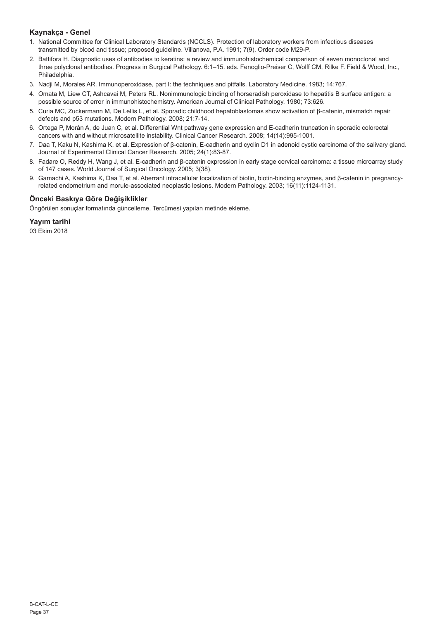# **Kaynakça - Genel**

- 1. National Committee for Clinical Laboratory Standards (NCCLS). Protection of laboratory workers from infectious diseases transmitted by blood and tissue; proposed guideline. Villanova, P.A. 1991; 7(9). Order code M29-P.
- 2. Battifora H. Diagnostic uses of antibodies to keratins: a review and immunohistochemical comparison of seven monoclonal and three polyclonal antibodies. Progress in Surgical Pathology. 6:1–15. eds. Fenoglio-Preiser C, Wolff CM, Rilke F. Field & Wood, Inc., Philadelphia.
- 3. Nadji M, Morales AR. Immunoperoxidase, part I: the techniques and pitfalls. Laboratory Medicine. 1983; 14:767.
- 4. Omata M, Liew CT, Ashcavai M, Peters RL. Nonimmunologic binding of horseradish peroxidase to hepatitis B surface antigen: a possible source of error in immunohistochemistry. American Journal of Clinical Pathology. 1980; 73:626.
- 5. Curia MC, Zuckermann M, De Lellis L, et al. Sporadic childhood hepatoblastomas show activation of β-catenin, mismatch repair defects and p53 mutations. Modern Pathology. 2008; 21:7-14.
- 6. Ortega P, Morán A, de Juan C, et al. Differential Wnt pathway gene expression and E-cadherin truncation in sporadic colorectal cancers with and without microsatellite instability. Clinical Cancer Research. 2008; 14(14):995-1001.
- 7. Daa T, Kaku N, Kashima K, et al. Expression of β-catenin, E-cadherin and cyclin D1 in adenoid cystic carcinoma of the salivary gland. Journal of Experimental Clinical Cancer Research. 2005; 24(1):83-87.
- 8. Fadare O, Reddy H, Wang J, et al. E-cadherin and β-catenin expression in early stage cervical carcinoma: a tissue microarray study of 147 cases. World Journal of Surgical Oncology. 2005; 3(38).
- 9. Gamachi A, Kashima K, Daa T, et al. Aberrant intracellular localization of biotin, biotin-binding enzymes, and β-catenin in pregnancyrelated endometrium and morule-associated neoplastic lesions. Modern Pathology. 2003; 16(11):1124-1131.

# **Önceki Baskıya Göre Değişiklikler**

Öngörülen sonuçlar formatında güncelleme. Tercümesi yapılan metinde ekleme.

**Yayım tarihi**

03 Ekim 2018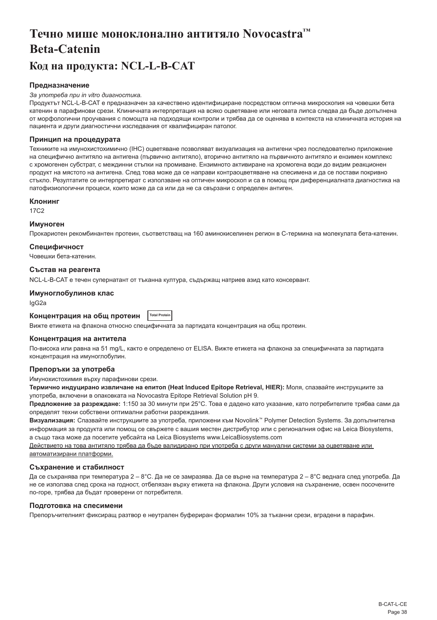# <span id="page-38-0"></span>**Течно мише моноклонално антитяло Novocastra™ Beta-Catenin**

# **Код на продукта: NCL-L-B-CAT**

# **Предназначение**

#### *За употреба при in vitro диагностика.*

Продуктът NCL-L-B-CAT е предназначен за качествено идентифициране посредством оптична микроскопия на човешки бета катенин в парафинови срези. Клиничната интерпретация на всяко оцветяване или неговата липса следва да бъде допълнена от морфологични проучвания с помощта на подходящи контроли и трябва да се оценява в контекста на клиничната история на пациента и други диагностични изследвания от квалифициран патолог.

# **Принцип на процедурата**

Техниките на имунохистохимично (IHC) оцветяване позволяват визуализация на антигени чрез последователно приложение на специфично антитяло на антигена (първично антитяло), вторично антитяло на първичното антитяло и ензимен комплекс с хромогенен субстрат, с междинни стъпки на промиване. Ензимното активиране на хромогена води до видим реакционен продукт на мястото на антигена. След това може да се направи контраоцветяване на спесимена и да се постави покривно стъкло. Резултатите се интерпретират с използване на оптичен микроскоп и са в помощ при диференциалната диагностика на патофизиологични процеси, които може да са или да не са свързани с определен антиген.

### **Клонинг**

17C2

# **Имуноген**

Прокариотен рекомбинантен протеин, съответстващ на 160 аминокиселинен регион в C-термина на молекулата бета-катенин.

# **Специфичност**

Човешки бета-катенин.

#### **Състав на реагента**

NCL-L-B-CAT е течен супернатант от тъканна култура, съдържащ натриев азид като консервант.

#### **Имуноглобулинов клас**

IgG2a

#### **Концентрация на общ протеин Total Protei**

Вижте етикета на флакона относно специфичната за партидата концентрация на общ протеин.

#### **Концентрация на антитела**

По-висока или равна на 51 mg/L, както е определено от ELISA. Вижте етикета на флакона за специфичната за партидата концентрация на имуноглобулин.

# **Препоръки за употреба**

Имунохистохимия върху парафинови срези.

**Термично индуцирано извличане на епитоп (Heat Induced Epitope Retrieval, HIER):** Моля, спазвайте инструкциите за употреба, включени в опаковката на Novocastra Epitope Retrieval Solution pH 9.

**Предложение за разреждане:** 1:150 за 30 минути при 25°C. Това е дадено като указание, като потребителите трябва сами да определят техни собствени оптимални работни разреждания.

**Визуализация:** Спазвайте инструкциите за употреба, приложени към Novolink™ Polymer Detection Systems. За допълнителна информация за продукта или помощ се свържете с вашия местен дистрибутор или с регионалния офис на Leica Biosystems, а също така може да посетите уебсайта на Leica Biosystems www.LeicaBiosystems.com

Действието на това антитяло трябва да бъде валидирано при употреба с други мануални системи за оцветяване или автоматизирани платформи.

#### **Съхранение и стабилност**

Да се съхранява при температура 2 – 8°C. Да не се замразява. Да се върне на температура 2 – 8°C веднага след употреба. Да не се използва след срока на годност, отбелязан върху етикета на флакона. Други условия на съхранение, освен посочените по-горе, трябва да бъдат проверени от потребителя.

# **Подготовка на спесимени**

Препоръчителният фиксиращ разтвор е неутрален буфериран формалин 10% за тъканни срези, вградени в парафин.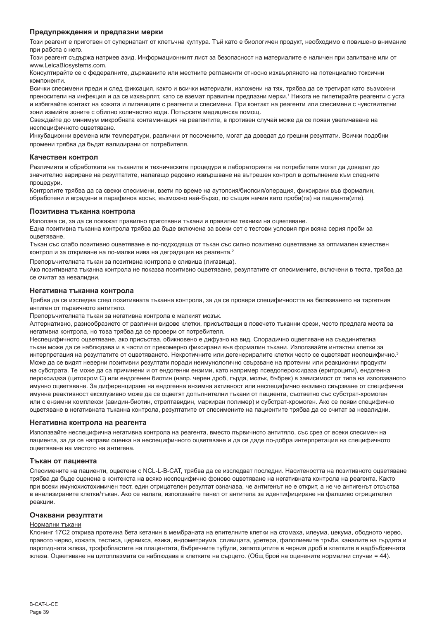#### **Предупреждения и предпазни мерки**

Този реагент е приготвен от супернатант от клетъчна култура. Тъй като е биологичен продукт, необходимо е повишено внимание при работа с него.

Този реагент съдържа натриев азид. Информационният лист за безопасност на материалите е наличен при запитване или от www.LeicaBiosystems.com.

Консултирайте се с федералните, държавните или местните регламенти относно изхвърлянето на потенциално токсични компоненти.

Всички спесимени преди и след фиксация, както и всички материали, изложени на тях, трябва да се третират като възможни преносители на инфекция и да се изхвърлят, като се вземат правилни предпазни мерки.<sup>1</sup> Никога не пипетирайте реагенти с уста и избягвайте контакт на кожата и лигавиците с реагенти и спесимени. При контакт на реагенти или спесимени с чувствителни зони измийте зоните с обилно количество вода. Потърсете медицинска помощ.

Свеждайте до минимум микробната контаминация на реагентите, в противен случай може да се появи увеличаване на неспецифичното оцветяване.

Инкубационни времена или температури, различни от посочените, могат да доведат до грешни резултати. Всички подобни промени трябва да бъдат валидирани от потребителя.

### **Качествен контрол**

Различията в обработката на тъканите и техническите процедури в лабораторията на потребителя могат да доведат до значително вариране на резултатите, налагащо редовно извършване на вътрешен контрол в допълнение към следните процедури.

Контролите трябва да са свежи спесимени, взети по време на аутопсия/биопсия/операция, фиксирани във формалин, обработени и вградени в парафинов восък, възможно най-бързо, по същия начин като проба(та) на пациента(ите).

### **Позитивна тъканна контрола**

Използва се, за да се покажат правилно приготвени тъкани и правилни техники на оцветяване.

Една позитивна тъканна контрола трябва да бъде включена за всеки сет с тестови условия при всяка серия проби за оцветяване.

Тъкан със слабо позитивно оцветяване е по-подходяща от тъкан със силно позитивно оцветяване за оптимален качествен контрол и за откриване на по-малки нива на деградация на реагента.<sup>2</sup>

Препоръчителната тъкан за позитивна контрола е сливица (лигавица).

Ако позитивната тъканна контрола не показва позитивно оцветяване, резултатите от спесимените, включени в теста, трябва да се считат за невалидни.

### **Негативна тъканна контрола**

Трябва да се изследва след позитивната тъканна контрола, за да се провери специфичността на белязването на таргетния антиген от първичното антитяло.

Препоръчителната тъкан за негативна контрола е малкият мозък.

Алтернативно, разнообразието от различни видове клетки, присъстващи в повечето тъканни срези, често предлага места за негативна контрола, но това трябва да се провери от потребителя.

Неспецифичното оцветяване, ако присъства, обикновено е дифузно на вид. Спорадично оцветяване на съединителна тъкан може да се наблюдава и в части от прекомерно фиксирани във формалин тъкани. Използвайте интактни клетки за интерпретация на резултатите от оцветяването. Некротичните или дегенериралите клетки често се оцветяват неспецифично.<sup>3</sup> Може да се видят неверни позитивни резултати поради неимунологично свързване на протеини или реакционни продукти на субстрата. Те може да са причинени и от ендогенни ензими, като например псевдопероксидаза (еритроцити), ендогенна пероксидаза (цитохром C) или ендогенен биотин (напр. черен дроб, гърда, мозък, бъбрек) в зависимост от типа на използваното имунно оцветяване. За диференциране на ендогенна ензимна активност или неспецифично ензимно свързване от специфична имунна реактивност ексклузивно може да се оцветят допълнителни тъкани от пациента, съответно със субстрат-хромоген или с ензимни комплекси (авидин-биотин, стрептавидин, маркиран полимер) и субстрат-хромоген. Ако се появи специфично оцветяване в негативната тъканна контрола, резултатите от спесимените на пациентите трябва да се считат за невалидни.

#### **Негативна контрола на реагента**

Използвайте неспецифична негативна контрола на реагента, вместо първичното антитяло, със срез от всеки спесимен на пациента, за да се направи оценка на неспецифичното оцветяване и да се даде по-добра интерпретация на специфичното оцветяване на мястото на антигена.

# **Тъкан от пациента**

Спесимените на пациенти, оцветени с NCL-L-B-CAT, трябва да се изследват последни. Наситеността на позитивното оцветяване трябва да бъде оценена в контекста на всяко неспецифично фоново оцветяване на негативната контрола на реагента. Както при всеки имунохистохимичен тест, един отрицателен резултат означава, че антигенът не е открит, а не че антигенът отсъства в анализираните клетки/тъкан. Ако се налага, използвайте панел от антитела за идентифициране на фалшиво отрицателни реакции.

#### **Очаквани резултати**

#### Нормални тъкани

Клонинг 17C2 открива протеина бета кетанин в мембраната на епителните клетки на стомаха, илеума, цекума, ободното черво, правото черво, кожата, тестиса, цервикса, езика, ендометриума, сливицата, уретера, фалопиевите тръби, каналите на гърдата и паротидната жлеза, трофобластите на плацентата, бъбречните тубули, хепатоцитите в черния дроб и клетките в надбъбречната жлеза. Оцветяване на цитоплазмата се наблюдава в клетките на сърцето. (Общ брой на оценените нормални случаи = 44).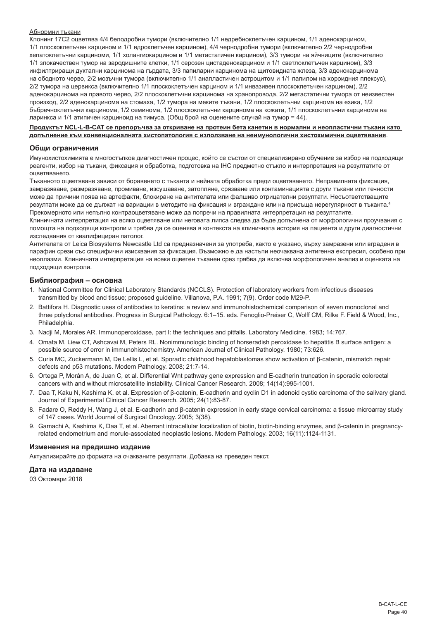#### Абнормни тъкани

Клонинг 17C2 оцветява 4/4 белодробни тумори (включително 1/1 недребноклетъчен карцином, 1/1 аденокарцином, 1/1 плоскоклетъчен карцином и 1/1 едроклетъчен карцином), 4/4 чернодробни тумори (включително 2/2 чернодробни хепатоклетъчни карциноми, 1/1 холангиокарцином и 1/1 метастатичен карцином), 3/3 тумори на яйчниците (включително 1/1 злокачествен тумор на зародишните клетки, 1/1 серозен цистаденокарцином и 1/1 светлоклетъчен карцином), 3/3 инфилтриращи дуктални карцинома на гърдата, 3/3 папиларни карцинома на щитовидната жлеза, 3/3 аденокарцинома на ободното черво, 2/2 мозъчни тумора (включително 1/1 анапластичен астроцитом и 1/1 папилом на хороидния плексус), 2/2 тумора на цервикса (включително 1/1 плоскоклетъчен карцином и 1/1 инвазивен плоскоклетъчен карцином), 2/2 аденокарцинома на правото черво, 2/2 плоскоклетъчни карцинома на хранопровода, 2/2 метастатични тумора от неизвестен произход, 2/2 аденокарцинома на стомаха, 1/2 тумора на меките тъкани, 1/2 плоскоклетъчни карцинома на езика, 1/2 бъбречноклетъчни карцинома, 1/2 семинома, 1/2 плоскоклетъчни карцинома на кожата, 1/1 плоскоклетъчни карцинома на ларинкса и 1/1 атипичен карциноид на тимуса. (Общ брой на оценените случай на тумор = 44).

#### **Продуктът NCL-L-B-CAT се препоръчва за откриване на протеин бета канетин в нормални и неопластични тъкани като допълнение към конвенционалната хистопатология с използване на неимунологични хистохимични оцветявания**.

#### **Общи ограничения**

Имунохистохимията е многостъпков диагностичен процес, който се състои от специализирано обучение за избор на подходящи реагенти, избор на тъкани, фиксация и обработка, подготовка на IHC предметно стъкло и интерпретация на резултатите от оцветяването.

Тъканното оцветяване зависи от боравенето с тъканта и нейната обработка преди оцветяването. Неправилната фиксация, замразяване, размразяване, промиване, изсушаване, затопляне, срязване или контаминацията с други тъкани или течности може да причини поява на артефакти, блокиране на антителата или фалшиво отрицателни резултати. Несъответстващите резултати може да се дължат на вариации в методите на фиксация и вграждане или на присъща нерегулярност в тъканта.<sup>4</sup> Прекомерното или непълно контраоцветяване може да попречи на правилната интерпретация на резултатите.

Клиничната интерпретация на всяко оцветяване или неговата липса следва да бъде допълнена от морфологични проучвания с помощта на подходящи контроли и трябва да се оценява в контекста на клиничната история на пациента и други диагностични изследвания от квалифициран патолог.

Антителата от Leica Biosystems Newcastle Ltd са предназначени за употреба, както е указано, върху замразени или вградени в парафин срези със специфични изисквания за фиксация. Възможно е да настъпи неочаквана антигенна експресия, особено при неоплазми. Клиничната интерпретация на всеки оцветен тъканен срез трябва да включва морфологичен анализ и оценката на подходящи контроли.

### **Библиография – основна**

- 1. National Committee for Clinical Laboratory Standards (NCCLS). Protection of laboratory workers from infectious diseases transmitted by blood and tissue; proposed guideline. Villanova, P.A. 1991; 7(9). Order code M29-P.
- 2. Battifora H. Diagnostic uses of antibodies to keratins: a review and immunohistochemical comparison of seven monoclonal and three polyclonal antibodies. Progress in Surgical Pathology. 6:1–15. eds. Fenoglio-Preiser C, Wolff CM, Rilke F. Field & Wood, Inc., Philadelphia.
- 3. Nadji M, Morales AR. Immunoperoxidase, part I: the techniques and pitfalls. Laboratory Medicine. 1983; 14:767.
- 4. Omata M, Liew CT, Ashcavai M, Peters RL. Nonimmunologic binding of horseradish peroxidase to hepatitis B surface antigen: a possible source of error in immunohistochemistry. American Journal of Clinical Pathology. 1980; 73:626.
- 5. Curia MC, Zuckermann M, De Lellis L, et al. Sporadic childhood hepatoblastomas show activation of β-catenin, mismatch repair defects and p53 mutations. Modern Pathology. 2008; 21:7-14.
- 6. Ortega P, Morán A, de Juan C, et al. Differential Wnt pathway gene expression and E-cadherin truncation in sporadic colorectal cancers with and without microsatellite instability. Clinical Cancer Research. 2008; 14(14):995-1001.
- 7. Daa T, Kaku N, Kashima K, et al. Expression of β-catenin, E-cadherin and cyclin D1 in adenoid cystic carcinoma of the salivary gland. Journal of Experimental Clinical Cancer Research. 2005; 24(1):83-87.
- 8. Fadare O, Reddy H, Wang J, et al. E-cadherin and β-catenin expression in early stage cervical carcinoma: a tissue microarray study of 147 cases. World Journal of Surgical Oncology. 2005; 3(38).
- 9. Gamachi A, Kashima K, Daa T, et al. Aberrant intracellular localization of biotin, biotin-binding enzymes, and β-catenin in pregnancyrelated endometrium and morule-associated neoplastic lesions. Modern Pathology. 2003; 16(11):1124-1131.

#### **Изменения на предишно издание**

Актуализирайте до формата на очакваните резултати. Добавка на преведен текст.

# **Дата на издаване**

03 Октомври 2018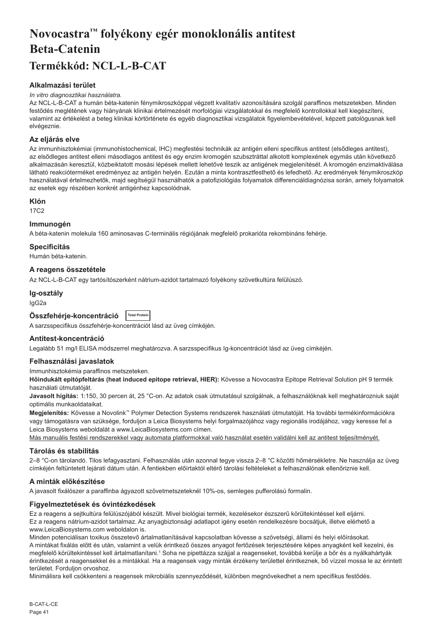# <span id="page-41-0"></span>**Novocastra™ folyékony egér monoklonális antitest Beta-Catenin Termékkód: NCL-L-B-CAT**

# **Alkalmazási terület**

#### *In vitro diagnosztikai használatra.*

Az NCL-L-B-CAT a humán béta-katenin fénymikroszkóppal végzett kvalitatív azonosítására szolgál paraffinos metszetekben. Minden festődés meglétének vagy hiányának klinikai értelmezését morfológiai vizsgálatokkal és megfelelő kontrollokkal kell kiegészíteni, valamint az értékelést a beteg klinikai kórtörténete és egyéb diagnosztikai vizsgálatok figyelembevételével, képzett patológusnak kell elvégeznie.

# **Az eljárás elve**

Az immunhisztokémiai (immunohistochemical, IHC) megfestési technikák az antigén elleni specifikus antitest (elsődleges antitest), az elsődleges antitest elleni másodlagos antitest és egy enzim kromogén szubsztráttal alkotott komplexének egymás után következő alkalmazásán keresztül, közbeiktatott mosási lépések mellett lehetővé teszik az antigének megjelenítését. A kromogén enzimaktiválása látható reakcióterméket eredményez az antigén helyén. Ezután a minta kontrasztfesthető és lefedhető. Az eredmények fénymikroszkóp használatával értelmezhetők, majd segítségül használhatók a patofiziológiás folyamatok differenciáldiagnózisa során, amely folyamatok az esetek egy részében konkrét antigénhez kapcsolódnak.

### **Klón**

17C2

# **Immunogén**

A béta-katenin molekula 160 aminosavas C-terminális régiójának megfelelő prokarióta rekombináns fehérje.

### **Specificitás**

Humán béta-katenin.

# **A reagens összetétele**

Az NCL-L-B-CAT egy tartósítószerként nátrium-azidot tartalmazó folyékony szövetkultúra felülúszó.

#### **Ig-osztály**

IgG2a

| Összfehérje-koncentráció  Total Protein |  |
|-----------------------------------------|--|
|                                         |  |

A sarzsspecifikus összfehérje-koncentrációt lásd az üveg címkéjén.

#### **Antitest-koncentráció**

Legalább 51 mg/l ELISA módszerrel meghatározva. A sarzsspecifikus Ig-koncentrációt lásd az üveg címkéjén.

#### **Felhasználási javaslatok**

Immunhisztokémia paraffinos metszeteken.

**Hőindukált epitópfeltárás (heat induced epitope retrieval, HIER):** Kövesse a Novocastra Epitope Retrieval Solution pH 9 termék használati útmutatóját.

**Javasolt hígítás:** 1:150, 30 percen át, 25 °C-on. Az adatok csak útmutatásul szolgálnak, a felhasználóknak kell meghatározniuk saját optimális munkaoldataikat.

**Megjelenítés:** Kövesse a Novolink™ Polymer Detection Systems rendszerek használati útmutatóját. Ha további termékinformációkra vagy támogatásra van szüksége, forduljon a Leica Biosystems helyi forgalmazójához vagy regionális irodájához, vagy keresse fel a Leica Biosystems weboldalát a www.LeicaBiosystems.com címen.

Más manuális festési rendszerekkel vagy automata platformokkal való használat esetén validálni kell az antitest teljesítményét.

# **Tárolás és stabilitás**

2–8 °C-on tárolandó. Tilos lefagyasztani. Felhasználás után azonnal tegye vissza 2–8 °C közötti hőmérsékletre. Ne használja az üveg címkéjén feltüntetett lejárati dátum után. A fentiekben előírtaktól eltérő tárolási feltételeket a felhasználónak ellenőriznie kell.

# **A minták előkészítése**

A javasolt fixálószer a paraffinba ágyazott szövetmetszeteknél 10%-os, semleges pufferolású formalin.

# **Figyelmeztetések és óvintézkedések**

Ez a reagens a sejtkultúra felülúszójából készült. Mivel biológiai termék, kezelésekor észszerű körültekintéssel kell eljárni. Ez a reagens nátrium-azidot tartalmaz. Az anyagbiztonsági adatlapot igény esetén rendelkezésre bocsátjuk, illetve elérhető a www.LeicaBiosystems.com weboldalon is.

Minden potenciálisan toxikus összetevő ártalmatlanításával kapcsolatban kövesse a szövetségi, állami és helyi előírásokat. A mintákat fixálás előtt és után, valamint a velük érintkező összes anyagot fertőzések terjesztésére képes anyagként kell kezelni, és megfelelő körültekintéssel kell ártalmatlanítani.1 Soha ne pipettázza szájjal a reagenseket, továbbá kerülje a bőr és a nyálkahártyák érintkezését a reagensekkel és a mintákkal. Ha a reagensek vagy minták érzékeny területtel érintkeznek, bő vízzel mossa le az érintett területet. Forduljon orvoshoz.

Minimálisra kell csökkenteni a reagensek mikrobiális szennyeződését, különben megnövekedhet a nem specifikus festődés.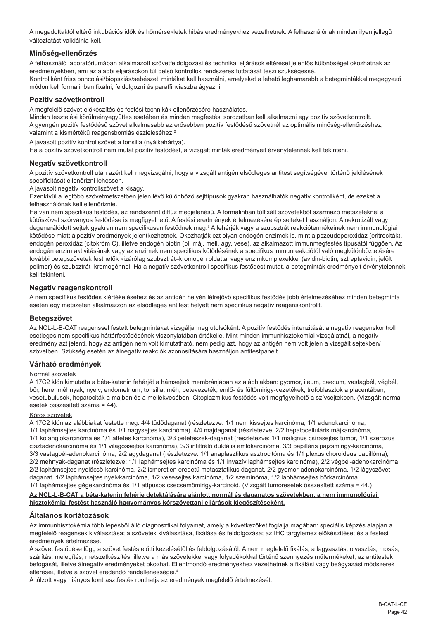A megadottaktól eltérő inkubációs idők és hőmérsékletek hibás eredményekhez vezethetnek. A felhasználónak minden ilyen jellegű változtatást validálnia kell.

# **Minőség-ellenőrzés**

A felhasználó laboratóriumában alkalmazott szövetfeldolgozási és technikai eljárások eltérései jelentős különbséget okozhatnak az eredményekben, ami az alábbi eljárásokon túl belső kontrollok rendszeres futtatását teszi szükségessé. Kontrollként friss boncolási/biopsziás/sebészeti mintákat kell használni, amelyeket a lehető leghamarabb a betegmintákkal megegyező módon kell formalinban fixálni, feldolgozni és paraffinviaszba ágyazni.

# **Pozitív szövetkontroll**

A megfelelő szövet-előkészítés és festési technikák ellenőrzésére használatos.

Minden tesztelési körülményegyüttes esetében és minden megfestési sorozatban kell alkalmazni egy pozitív szövetkontrollt. A gyengén pozitív festődésű szövet alkalmasabb az erősebben pozitív festődésű szövetnél az optimális minőség-ellenőrzéshez, valamint a kismértékű reagensbomlás észleléséhez.<sup>2</sup>

A javasolt pozitív kontrollszövet a tonsilla (nyálkahártya).

Ha a pozitív szövetkontroll nem mutat pozitív festődést, a vizsgált minták eredményeit érvénytelennek kell tekinteni.

# **Negatív szövetkontroll**

A pozitív szövetkontroll után azért kell megvizsgálni, hogy a vizsgált antigén elsődleges antitest segítségével történő jelölésének specificitását ellenőrizni lehessen.

A javasolt negatív kontrollszövet a kisagy.

Ezenkívül a legtöbb szövetmetszetben jelen lévő különböző sejttípusok gyakran használhatók negatív kontrollként, de ezeket a felhasználónak kell ellenőriznie.

Ha van nem specifikus festődés, az rendszerint diffúz megjelenésű. A formalinban túlfixált szövetekből származó metszeteknél a kötőszövet szórványos festődése is megfigyelhető. A festési eredmények értelmezésére ép sejteket használjon. A nekrotizált vagy degenerálódott sejtek gyakran nem specifikusan festődnek meg.<sup>3</sup> A fehérjék vagy a szubsztrát reakciótermékeinek nem immunológiai kötődése miatt álpozitív eredmények jelentkezhetnek. Okozhatják ezt olyan endogén enzimek is, mint a pszeudoperoxidáz (eritrociták), endogén peroxidáz (citokróm C), illetve endogén biotin (pl. máj, mell, agy, vese), az alkalmazott immunmegfestés típusától függően. Az endogén enzim aktivitásának vagy az enzimek nem specifikus kötődésének a specifikus immunreakciótól való megkülönböztetésére további betegszövetek festhetők kizárólag szubsztrát–kromogén oldattal vagy enzimkomplexekkel (avidin-biotin, sztreptavidin, jelölt polimer) és szubsztrát–kromogénnel. Ha a negatív szövetkontroll specifikus festődést mutat, a betegminták eredményeit érvénytelennek kell tekinteni.

# **Negatív reagenskontroll**

A nem specifikus festődés kiértékeléséhez és az antigén helyén létrejövő specifikus festődés jobb értelmezéséhez minden betegminta esetén egy metszeten alkalmazzon az elsődleges antitest helyett nem specifikus negatív reagenskontrollt.

# **Betegszövet**

Az NCL-L-B-CAT reagenssel festett betegmintákat vizsgálja meg utolsóként. A pozitív festődés intenzitását a negatív reagenskontroll esetleges nem specifikus háttérfestődésének viszonylatában értékelje. Mint minden immunhisztokémiai vizsgálatnál, a negatív eredmény azt jelenti, hogy az antigén nem volt kimutatható, nem pedig azt, hogy az antigén nem volt jelen a vizsgált sejtekben/ szövetben. Szükség esetén az álnegatív reakciók azonosítására használjon antitestpanelt.

# **Várható eredmények**

#### Normál szövetek

A 17C2 klón kimutatta a béta-katenin fehérjét a hámsejtek membránjában az alábbiakban: gyomor, ileum, caecum, vastagbél, végbél, bőr, here, méhnyak, nyelv, endometrium, tonsilla, méh, petevezeték, emlő- és fültőmirigy-vezetékek, trofoblasztok a placentában, vesetubulusok, hepatociták a májban és a mellékvesében. Citoplazmikus festődés volt megfigyelhető a szívsejtekben. (Vizsgált normál esetek összesített száma = 44).

#### Kóros szövetek

A 17C2 klón az alábbiakat festette meg: 4/4 tüdődaganat (részletezve: 1/1 nem kissejtes karcinóma, 1/1 adenokarcinóma,

1/1 laphámsejtes karcinóma és 1/1 nagysejtes karcinóma), 4/4 májdaganat (részletezve: 2/2 hepatocelluláris májkarcinóma, 1/1 kolangiokarcinóma és 1/1 áttétes karcinóma), 3/3 petefészek-daganat (részletezve: 1/1 malignus csírasejtes tumor, 1/1 szerózus cisztadenokarcinóma és 1/1 világossejtes karcinóma), 3/3 infiltráló duktális emlőkarcinóma, 3/3 papilláris pajzsmirigy-karcinóma, 3/3 vastagbél-adenokarcinóma, 2/2 agydaganat (részletezve: 1/1 anaplasztikus asztrocitóma és 1/1 plexus choroideus papillóma), 2/2 méhnyak-daganat (részletezve: 1/1 laphámsejtes karcinóma és 1/1 invazív laphámsejtes karcinóma), 2/2 végbél-adenokarcinóma, 2/2 laphámsejtes nyelőcső-karcinóma, 2/2 ismeretlen eredetű metasztatikus daganat, 2/2 gyomor-adenokarcinóma, 1/2 lágyszövetdaganat, 1/2 laphámsejtes nyelvkarcinóma, 1/2 vesesejtes karcinóma, 1/2 szeminóma, 1/2 laphámsejtes bőrkarcinóma, 1/1 laphámsejtes gégekarcinóma és 1/1 atípusos csecsemőmirigy-karcinoid. (Vizsgált tumoresetek összesített száma = 44.)

# **Az NCL-L-B-CAT a béta-katenin fehérje detektálására ajánlott normál és daganatos szövetekben, a nem immunológiai hisztokémiai festést használó hagyományos kórszövettani eljárások kiegészítéseként.**

# **Általános korlátozások**

Az immunhisztokémia több lépésből álló diagnosztikai folyamat, amely a következőket foglalja magában: speciális képzés alapján a megfelelő reagensek kiválasztása; a szövetek kiválasztása, fixálása és feldolgozása; az IHC tárgylemez előkészítése; és a festési eredmények értelmezése.

A szövet festődése függ a szövet festés előtti kezelésétől és feldolgozásától. A nem megfelelő fixálás, a fagyasztás, olvasztás, mosás, szárítás, melegítés, metszetkészítés, illetve a más szövetekkel vagy folyadékokkal történő szennyezés műtermékeket, az antitestek befogását, illetve álnegatív eredményeket okozhat. Ellentmondó eredményekhez vezethetnek a fixálási vagy beágyazási módszerek eltérései, illetve a szövet eredendő rendellenességei.<sup>4</sup>

A túlzott vagy hiányos kontrasztfestés ronthatja az eredmények megfelelő értelmezését.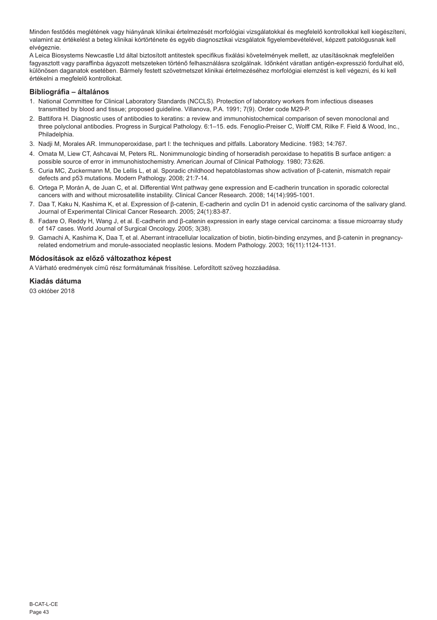Minden festődés meglétének vagy hiányának klinikai értelmezését morfológiai vizsgálatokkal és megfelelő kontrollokkal kell kiegészíteni, valamint az értékelést a beteg klinikai kórtörténete és egyéb diagnosztikai vizsgálatok figyelembevételével, képzett patológusnak kell elvégeznie.

A Leica Biosystems Newcastle Ltd által biztosított antitestek specifikus fixálási követelmények mellett, az utasításoknak megfelelően fagyasztott vagy paraffinba ágyazott metszeteken történő felhasználásra szolgálnak. Időnként váratlan antigén-expresszió fordulhat elő, különösen daganatok esetében. Bármely festett szövetmetszet klinikai értelmezéséhez morfológiai elemzést is kell végezni, és ki kell értékelni a megfelelő kontrollokat.

# **Bibliográfia – általános**

- 1. National Committee for Clinical Laboratory Standards (NCCLS). Protection of laboratory workers from infectious diseases transmitted by blood and tissue; proposed guideline. Villanova, P.A. 1991; 7(9). Order code M29-P.
- 2. Battifora H. Diagnostic uses of antibodies to keratins: a review and immunohistochemical comparison of seven monoclonal and three polyclonal antibodies. Progress in Surgical Pathology. 6:1–15. eds. Fenoglio-Preiser C, Wolff CM, Rilke F. Field & Wood, Inc., Philadelphia.
- 3. Nadji M, Morales AR. Immunoperoxidase, part I: the techniques and pitfalls. Laboratory Medicine. 1983; 14:767.
- 4. Omata M, Liew CT, Ashcavai M, Peters RL. Nonimmunologic binding of horseradish peroxidase to hepatitis B surface antigen: a possible source of error in immunohistochemistry. American Journal of Clinical Pathology. 1980; 73:626.
- 5. Curia MC, Zuckermann M, De Lellis L, et al. Sporadic childhood hepatoblastomas show activation of β-catenin, mismatch repair defects and p53 mutations. Modern Pathology. 2008; 21:7-14.
- 6. Ortega P, Morán A, de Juan C, et al. Differential Wnt pathway gene expression and E-cadherin truncation in sporadic colorectal cancers with and without microsatellite instability. Clinical Cancer Research. 2008; 14(14):995-1001.
- 7. Daa T, Kaku N, Kashima K, et al. Expression of β-catenin, E-cadherin and cyclin D1 in adenoid cystic carcinoma of the salivary gland. Journal of Experimental Clinical Cancer Research. 2005; 24(1):83-87.
- 8. Fadare O, Reddy H, Wang J, et al. E-cadherin and β-catenin expression in early stage cervical carcinoma: a tissue microarray study of 147 cases. World Journal of Surgical Oncology. 2005; 3(38).
- 9. Gamachi A, Kashima K, Daa T, et al. Aberrant intracellular localization of biotin, biotin-binding enzymes, and β-catenin in pregnancyrelated endometrium and morule-associated neoplastic lesions. Modern Pathology. 2003; 16(11):1124-1131.

# **Módosítások az előző változathoz képest**

A Várható eredmények című rész formátumának frissítése. Lefordított szöveg hozzáadása.

# **Kiadás dátuma**

03 október 2018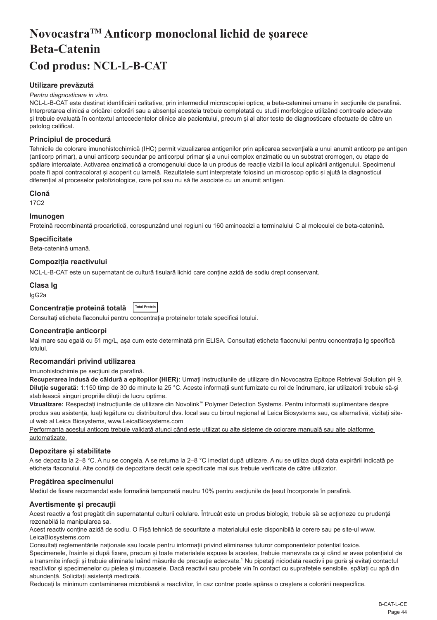# <span id="page-44-0"></span>**NovocastraTM Anticorp monoclonal lichid de șoarece Beta-Catenin Cod produs: NCL-L-B-CAT**

# **Utilizare prevăzută**

#### *Pentru diagnosticare in vitro.*

NCL-L-B-CAT este destinat identificării calitative, prin intermediul microscopiei optice, a beta-cateninei umane în secțiunile de parafină. Interpretarea clinică a oricărei colorări sau a absenței acesteia trebuie completată cu studii morfologice utilizând controale adecvate și trebuie evaluată în contextul antecedentelor clinice ale pacientului, precum și al altor teste de diagnosticare efectuate de către un patolog calificat.

# **Principiul de procedură**

Tehnicile de colorare imunohistochimică (IHC) permit vizualizarea antigenilor prin aplicarea secvențială a unui anumit anticorp pe antigen (anticorp primar), a unui anticorp secundar pe anticorpul primar și a unui complex enzimatic cu un substrat cromogen, cu etape de spălare intercalate. Activarea enzimatică a cromogenului duce la un produs de reacție vizibil la locul aplicării antigenului. Specimenul poate fi apoi contracolorat și acoperit cu lamelă. Rezultatele sunt interpretate folosind un microscop optic și ajută la diagnosticul diferențial al proceselor patofiziologice, care pot sau nu să fie asociate cu un anumit antigen.

# **Clonă**

17C2

### **Imunogen**

Proteină recombinantă procariotică, corespunzând unei regiuni cu 160 aminoacizi a terminalului C al moleculei de beta-catenină.

### **Specificitate**

Beta-catenină umană.

# **Compoziția reactivului**

NCL-L-B-CAT este un supernatant de cultură tisulară lichid care conține azidă de sodiu drept conservant.

# **Clasa Ig**

IgG2a

# **Concentrație proteină totală Total Protein**

Consultați eticheta flaconului pentru concentrația proteinelor totale specifică lotului.

#### **Concentrație anticorpi**

Mai mare sau egală cu 51 mg/L, asa cum este determinată prin ELISA. Consultati eticheta flaconului pentru concentratia Ig specifică lotului.

#### **Recomandări privind utilizarea**

#### Imunohistochimie pe secțiuni de parafină.

**Recuperarea indusă de căldură a epitopilor (HIER):** Urmați instrucțiunile de utilizare din Novocastra Epitope Retrieval Solution pH 9. **Diluție sugerată:** 1:150 timp de 30 de minute la 25 °C. Aceste informații sunt furnizate cu rol de îndrumare, iar utilizatorii trebuie să-și stabilească singuri propriile diluții de lucru optime.

**Vizualizare:** Respectați instrucțiunile de utilizare din Novolink™ Polymer Detection Systems. Pentru informații suplimentare despre produs sau asistență, luați legătura cu distribuitorul dvs. local sau cu biroul regional al Leica Biosystems sau, ca alternativă, vizitați siteul web al Leica Biosystems, www.LeicaBiosystems.com

Performanța acestui anticorp trebuie validată atunci când este utilizat cu alte sisteme de colorare manuală sau alte platforme automatizate.

# **Depozitare și stabilitate**

A se depozita la 2–8 °C. A nu se congela. A se returna la 2–8 °C imediat după utilizare. A nu se utiliza după data expirării indicată pe eticheta flaconului. Alte condiții de depozitare decât cele specificate mai sus trebuie verificate de către utilizator.

# **Pregătirea specimenului**

Mediul de fixare recomandat este formalină tamponată neutru 10% pentru secțiunile de țesut încorporate în parafină.

#### **Avertismente și precauții**

Acest reactiv a fost pregătit din supernatantul culturii celulare. Întrucât este un produs biologic, trebuie să se actioneze cu prudentă rezonabilă la manipularea sa.

Acest reactiv conține azidă de sodiu. O Fișă tehnică de securitate a materialului este disponibilă la cerere sau pe site-ul www. LeicaBiosystems.com

Consultați reglementările naționale sau locale pentru informații privind eliminarea tuturor componentelor potențial toxice.

Specimenele, înainte și după fixare, precum și toate materialele expuse la acestea, trebuie manevrate ca și când ar avea potențialul de a transmite infecții și trebuie eliminate luând măsurile de precauție adecvate.1 Nu pipetați niciodată reactivii pe gură și evitați contactul reactivilor și specimenelor cu pielea și mucoasele. Dacă reactivii sau probele vin în contact cu suprafețele sensibile, spălați cu apă din abundență. Solicitați asistență medicală.

Reduceți la minimum contaminarea microbiană a reactivilor, în caz contrar poate apărea o creștere a colorării nespecifice.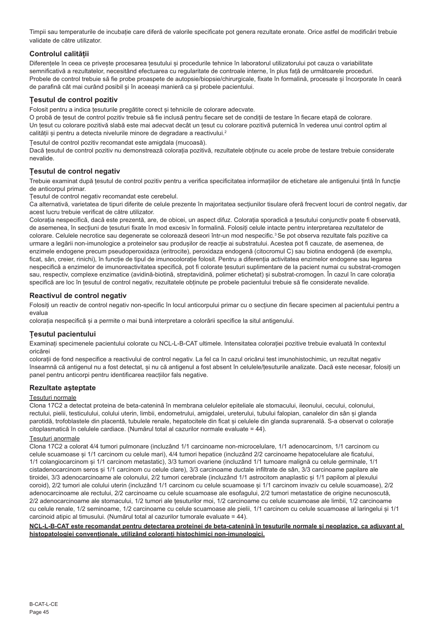Timpii sau temperaturile de incubație care diferă de valorile specificate pot genera rezultate eronate. Orice astfel de modificări trebuie validate de către utilizator.

# **Controlul calității**

Diferentele în ceea ce priveste procesarea tesutului și procedurile tehnice în laboratorul utilizatorului pot cauza o variabilitate semnificativă a rezultatelor, necesitând efectuarea cu regularitate de controale interne, în plus față de următoarele proceduri. Probele de control trebuie să fie probe proaspete de autopsie/biopsie/chirurgicale, fixate în formalină, procesate și încorporate în ceară de parafină cât mai curând posibil și în aceeași manieră ca și probele pacientului.

# **Țesutul de control pozitiv**

Folosit pentru a indica țesuturile pregătite corect și tehnicile de colorare adecvate.

O probă de țesut de control pozitiv trebuie să fie inclusă pentru fiecare set de condiții de testare în fiecare etapă de colorare. Un țesut cu colorare pozitivă slabă este mai adecvat decât un țesut cu colorare pozitivă puternică în vederea unui control optim al calității și pentru a detecta nivelurile minore de degradare a reactivului.<sup>2</sup>

Țesutul de control pozitiv recomandat este amigdala (mucoasă).

Dacă țesutul de control pozitiv nu demonstrează colorația pozitivă, rezultatele obținute cu acele probe de testare trebuie considerate nevalide.

# **Țesutul de control negativ**

Trebuie examinat după țesutul de control pozitiv pentru a verifica specificitatea informațiilor de etichetare ale antigenului țintă în funcție de anticorpul primar.

Țesutul de control negativ recomandat este cerebelul.

Ca alternativă, varietatea de tipuri diferite de celule prezente în majoritatea secțiunilor tisulare oferă frecvent locuri de control negativ, dar acest lucru trebuie verificat de către utilizator.

Colorația nespecifică, dacă este prezentă, are, de obicei, un aspect difuz. Colorația sporadică a țesutului conjunctiv poate fi observată, de asemenea, în secțiuni de țesuturi fixate în mod excesiv în formalină. Folosiți celule intacte pentru interpretarea rezultatelor de colorare. Celulele necrotice sau degenerate se colorează deseori într-un mod nespecific.3 Se pot observa rezultate fals pozitive ca urmare a legării non-imunologice a proteinelor sau produșilor de reacție ai substratului. Acestea pot fi cauzate, de asemenea, de enzimele endogene precum pseudoperoxidaza (eritrocite), peroxidaza endogenă (citocromul C) sau biotina endogenă (de exemplu, ficat, sân, creier, rinichi), în funcție de tipul de imunocolorație folosit. Pentru a diferenția activitatea enzimelor endogene sau legarea nespecifică a enzimelor de imunoreactivitatea specifică, pot fi colorate țesuturi suplimentare de la pacient numai cu substrat-cromogen sau, respectiv, complexe enzimatice (avidină-biotină, streptavidină, polimer etichetat) și substrat-cromogen. În cazul în care colorația specifică are loc în țesutul de control negativ, rezultatele obținute pe probele pacientului trebuie să fie considerate nevalide.

# **Reactivul de control negativ**

Folosiți un reactiv de control negativ non-specific în locul anticorpului primar cu o secțiune din fiecare specimen al pacientului pentru a evalua

colorația nespecifică și a permite o mai bună interpretare a colorării specifice la situl antigenului.

#### **Țesutul pacientului**

Examinați specimenele pacientului colorate cu NCL-L-B-CAT ultimele. Intensitatea colorației pozitive trebuie evaluată în contextul oricăre

colorații de fond nespecifice a reactivului de control negativ. La fel ca în cazul oricărui test imunohistochimic, un rezultat negativ înseamnă că antigenul nu a fost detectat, și nu că antigenul a fost absent în celulele/țesuturile analizate. Dacă este necesar, folosiți un panel pentru anticorpi pentru identificarea reacțiilor fals negative.

# **Rezultate așteptate**

#### Țesuturi normale

Clona 17C2 a detectat proteina de beta-catenină în membrana celulelor epiteliale ale stomacului, ileonului, cecului, colonului, rectului, pielii, testiculului, colului uterin, limbii, endometrului, amigdalei, ureterului, tubului falopian, canalelor din sân și glanda parotidă, trofoblastele din placentă, tubulele renale, hepatocitele din ficat și celulele din glanda suprarenală. S-a observat o colorație citoplasmatică în celulele cardiace. (Numărul total al cazurilor normale evaluate = 44).

### Țesuturi anormale

Clona 17C2 a colorat 4/4 tumori pulmonare (incluzând 1/1 carcinoame non-microcelulare, 1/1 adenocarcinom, 1/1 carcinom cu celule scuamoase și 1/1 carcinom cu celule mari), 4/4 tumori hepatice (incluzând 2/2 carcinoame hepatocelulare ale ficatului, 1/1 colangiocarcinom și 1/1 carcinom metastatic), 3/3 tumori ovariene (incluzând 1/1 tumoare malignă cu celule germinale, 1/1 cistadenocarcinom seros și 1/1 carcinom cu celule clare), 3/3 carcinoame ductale infiltrate de sân, 3/3 carcinoame papilare ale tiroidei, 3/3 adenocarcinoame ale colonului, 2/2 tumori cerebrale (incluzând 1/1 astrocitom anaplastic și 1/1 papilom al plexului coroid), 2/2 tumori ale colului uterin (incluzând 1/1 carcinom cu celule scuamoase și 1/1 carcinom invaziv cu celule scuamoase), 2/2 adenocarcinoame ale rectului, 2/2 carcinoame cu celule scuamoase ale esofagului, 2/2 tumori metastatice de origine necunoscută, 2/2 adenocarcinoame ale stomacului, 1/2 tumori ale țesuturilor moi, 1/2 carcinoame cu celule scuamoase ale limbii, 1/2 carcinoame cu celule renale, 1/2 seminoame, 1/2 carcinoame cu celule scuamoase ale pielii, 1/1 carcinom cu celule scuamoase al laringelui și 1/1 carcinoid atipic al timusului. (Numărul total al cazurilor tumorale evaluate = 44).

#### **NCL-L-B-CAT este recomandat pentru detectarea proteinei de beta-catenină în țesuturile normale și neoplazice, ca adjuvant al histopatologiei convenționale, utilizând coloranți histochimici non-imunologici.**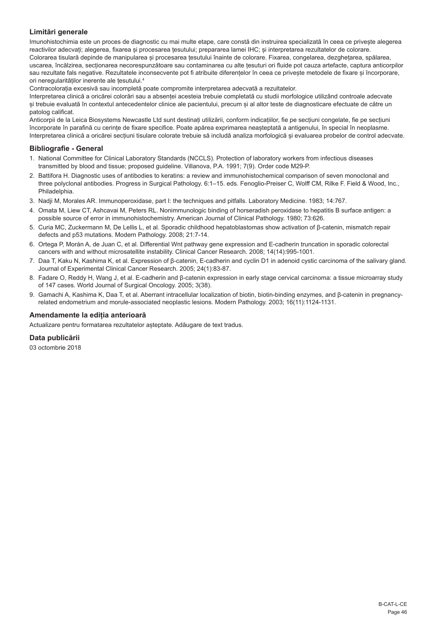# **Limitări generale**

Imunohistochimia este un proces de diagnostic cu mai multe etape, care constă din instruirea specializată în ceea ce privește alegerea reactivilor adecvați; alegerea, fixarea și procesarea tesutului; prepararea lamei IHC; și interpretarea rezultatelor de colorare. Colorarea tisulară depinde de manipularea și procesarea tesutului înainte de colorare. Fixarea, congelarea, dezghetarea, spălarea, uscarea, încălzirea, secționarea necorespunzătoare sau contaminarea cu alte țesuturi ori fluide pot cauza artefacte, captura anticorpilor sau rezultate fals negative. Rezultatele inconsecvente pot fi atribuite diferențelor în ceea ce privește metodele de fixare și încorporare. ori neregularităților inerente ale țesutului.<sup>4</sup>

Contracolorația excesivă sau incompletă poate compromite interpretarea adecvată a rezultatelor.

Interpretarea clinică a oricărei colorări sau a absenței acesteia trebuie completată cu studii morfologice utilizând controale adecvate și trebuie evaluată în contextul antecedentelor clinice ale pacientului, precum și al altor teste de diagnosticare efectuate de către un patolog calificat.

Anticorpii de la Leica Biosystems Newcastle Ltd sunt destinați utilizării, conform indicațiilor, fie pe secțiuni congelate, fie pe secțiuni încorporate în parafină cu cerințe de fixare specifice. Poate apărea exprimarea neașteptată a antigenului, în special în neoplasme. Interpretarea clinică a oricărei sectiuni tisulare colorate trebuie să includă analiza morfologică și evaluarea probelor de control adecvate.

# **Bibliografie - General**

- 1. National Committee for Clinical Laboratory Standards (NCCLS). Protection of laboratory workers from infectious diseases transmitted by blood and tissue; proposed guideline. Villanova, P.A. 1991; 7(9). Order code M29-P.
- 2. Battifora H. Diagnostic uses of antibodies to keratins: a review and immunohistochemical comparison of seven monoclonal and three polyclonal antibodies. Progress in Surgical Pathology. 6:1–15. eds. Fenoglio-Preiser C, Wolff CM, Rilke F. Field & Wood, Inc., Philadelphia.
- 3. Nadji M, Morales AR. Immunoperoxidase, part I: the techniques and pitfalls. Laboratory Medicine. 1983; 14:767.
- 4. Omata M, Liew CT, Ashcavai M, Peters RL. Nonimmunologic binding of horseradish peroxidase to hepatitis B surface antigen: a possible source of error in immunohistochemistry. American Journal of Clinical Pathology. 1980; 73:626.
- 5. Curia MC, Zuckermann M, De Lellis L, et al. Sporadic childhood hepatoblastomas show activation of β-catenin, mismatch repair defects and p53 mutations. Modern Pathology. 2008; 21:7-14.
- 6. Ortega P, Morán A, de Juan C, et al. Differential Wnt pathway gene expression and E-cadherin truncation in sporadic colorectal cancers with and without microsatellite instability. Clinical Cancer Research. 2008; 14(14):995-1001.
- 7. Daa T, Kaku N, Kashima K, et al. Expression of β-catenin, E-cadherin and cyclin D1 in adenoid cystic carcinoma of the salivary gland. Journal of Experimental Clinical Cancer Research. 2005; 24(1):83-87.
- 8. Fadare O, Reddy H, Wang J, et al. E-cadherin and β-catenin expression in early stage cervical carcinoma: a tissue microarray study of 147 cases. World Journal of Surgical Oncology. 2005; 3(38).
- 9. Gamachi A, Kashima K, Daa T, et al. Aberrant intracellular localization of biotin, biotin-binding enzymes, and β-catenin in pregnancyrelated endometrium and morule-associated neoplastic lesions. Modern Pathology. 2003; 16(11):1124-1131.

# **Amendamente la ediția anterioară**

Actualizare pentru formatarea rezultatelor așteptate. Adăugare de text tradus.

#### **Data publicării**

03 octombrie 2018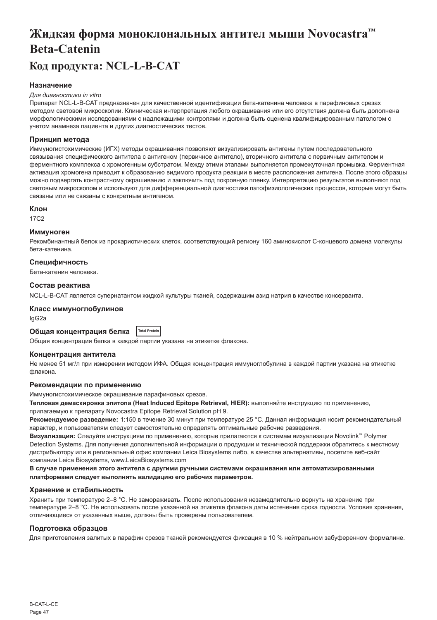# <span id="page-47-0"></span>**Жидкая форма моноклональных антител мыши Novocastra™ Beta-Catenin**

# **Код продукта: NCL-L-B-CAT**

# **Назначение**

#### *Для диагностики in vitro*

Препарат NCL-L-B-CAT предназначен для качественной идентификации бета-катенина человека в парафиновых срезах методом световой микроскопии. Клиническая интерпретация любого окрашивания или его отсутствия должна быть дополнена морфологическими исследованиями с надлежащими контролями и должна быть оценена квалифицированным патологом с учетом анамнеза пациента и других диагностических тестов.

### **Принцип метода**

Иммуногистохимические (ИГХ) методы окрашивания позволяют визуализировать антигены путем последовательного связывания специфического антитела с антигеном (первичное антитело), вторичного антитела с первичным антителом и ферментного комплекса с хромогенным субстратом. Между этими этапами выполняется промежуточная промывка. Ферментная активация хромогена приводит к образованию видимого продукта реакции в месте расположения антигена. После этого образцы можно подвергать контрастному окрашиванию и заключить под покровную пленку. Интерпретацию результатов выполняют под световым микроскопом и используют для дифференциальной диагностики патофизиологических процессов, которые могут быть связаны или не связаны с конкретным антигеном.

### **Клон**

17C2

#### **Иммуноген**

Рекомбинантный белок из прокариотических клеток, соответствующий региону 160 аминокислот С-концевого домена молекулы бета-катенина.

### **Специфичность**

Бета-катенин человека.

### **Состав реактива**

NCL-L-B-CAT является супернатантом жидкой культуры тканей, содержащим азид натрия в качестве консерванта.

# **Класс иммуноглобулинов**

IgG2a

# **Общая концентрация белка Total Protein**

Общая концентрация белка в каждой партии указана на этикетке флакона.

#### **Концентрация антитела**

Не менее 51 мг/л при измерении методом ИФА. Общая концентрация иммуноглобулина в каждой партии указана на этикетке флакона.

# **Рекомендации по применению**

Иммуногистохимическое окрашивание парафиновых срезов.

**Тепловая демаскировка эпитопа (Heat Induced Epitope Retrieval, HIER):** выполняйте инструкцию по применению, прилагаемую к препарату Novocastra Epitope Retrieval Solution pH 9.

**Рекомендуемое разведение:** 1:150 в течение 30 минут при температуре 25 °C. Данная информация носит рекомендательный характер, и пользователям следует самостоятельно определять оптимальные рабочие разведения.

**Визуализация:** Следуйте инструкциям по применению, которые прилагаются к системам визуализации Novolink™ Polymer Detection Systems. Для получения дополнительной информации о продукции и технической поддержки обратитесь к местному дистрибьютору или в региональный офис компании Leica Biosystems либо, в качестве альтернативы, посетите веб-сайт компании Leica Biosystems, www.LeicaBiosystems.com

**В случае применения этого антитела с другими ручными системами окрашивания или автоматизированными платформами следует выполнять валидацию его рабочих параметров.**

#### **Хранение и стабильность**

Хранить при температуре 2–8 °C. Не замораживать. После использования незамедлительно вернуть на хранение при температуре 2–8 °C. Не использовать после указанной на этикетке флакона даты истечения срока годности. Условия хранения, отличающиеся от указанных выше, должны быть проверены пользователем.

#### **Подготовка образцов**

Для приготовления залитых в парафин срезов тканей рекомендуется фиксация в 10 % нейтральном забуференном формалине.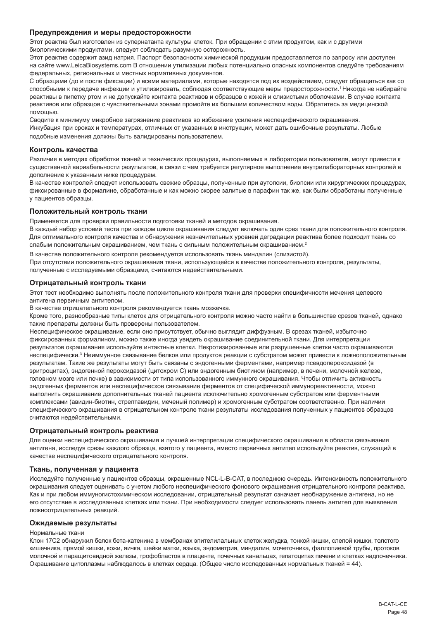#### **Предупреждения и меры предосторожности**

Этот реактив был изготовлен из супернатанта культуры клеток. При обращении с этим продуктом, как и с другими биологическими продуктами, следует соблюдать разумную осторожность.

Этот реактив содержит азид натрия. Паспорт безопасности химической продукции предоставляется по запросу или доступен на сайте www.LeicaBiosystems.com В отношении утилизации любых потенциально опасных компонентов следуйте требованиям федеральных, региональных и местных нормативных документов.

С образцами (до и после фиксации) и всеми материалами, которые находятся под их воздействием, следует обращаться как со способными к передаче инфекции и утилизировать, соблюдая соответствующие меры предосторожности.<sup>1</sup>Никогда не набирайте реактивы в пипетку ртом и не допускайте контакта реактивов и образцов с кожей и слизистыми оболочками. В случае контакта реактивов или образцов с чувствительными зонами промойте их большим количеством воды. Обратитесь за медицинской помощью.

Сводите к минимуму микробное загрязнение реактивов во избежание усиления неспецифического окрашивания. Инкубация при сроках и температурах, отличных от указанных в инструкции, может дать ошибочные результаты. Любые подобные изменения должны быть валидированы пользователем.

#### **Контроль качества**

Различия в методах обработки тканей и технических процедурах, выполняемых в лаборатории пользователя, могут привести к существенной вариабельности результатов, в связи с чем требуется регулярное выполнение внутрилабораторных контролей в дополнение к указанным ниже процедурам.

В качестве контролей следует использовать свежие образцы, полученные при аутопсии, биопсии или хирургических процедурах, фиксированные в формалине, обработанные и как можно скорее залитые в парафин так же, как были обработаны полученные у пациентов образцы.

#### **Положительный контроль ткани**

Применяется для проверки правильности подготовки тканей и методов окрашивания.

В каждый набор условий теста при каждом цикле окрашивания следует включать один срез ткани для положительного контроля. Для оптимального контроля качества и обнаружения незначительных уровней деградации реактива более подходит ткань со слабым положительным окрашиванием, чем ткань с сильным положительным окрашиванием.<sup>2</sup>

В качестве положительного контроля рекомендуется использовать ткань миндалин (слизистой).

При отсутствии положительного окрашивания ткани, использующейся в качестве положительного контроля, результаты, полученные с исследуемыми образцами, считаются недействительными.

#### **Отрицательный контроль ткани**

Этот тест необходимо выполнять после положительного контроля ткани для проверки специфичности мечения целевого антигена первичным антителом.

В качестве отрицательного контроля рекомендуется ткань мозжечка.

Кроме того, разнообразные типы клеток для отрицательного контроля можно часто найти в большинстве срезов тканей, однако такие препараты должны быть проверены пользователем.

Неспецифическое окрашивание, если оно присутствует, обычно выглядит диффузным. В срезах тканей, избыточно фиксированных формалином, можно также иногда увидеть окрашивание соединительной ткани. Для интерпретации результатов окрашивания используйте интактные клетки. Некротизированные или разрушенные клетки часто окрашиваются неспецифически.<sup>з</sup> Неиммунное связывание белков или продуктов реакции с субстратом может привести к ложноположительным результатам. Такие же результаты могут быть связаны с эндогенными ферментами, например псевдопероксидазой (в эритроцитах), эндогенной пероксидазой (цитохром C) или эндогенным биотином (например, в печени, молочной железе, головном мозге или почке) в зависимости от типа использованного иммунного окрашивания. Чтобы отличить активность эндогенных ферментов или неспецифическое связывание ферментов от специфической иммунореактивности, можно выполнить окрашивание дополнительных тканей пациента исключительно хромогенным субстратом или ферментными комплексами (авидин-биотин, стрептавидин, меченый полимер) и хромогенным субстратом соответственно. При наличии специфического окрашивания в отрицательном контроле ткани результаты исследования полученных у пациентов образцов считаются недействительными.

#### **Отрицательный контроль реактива**

Для оценки неспецифического окрашивания и лучшей интерпретации специфического окрашивания в области связывания антигена, исследуя срезы каждого образца, взятого у пациента, вместо первичных антител используйте реактив, служащий в качестве неспецифического отрицательного контроля.

#### **Ткань, полученная у пациента**

Исследуйте полученные у пациентов образцы, окрашенные NCL-L-B-CAT, в последнюю очередь. Интенсивность положительного окрашивания следует оценивать с учетом любого неспецифического фонового окрашивания отрицательного контроля реактива. Как и при любом иммуногистохимическом исследовании, отрицательный результат означает необнаружение антигена, но не его отсутствие в исследованных клетках или ткани. При необходимости следует использовать панель антител для выявления ложноотрицательных реакций.

#### **Ожидаемые результаты**

#### Нормальные ткани

Клон 17C2 обнаружил белок бета-катенина в мембранах эпителилальных клеток желудка, тонкой кишки, слепой кишки, толстого кишечника, прямой кишки, кожи, яичка, шейки матки, языка, эндометрия, миндалин, мочеточника, фаллопиевой трубы, протоков молочной и паращитовидной железы, трофобластов в плаценте, почечных канальцах, гепатоцитах печени и клетках надпочечника. Окрашивание цитоплазмы наблюдалось в клетках сердца. (Общее число исследованных нормальных тканей = 44).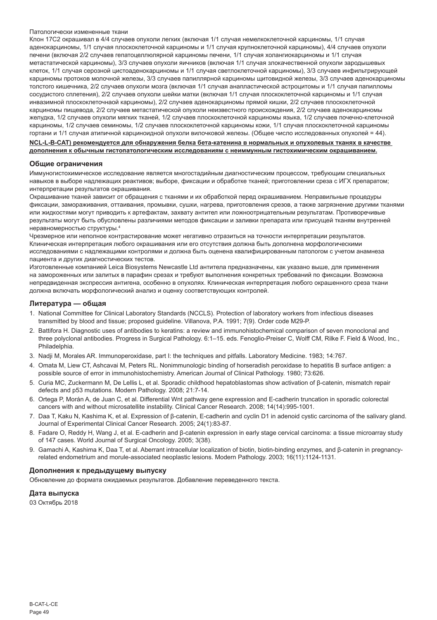#### Патологически измененные ткани

Клон 17C2 окрашивал в 4/4 случаев опухоли легких (включая 1/1 случая немелкоклеточной карциномы, 1/1 случая аденокарциномы, 1/1 случая плоскоклеточной карциномы и 1/1 случая крупноклеточной карциномы), 4/4 случаев опухоли печени (включая 2/2 случаев гепатоцеллюлярной карциномы печени, 1/1 случая холангиокарциномы и 1/1 случая метастатической карциномы), 3/3 случаев опухоли яичников (включая 1/1 случая злокачественной опухоли зародышевых клеток, 1/1 случая серозной цистоаденокарциномы и 1/1 случая светлоклеточной карциномы), 3/3 случаев инфильтрирующей карциномы протоков молочной железы, 3/3 случаев папиллярной карциномы щитовидной железы, 3/3 случаев аденокарциномы толстого кишечника, 2/2 случаев опухоли мозга (включая 1/1 случая анапластической астроцитомы и 1/1 случая папилломы сосудистого сплетения), 2/2 случаев опухоли шейки матки (включая 1/1 случая плоскоклеточной карциномы и 1/1 случая инвазимной плоскоклеточнаой карциномы), 2/2 случаев аденокарциномы прямой кишки, 2/2 случаев плоскоклеточной карциномы пищевода, 2/2 случаев метастатической опухоли неизвестного происхождения, 2/2 случаев аденокарциномы желудка, 1/2 случаев опухоли мягких тканей, 1/2 случаев плоскоклеточной карциномы языка, 1/2 случаев почечно-клеточной карциномы, 1/2 случаев семиномы, 1/2 случаев плоскоклеточной карциномы кожи, 1/1 случая плоскоклеточной карциномы гортани и 1/1 случая атипичной карциноидной опухоли вилочковой железы. (Общее число исследованных опухолей = 44).

**NCL-L-B-CAT) рекомендуется для обнаружения белка бета-катенина в нормальных и опухолевых тканях в качестве дополнения к обычным гистопатологическим исследованиям с неиммунным гистохимическим окрашиванием.**

#### **Общие ограничения**

Иммуногистохимическое исследование является многостадийным диагностическим процессом, требующим специальных навыков в выборе надлежащих реактивов; выборе, фиксации и обработке тканей; приготовлении среза с ИГХ препаратом; интерпретации результатов окрашивания.

Окрашивание тканей зависит от обращения с тканями и их обработкой перед окрашиванием. Неправильные процедуры фиксации, замораживания, оттаивания, промывки, сушки, нагрева, приготовления срезов, а также загрязнение другими тканями или жидкостями могут приводить к артефактам, захвату антител или ложноотрицательным результатам. Противоречивые результаты могут быть обусловлены различиями методов фиксации и заливки препарата или присущей тканям внутренней неравномерностью структуры.<sup>4</sup>

Чрезмерное или неполное контрастирование может негативно отразиться на точности интерпретации результатов. Клиническая интерпретация любого окрашивания или его отсутствия должна быть дополнена морфологическими исследованиями с надлежащими контролями и должна быть оценена квалифицированным патологом с учетом анамнеза пациента и других диагностических тестов.

Изготовленные компанией Leica Biosystems Newcastle Ltd антитела предназначены, как указано выше, для применения на замороженных или залитых в парафин срезах и требуют выполнения конкретных требований по фиксации. Возможна непредвиденная экспрессия антигена, особенно в опухолях. Клиническая интерпретация любого окрашенного среза ткани должна включать морфологический анализ и оценку соответствующих контролей.

#### **Литература — общая**

- 1. National Committee for Clinical Laboratory Standards (NCCLS). Protection of laboratory workers from infectious diseases transmitted by blood and tissue; proposed guideline. Villanova, P.A. 1991; 7(9). Order code M29-P.
- 2. Battifora H. Diagnostic uses of antibodies to keratins: a review and immunohistochemical comparison of seven monoclonal and three polyclonal antibodies. Progress in Surgical Pathology. 6:1–15. eds. Fenoglio-Preiser C, Wolff CM, Rilke F. Field & Wood, Inc., **Philadelphia**
- 3. Nadji M, Morales AR. Immunoperoxidase, part I: the techniques and pitfalls. Laboratory Medicine. 1983; 14:767.
- 4. Omata M, Liew CT, Ashcavai M, Peters RL. Nonimmunologic binding of horseradish peroxidase to hepatitis B surface antigen: a possible source of error in immunohistochemistry. American Journal of Clinical Pathology. 1980; 73:626.
- 5. Curia MC, Zuckermann M, De Lellis L, et al. Sporadic childhood hepatoblastomas show activation of β-catenin, mismatch repair defects and p53 mutations. Modern Pathology. 2008; 21:7-14.
- 6. Ortega P, Morán A, de Juan C, et al. Differential Wnt pathway gene expression and E-cadherin truncation in sporadic colorectal cancers with and without microsatellite instability. Clinical Cancer Research. 2008; 14(14):995-1001.
- 7. Daa T, Kaku N, Kashima K, et al. Expression of β-catenin, E-cadherin and cyclin D1 in adenoid cystic carcinoma of the salivary gland. Journal of Experimental Clinical Cancer Research. 2005; 24(1):83-87.
- 8. Fadare O, Reddy H, Wang J, et al. E-cadherin and β-catenin expression in early stage cervical carcinoma: a tissue microarray study of 147 cases. World Journal of Surgical Oncology. 2005; 3(38).
- 9. Gamachi A, Kashima K, Daa T, et al. Aberrant intracellular localization of biotin, biotin-binding enzymes, and β-catenin in pregnancyrelated endometrium and morule-associated neoplastic lesions. Modern Pathology. 2003; 16(11):1124-1131.

#### **Дополнения к предыдущему выпуску**

Обновление до формата ожидаемых результатов. Добавление переведенного текста.

#### **Дата выпуска**

03 Октябрь 2018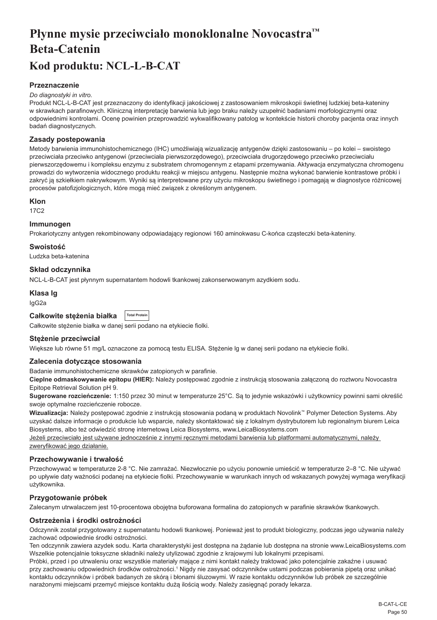# <span id="page-50-0"></span>**Płynne mysie przeciwciało monoklonalne Novocastra™ Beta-Catenin Kod produktu: NCL-L-B-CAT**

# **Przeznaczenie**

#### *Do diagnostyki in vitro.*

Produkt NCL-L-B-CAT jest przeznaczony do identyfikacji jakościowej z zastosowaniem mikroskopii świetlnej ludzkiej beta-kateniny w skrawkach parafinowych. Kliniczną interpretację barwienia lub jego braku należy uzupełnić badaniami morfologicznymi oraz odpowiednimi kontrolami. Ocenę powinien przeprowadzić wykwalifikowany patolog w kontekście historii choroby pacjenta oraz innych badań diagnostycznych.

# **Zasady postepowania**

Metody barwienia immunohistochemicznego (IHC) umożliwiają wizualizację antygenów dzięki zastosowaniu – po kolei – swoistego przeciwciała przeciwko antygenowi (przeciwciała pierwszorzędowego), przeciwciała drugorzędowego przeciwko przeciwciału pierwszorzędowemu i kompleksu enzymu z substratem chromogennym z etapami przemywania. Aktywacja enzymatyczna chromogenu prowadzi do wytworzenia widocznego produktu reakcji w miejscu antygenu. Następnie można wykonać barwienie kontrastowe próbki i zakryć ją szkiełkiem nakrywkowym. Wyniki są interpretowane przy użyciu mikroskopu świetlnego i pomagają w diagnostyce różnicowej procesów patofizjologicznych, które mogą mieć związek z określonym antygenem.

#### **Klon**

17C2

# **Immunogen**

Prokariotyczny antygen rekombinowany odpowiadający regionowi 160 aminokwasu C-końca cząsteczki beta-kateniny.

### **Swoistość**

Ludzka beta-katenina

# **Skład odczynnika**

NCL-L-B-CAT jest płynnym supernatantem hodowli tkankowej zakonserwowanym azydkiem sodu.

# **Klasa Ig**

IgG2a

| Całkowite stężenia białka |  | <b>Total Protein</b> |
|---------------------------|--|----------------------|
|                           |  |                      |

Całkowite stężenie białka w danej serii podano na etykiecie fiolki.

#### **Stężenie przeciwciał**

Większe lub równe 51 mg/L oznaczone za pomocą testu ELISA. Stężenie lg w danej serii podano na etykiecie fiolki.

#### **Zalecenia dotyczące stosowania**

Badanie immunohistochemiczne skrawków zatopionych w parafinie.

**Cieplne odmaskowywanie epitopu (HIER):** Należy postępować zgodnie z instrukcją stosowania załączoną do roztworu Novocastra Epitope Retrieval Solution pH 9.

**Sugerowane rozcieńczenie:** 1:150 przez 30 minut w temperaturze 25°C. Są to jedynie wskazówki i użytkownicy powinni sami określić swoje optymalne rozcieńczenie robocze.

**Wizualizacja:** Należy postępować zgodnie z instrukcją stosowania podaną w produktach Novolink™ Polymer Detection Systems. Aby uzyskać dalsze informacje o produkcie lub wsparcie, należy skontaktować się z lokalnym dystrybutorem lub regionalnym biurem Leica Biosystems, albo też odwiedzić stronę internetową Leica Biosystems, www.LeicaBiosystems.com

Jeżeli przeciwciało jest używane jednocześnie z innymi ręcznymi metodami barwienia lub platformami automatycznymi, należy zweryfikować jego działanie.

#### **Przechowywanie i trwałość**

Przechowywać w temperaturze 2-8 °C. Nie zamrażać. Niezwłocznie po użyciu ponownie umieścić w temperaturze 2–8 °C. Nie używać po upływie daty ważności podanej na etykiecie fiolki. Przechowywanie w warunkach innych od wskazanych powyżej wymaga weryfikacji użytkownika.

# **Przygotowanie próbek**

Zalecanym utrwalaczem jest 10-procentowa obojętna buforowana formalina do zatopionych w parafinie skrawków tkankowych.

# **Ostrzeżenia i środki ostrożności**

Odczynnik został przygotowany z supernatantu hodowli tkankowej. Ponieważ jest to produkt biologiczny, podczas jego używania należy zachować odpowiednie środki ostrożności.

Ten odczynnik zawiera azydek sodu. Karta charakterystyki jest dostępna na żądanie lub dostępna na stronie www.LeicaBiosystems.com Wszelkie potencjalnie toksyczne składniki należy utylizować zgodnie z krajowymi lub lokalnymi przepisami.

Próbki, przed i po utrwaleniu oraz wszystkie materiały mające z nimi kontakt należy traktować jako potencjalnie zakaźne i usuwać przy zachowaniu odpowiednich środków ostrożności.1 Nigdy nie zasysać odczynników ustami podczas pobierania pipetą oraz unikać kontaktu odczynników i próbek badanych ze skórą i błonami śluzowymi. W razie kontaktu odczynników lub próbek ze szczególnie narażonymi miejscami przemyć miejsce kontaktu dużą ilością wody. Należy zasięgnąć porady lekarza.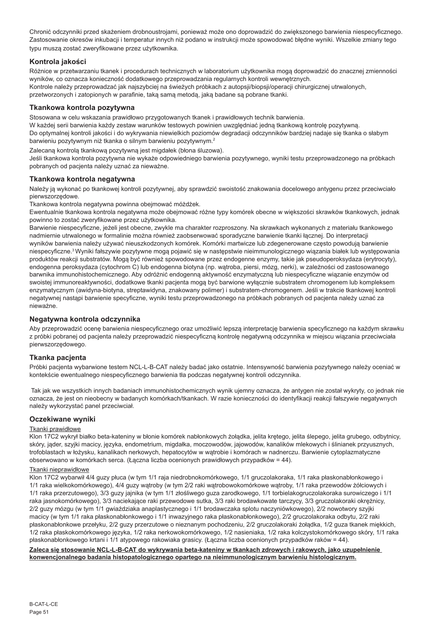Chronić odczynniki przed skażeniem drobnoustrojami, ponieważ może ono doprowadzić do zwiększonego barwienia niespecyficznego. Zastosowanie okresów inkubacji i temperatur innych niż podano w instrukcji może spowodować błędne wyniki. Wszelkie zmiany tego typu muszą zostać zweryfikowane przez użytkownika.

# **Kontrola jakości**

Różnice w przetwarzaniu tkanek i procedurach technicznych w laboratorium użytkownika mogą doprowadzić do znacznej zmienności wyników, co oznacza konieczność dodatkowego przeprowadzania regularnych kontroli wewnętrznych. Kontrole należy przeprowadzać jak najszybciej na świeżych próbkach z autopsji/biopsji/operacji chirurgicznej utrwalonych, przetworzonych i zatopionych w parafinie, taką samą metodą, jaką badane są pobrane tkanki.

# **Tkankowa kontrola pozytywna**

Stosowana w celu wskazania prawidłowo przygotowanych tkanek i prawidłowych technik barwienia.

W każdej serii barwienia każdy zestaw warunków testowych powinien uwzględniać jedną tkankową kontrolę pozytywną. Do optymalnej kontroli jakości i do wykrywania niewielkich poziomów degradacji odczynników bardziej nadaje się tkanka o słabym barwieniu pozytywnym niż tkanka o silnym barwieniu pozytywnym.<sup>2</sup>

Zalecaną kontrolą tkankową pozytywną jest migdałek (błona śluzowa).

Jeśli tkankowa kontrola pozytywna nie wykaże odpowiedniego barwienia pozytywnego, wyniki testu przeprowadzonego na próbkach pobranych od pacjenta należy uznać za nieważne.

# **Tkankowa kontrola negatywna**

Należy ją wykonać po tkankowej kontroli pozytywnej, aby sprawdzić swoistość znakowania docelowego antygenu przez przeciwciało pierwszorzędowe.

Tkankowa kontrola negatywna powinna obejmować móżdżek.

Ewentualnie tkankowa kontrola negatywna może obejmować różne typy komórek obecne w większości skrawków tkankowych, jednak powinno to zostać zweryfikowane przez użytkownika.

Barwienie niespecyficzne, jeżeli jest obecne, zwykle ma charakter rozproszony. Na skrawkach wykonanych z materiału tkankowego nadmiernie utrwalonego w formalinie można również zaobserwować sporadyczne barwienie tkanki łącznej. Do interpretacji wyników barwienia należy używać nieuszkodzonych komórek. Komórki martwicze lub zdegenerowane często powodują barwienie niespecyficzne.3 Wyniki fałszywie pozytywne mogą pojawić się w następstwie nieimmunologicznego wiązania białek lub występowania produktów reakcji substratów. Mogą być również spowodowane przez endogenne enzymy, takie jak pseudoperoksydaza (erytrocyty), endogenna peroksydaza (cytochrom C) lub endogenna biotyna (np. wątroba, piersi, mózg, nerki), w zależności od zastosowanego barwnika immunohistochemicznego. Aby odróżnić endogenną aktywność enzymatyczną lub niespecyficzne wiązanie enzymów od swoistej immunoreaktywności, dodatkowe tkanki pacjenta mogą być barwione wyłącznie substratem chromogenem lub kompleksem enzymatycznym (awidyna-biotyna, streptawidyna, znakowany polimer) i substratem-chromogenem. Jeśli w trakcie tkankowej kontroli negatywnej nastąpi barwienie specyficzne, wyniki testu przeprowadzonego na próbkach pobranych od pacjenta należy uznać za nieważne.

# **Negatywna kontrola odczynnika**

Aby przeprowadzić ocenę barwienia niespecyficznego oraz umożliwić lepszą interpretację barwienia specyficznego na każdym skrawku z próbki pobranej od pacjenta należy przeprowadzić niespecyficzną kontrolę negatywną odczynnika w miejscu wiązania przeciwciała pierwszorzędowego.

# **Tkanka pacjenta**

Próbki pacjenta wybarwione testem NCL-L-B-CAT należy badać jako ostatnie. Intensywność barwienia pozytywnego należy oceniać w kontekście ewentualnego niespecyficznego barwienia tła podczas negatywnej kontroli odczynnika.

 Tak jak we wszystkich innych badaniach immunohistochemicznych wynik ujemny oznacza, że antygen nie został wykryty, co jednak nie oznacza, że jest on nieobecny w badanych komórkach/tkankach. W razie konieczności do identyfikacji reakcji fałszywie negatywnych należy wykorzystać panel przeciwciał.

# **Oczekiwane wyniki**

#### Tkanki prawidłowe

Klon 17C2 wykrył białko beta-kateniny w błonie komórek nabłonkowych żołądka, jelita krętego, jelita ślepego, jelita grubego, odbytnicy, skóry, jąder, szyjki macicy, języka, endometrium, migdałka, moczowodów, jajowodów, kanalików mlekowych i ślinianek przyusznych, trofoblastach w łożysku, kanalikach nerkowych, hepatocytów w wątrobie i komórach w nadnerczu. Barwienie cytoplazmatyczne obserwowano w komórkach serca. (Łączna liczba ocenionych prawidłowych przypadków = 44).

#### Tkanki nieprawidłowe

Klon 17C2 wybarwił 4/4 guzy płuca (w tym 1/1 raja niedrobnokomórkowego, 1/1 gruczolakoraka, 1/1 raka płaskonabłonkowego i 1/1 raka wielkokomórkowego), 4/4 guzy wątroby (w tym 2/2 raki wątrobowokomórkowe wątroby, 1/1 raka przewodów żółciowych i 1/1 raka przerzutowego), 3/3 guzy jajnika (w tym 1/1 złośliwego guza zarodkowego, 1/1 torbielakogruczolakoraka surowiczego i 1/1 raka jasnokomórkowego), 3/3 naciekające raki przewodowe sutka, 3/3 raki brodawkowate tarczycy, 3/3 gruczolakoraki okrężnicy, 2/2 guzy mózgu (w tym 1/1 gwiaździaka anaplastycznego i 1/1 brodawczaka splotu naczyniówkowego), 2/2 nowotwory szyjki macicy (w tym 1/1 raka płaskonabłonkowego i 1/1 inwazyjnego raka płaskonabłonkowego), 2/2 gruczolakoraka odbytu, 2/2 raki płaskonabłonkowe przełyku, 2/2 guzy przerzutowe o nieznanym pochodzeniu, 2/2 gruczolakoraki żołądka, 1/2 guza tkanek miękkich, 1/2 raka płaskokomórkowego języka, 1/2 raka nerkowokomórkowego, 1/2 nasieniaka, 1/2 raka kolczystokomórkowego skóry, 1/1 raka płaskonabłonkowego krtani i 1/1 atypowego rakowiaka grasicy. (Łączna liczba ocenionych przypadków raków = 44).

**Zaleca się stosowanie NCL-L-B-CAT do wykrywania beta-kateniny w tkankach zdrowych i rakowych, jako uzupełnienie konwencjonalnego badania histopatologicznego opartego na nieimmunologicznym barwieniu histologicznym.**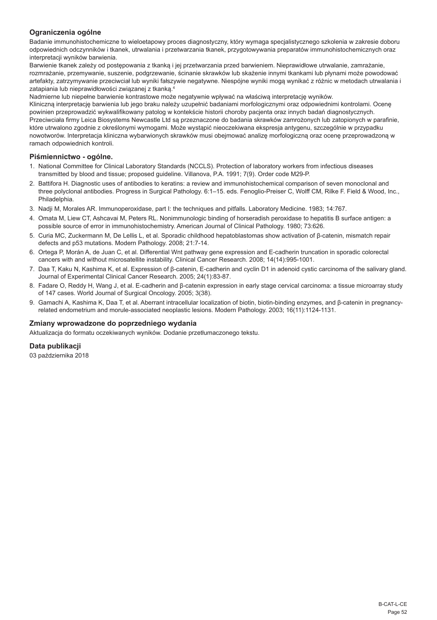# **Ograniczenia ogólne**

Badanie immunohistochemiczne to wieloetapowy proces diagnostyczny, który wymaga specjalistycznego szkolenia w zakresie doboru odpowiednich odczynników i tkanek, utrwalania i przetwarzania tkanek, przygotowywania preparatów immunohistochemicznych oraz interpretacji wyników barwienia.

Barwienie tkanek zależy od postępowania z tkanką i jej przetwarzania przed barwieniem. Nieprawidłowe utrwalanie, zamrażanie, rozmrażanie, przemywanie, suszenie, podgrzewanie, ścinanie skrawków lub skażenie innymi tkankami lub płynami może powodować artefakty, zatrzymywanie przeciwciał lub wyniki fałszywie negatywne. Niespójne wyniki mogą wynikać z różnic w metodach utrwalania i zatapiania lub nieprawidłowości związanej z tkanką.<sup>4</sup>

Nadmierne lub niepełne barwienie kontrastowe może negatywnie wpływać na właściwą interpretację wyników.

Kliniczną interpretację barwienia lub jego braku należy uzupełnić badaniami morfologicznymi oraz odpowiednimi kontrolami. Ocenę powinien przeprowadzić wykwalifikowany patolog w kontekście historii choroby pacjenta oraz innych badań diagnostycznych. Przeciwciała firmy Leica Biosystems Newcastle Ltd są przeznaczone do badania skrawków zamrożonych lub zatopionych w parafinie, które utrwalono zgodnie z określonymi wymogami. Może wystąpić nieoczekiwana ekspresja antygenu, szczególnie w przypadku nowotworów. Interpretacja kliniczna wybarwionych skrawków musi obejmować analizę morfologiczną oraz ocenę przeprowadzoną w ramach odpowiednich kontroli.

# **Piśmiennictwo - ogólne.**

- 1. National Committee for Clinical Laboratory Standards (NCCLS). Protection of laboratory workers from infectious diseases transmitted by blood and tissue; proposed guideline. Villanova, P.A. 1991; 7(9). Order code M29-P.
- 2. Battifora H. Diagnostic uses of antibodies to keratins: a review and immunohistochemical comparison of seven monoclonal and three polyclonal antibodies. Progress in Surgical Pathology. 6:1–15. eds. Fenoglio-Preiser C, Wolff CM, Rilke F. Field & Wood, Inc., Philadelphia.
- 3. Nadji M, Morales AR. Immunoperoxidase, part I: the techniques and pitfalls. Laboratory Medicine. 1983; 14:767.
- 4. Omata M, Liew CT, Ashcavai M, Peters RL. Nonimmunologic binding of horseradish peroxidase to hepatitis B surface antigen: a possible source of error in immunohistochemistry. American Journal of Clinical Pathology. 1980; 73:626.
- 5. Curia MC, Zuckermann M, De Lellis L, et al. Sporadic childhood hepatoblastomas show activation of β-catenin, mismatch repair defects and p53 mutations. Modern Pathology. 2008; 21:7-14.
- 6. Ortega P, Morán A, de Juan C, et al. Differential Wnt pathway gene expression and E-cadherin truncation in sporadic colorectal cancers with and without microsatellite instability. Clinical Cancer Research. 2008; 14(14):995-1001.
- 7. Daa T, Kaku N, Kashima K, et al. Expression of β-catenin, E-cadherin and cyclin D1 in adenoid cystic carcinoma of the salivary gland. Journal of Experimental Clinical Cancer Research. 2005; 24(1):83-87.
- 8. Fadare O, Reddy H, Wang J, et al. E-cadherin and β-catenin expression in early stage cervical carcinoma: a tissue microarray study of 147 cases. World Journal of Surgical Oncology. 2005; 3(38).
- 9. Gamachi A, Kashima K, Daa T, et al. Aberrant intracellular localization of biotin, biotin-binding enzymes, and β-catenin in pregnancyrelated endometrium and morule-associated neoplastic lesions. Modern Pathology. 2003; 16(11):1124-1131.

# **Zmiany wprowadzone do poprzedniego wydania**

Aktualizacja do formatu oczekiwanych wyników. Dodanie przetłumaczonego tekstu.

# **Data publikacji**

03 października 2018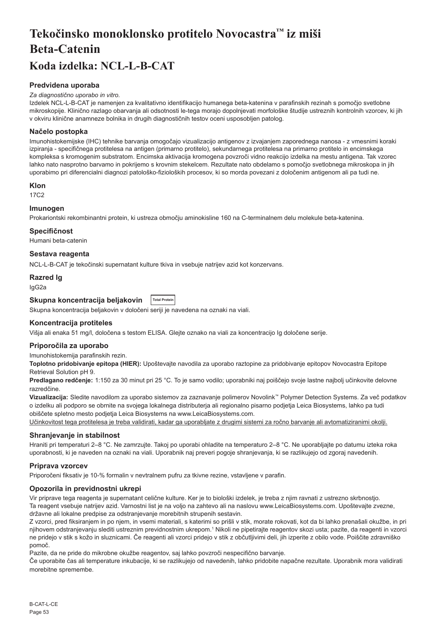# <span id="page-53-0"></span>**Tekočinsko monoklonsko protitelo Novocastra™ iz miši Beta-Catenin Koda izdelka: NCL-L-B-CAT**

# **Predvidena uporaba**

#### *Za diagnostično uporabo in vitro.*

Izdelek NCL-L-B-CAT je namenjen za kvalitativno identifikacijo humanega beta-katenina v parafinskih rezinah s pomočjo svetlobne mikroskopije. Klinično razlago obarvanja ali odsotnosti le-tega morajo dopolnjevati morfološke študije ustreznih kontrolnih vzorcev, ki jih v okviru klinične anamneze bolnika in drugih diagnostičnih testov oceni usposobljen patolog.

# **Načelo postopka**

Imunohistokemijske (IHC) tehnike barvanja omogočajo vizualizacijo antigenov z izvajanjem zaporednega nanosa - z vmesnimi koraki izpiranja - specifičnega protitelesa na antigen (primarno protitelo), sekundarnega protitelesa na primarno protitelo in encimskega kompleksa s kromogenim substratom. Encimska aktivacija kromogena povzroči vidno reakcijo izdelka na mestu antigena. Tak vzorec lahko nato nasprotno barvamo in pokrijemo s krovnim stekelcem. Rezultate nato obdelamo s pomočjo svetlobnega mikroskopa in jih uporabimo pri diferencialni diagnozi patološko-fizioloških procesov, ki so morda povezani z določenim antigenom ali pa tudi ne.

#### **Klon**

17C2

# **Imunogen**

Prokariontski rekombinantni protein, ki ustreza območju aminokisline 160 na C-terminalnem delu molekule beta-katenina.

#### **Specifičnost**

Humani beta-catenin

# **Sestava reagenta**

NCL-L-B-CAT je tekočinski supernatant kulture tkiva in vsebuje natrijev azid kot konzervans.

### **Razred Ig**

IgG2a

#### **Skupna koncentracija beljakovin Total Protein**

Skupna koncentracija beljakovin v določeni seriji je navedena na oznaki na viali.

# **Koncentracija protiteles**

Višja ali enaka 51 mg/l, določena s testom ELISA. Glejte oznako na viali za koncentracijo Ig določene serije.

#### **Priporočila za uporabo**

Imunohistokemija parafinskih rezin.

**Toplotno pridobivanje epitopa (HIER):** Upoštevajte navodila za uporabo raztopine za pridobivanje epitopov Novocastra Epitope Retrieval Solution pH 9.

**Predlagano redčenje:** 1:150 za 30 minut pri 25 °C. To je samo vodilo; uporabniki naj poiščejo svoje lastne najbolj učinkovite delovne razredčine.

**Vizualizacija:** Sledite navodilom za uporabo sistemov za zaznavanje polimerov Novolink™ Polymer Detection Systems. Za več podatkov o izdelku ali podporo se obrnite na svojega lokalnega distributerja ali regionalno pisarno podjetja Leica Biosystems, lahko pa tudi obiščete spletno mesto podjetja Leica Biosystems na www.LeicaBiosystems.com.

Učinkovitost tega protitelesa je treba validirati, kadar ga uporabljate z drugimi sistemi za ročno barvanje ali avtomatiziranimi okolji.

#### **Shranjevanje in stabilnost**

Hraniti pri temperaturi 2–8 °C. Ne zamrzujte. Takoj po uporabi ohladite na temperaturo 2–8 °C. Ne uporabljajte po datumu izteka roka uporabnosti, ki je naveden na oznaki na viali. Uporabnik naj preveri pogoje shranjevanja, ki se razlikujejo od zgoraj navedenih.

#### **Priprava vzorcev**

Priporočeni fiksativ je 10-% formalin v nevtralnem pufru za tkivne rezine, vstavljene v parafin.

#### **Opozorila in previdnostni ukrepi**

Vir priprave tega reagenta je supernatant celične kulture. Ker je to biološki izdelek, je treba z njim ravnati z ustrezno skrbnostjo. Ta reagent vsebuje natrijev azid. Varnostni list je na voljo na zahtevo ali na naslovu www.LeicaBiosystems.com. Upoštevajte zvezne, državne ali lokalne predpise za odstranjevanje morebitnih strupenih sestavin.

Z vzorci, pred fiksiranjem in po njem, in vsemi materiali, s katerimi so prišli v stik, morate rokovati, kot da bi lahko prenašali okužbe, in pri njihovem odstranjevanju slediti ustreznim previdnostnim ukrepom.<sup>1</sup> Nikoli ne pipetirajte reagentov skozi usta; pazite, da reagenti in vzorci ne pridejo v stik s kožo in sluznicami. Če reagenti ali vzorci pridejo v stik z občutljivimi deli, jih izperite z obilo vode. Poiščite zdravniško pomoč.

Pazite, da ne pride do mikrobne okužbe reagentov, saj lahko povzroči nespecifično barvanje.

Če uporabite čas ali temperature inkubacije, ki se razlikujejo od navedenih, lahko pridobite napačne rezultate. Uporabnik mora validirati morebitne spremembe.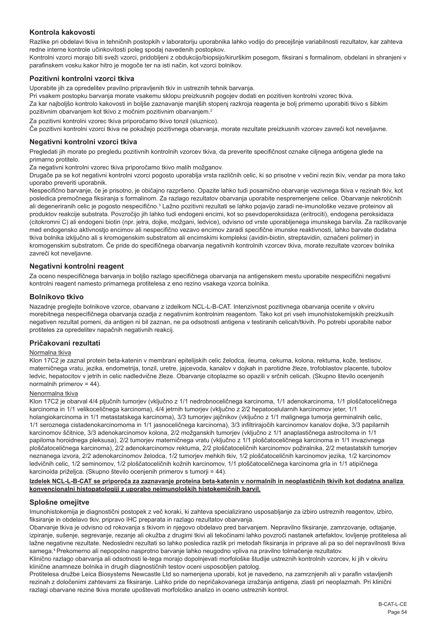# **Kontrola kakovosti**

Razlike pri obdelavi tkiva in tehničnih postopkih v laboratoriju uporabnika lahko vodijo do precejšnje variabilnosti rezultatov, kar zahteva redne interne kontrole učinkovitosti poleg spodaj navedenih postopkov.

Kontrolni vzorci morajo biti sveži vzorci, pridobljeni z obdukcijo/biopsijo/kirurškim posegom, fiksirani s formalinom, obdelani in shranjeni v parafinskem vosku kakor hitro je mogoče ter na isti način, kot vzorci bolnikov.

# **Pozitivni kontrolni vzorci tkiva**

Uporabite jih za opredelitev pravilno pripravljenih tkiv in ustreznih tehnik barvanja.

Pri vsakem postopku barvanja morate vsakemu sklopu preizkusnih pogojev dodati en pozitiven kontrolni vzorec tkiva.

Za kar najboljšo kontrolo kakovosti in boljše zaznavanje manjših stopenj razkroja reagenta je bolj primerno uporabiti tkivo s šibkim pozitivnim obarvanjem kot tkivo z močnim pozitivnim obarvanjem.<sup>2</sup>

Za pozitivni kontrolni vzorec tkiva priporočamo tkivo tonzil (sluznico).

Če pozitivni kontrolni vzorci tkiva ne pokažejo pozitivnega obarvanja, morate rezultate preizkusnih vzorcev zavreči kot neveljavne.

### **Negativni kontrolni vzorci tkiva**

Pregledati jih morate po pregledu pozitivnih kontrolnih vzorcev tkiva, da preverite specifičnost oznake ciljnega antigena glede na primarno protitelo.

Za negativni kontrolni vzorec tkiva priporočamo tkivo malih možganov.

Drugače pa se kot negativni kontrolni vzorci pogosto uporablja vrsta različnih celic, ki so prisotne v večini rezin tkiv, vendar pa mora tako uporabo preveriti uporabnik.

Nespecifično barvanje, če je prisotno, je običajno razpršeno. Opazite lahko tudi posamično obarvanje vezivnega tkiva v rezinah tkiv, kot posledica premočnega fiksiranja s formalinom. Za razlago rezultatov obarvanja uporabite nespremenjene celice. Obarvanje nekrotičnih ali degeneriranih celic je pogosto nespecifično.<sup>3</sup> Lažno pozitivni rezultati se lahko pojavijo zaradi ne-imunološke vezave proteinov ali produktov reakcije substrata. Povzročijo jih lahko tudi endogeni encimi, kot so psevdoperoksidaza (eritrociti), endogena peroksidaza (citokromni C) ali endogeni biotin (npr. jetra, dojke, možgani, ledvice), odvisno od vrste uporabljenega imunskega barvila. Za razlikovanje med endogensko aktivnostjo encimov ali nespecifično vezavo encimov zaradi specifične imunske reaktivnosti, lahko barvate dodatna tkiva bolnika izključno ali s kromogenskim substratom ali encimskimi kompleksi (avidin-biotin, streptavidin, označeni polimer) in kromogenskim substratom. Če pride do specifičnega obarvanja negativnih kontrolnih vzorcev tkiva, morate rezultate vzorcev bolnika zavreči kot neveljavne.

# **Negativni kontrolni reagent**

Za oceno nespecifičnega barvanja in boljšo razlago specifičnega obarvanja na antigenskem mestu uporabite nespecifični negativni kontrolni reagent namesto primarnega protitelesa z eno rezino vsakega vzorca bolnika.

### **Bolnikovo tkivo**

Nazadnje preglejte bolnikove vzorce, obarvane z izdelkom NCL-L-B-CAT. Intenzivnost pozitivnega obarvanja ocenite v okviru morebitnega nespecifičnega obarvanja ozadja z negativnim kontrolnim reagentom. Tako kot pri vseh imunohistokemijskih preizkusih negativen rezultat pomeni, da antigen ni bil zaznan, ne pa odsotnosti antigena v testiranih celicah/tkivih. Po potrebi uporabite nabor protiteles za opredelitev napačnih negativnih reakcij.

#### **Pričakovani rezultati**

#### Normalna tkiva

Klon 17C2 je zaznal protein beta-katenin v membrani epitelijskih celic želodca, ileuma, cekuma, kolona, rektuma, kože, testisov, materničnega vratu, jezika, endometrija, tonzil, uretre, jajcevoda, kanalov v dojkah in parotidne žleze, trofoblastov placente, tubolov ledvic, hepatocitov v jetrih in celic nadledvične žleze. Obarvanje citoplazme so opazili v srčnih celicah. (Skupno število ocenjenih normalnih primerov = 44).

# Nenormalna tkiva

Klon 17C2 je obarval 4/4 pljučnih tumorjev (vključno z 1/1 nedrobnoceličnega karcinoma, 1/1 adenokarcinoma, 1/1 ploščatoceličnega karcinoma in 1/1 velikoceličnega karcinoma), 4/4 jetrnih tumorjev (vključno z 2/2 hepatocelularnih karcinomov jeter, 1/1 holangiokarcinoma in 1/1 metastatskega karcinoma), 3/3 tumorjev jajčnikov (vključno z 1/1 malignega tumorja germinalnih celic, 1/1 seroznega cistadenokarcinomoma in 1/1 jasnoceličnega karcinoma), 3/3 infiltrirajočih karcinomov kanalov dojke, 3/3 papilarnih karcinomov ščitnice, 3/3 adenokarcinomov kolona, 2/2 možganskih tumorjev (vključno z 1/1 anaplastičnega astrocitoma in 1/1 papiloma horoidnega pleksusa), 2/2 tumorjev materničnega vratu (vključno z 1/1 ploščatoceličnega karcinoma in 1/1 invazivnega ploščatoceličnega karcinoma), 2/2 adenokarcinomov rektuma, 2/2 ploščatoceličnih karcinomov požiralnika, 2/2 metastatskih tumorjev neznanega izvora, 2/2 adenokarcinomov želodca, 1/2 tumorjev mehkih tkiv, 1/2 ploščatoceličnih karcinomov jezika, 1/2 karcinomov ledvičnih celic, 1/2 seminomov, 1/2 ploščatoceličnih kožnih karcinomov, 1/1 ploščatoceličnega karcinoma grla in 1/1 atipičnega karcinoida priželjca. (Skupno število ocenjenih primerov s tumorji = 44).

#### **Izdelek NCL-L-B-CAT se priporoča za zaznavanje proteina beta-katenin v normalnih in neoplastičnih tkivih kot dodatna analiza konvencionalni histopatologiji z uporabo neimunoloških histokemičnih barvil.**

#### **Splošne omejitve**

Imunohistokemija je diagnostični postopek z več koraki, ki zahteva specializirano usposabljanje za izbiro ustreznih reagentov, izbiro, fiksiranje in obdelavo tkiv, pripravo IHC preparata in razlago rezultatov obarvanja.

Obarvanje tkiva je odvisno od rokovanja s tkivom in njegovo obdelavo pred barvanjem. Nepravilno fiksiranje, zamrzovanje, odtajanje, izpiranje, sušenje, segrevanje, rezanje ali okužba z drugimi tkivi ali tekočinami lahko povzroči nastanek artefaktov, lovljenje protitelesa ali lažne negativne rezultate. Nedosledni rezultati so lahko posledica razlik pri metodah fiksiranja in priprave ali pa so del nepravilnosti tkiva samega.<sup>4</sup> Prekomerno ali nepopolno nasprotno barvanje lahko neugodno vpliva na pravilno tolmačenje rezultatov.

Klinično razlago obarvanja ali odsotnosti le-tega morajo dopolnjevati morfološke študije ustreznih kontrolnih vzorcev, ki jih v okviru klinične anamneze bolnika in drugih diagnostičnih testov oceni usposobljen patolog.

Protitelesa družbe Leica Biosystems Newcastle Ltd so namenjena uporabi, kot je navedeno, na zamrznjenih ali v parafin vstavljenih rezinah z določenimi zahtevami za fiksiranje. Lahko pride do nepričakovanega izražanja antigena, zlasti pri neoplazmah. Pri klinični razlagi obarvane rezine tkiva morate upoštevati morfološko analizo in oceno ustreznih kontrol.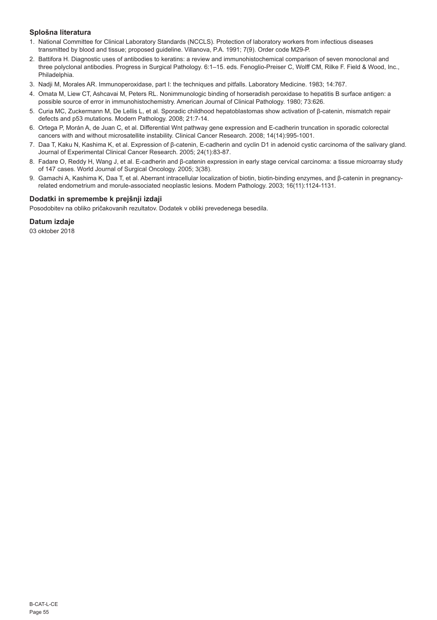# **Splošna literatura**

- 1. National Committee for Clinical Laboratory Standards (NCCLS). Protection of laboratory workers from infectious diseases transmitted by blood and tissue; proposed guideline. Villanova, P.A. 1991; 7(9). Order code M29-P.
- 2. Battifora H. Diagnostic uses of antibodies to keratins: a review and immunohistochemical comparison of seven monoclonal and three polyclonal antibodies. Progress in Surgical Pathology. 6:1–15. eds. Fenoglio-Preiser C, Wolff CM, Rilke F. Field & Wood, Inc., Philadelphia.
- 3. Nadji M, Morales AR. Immunoperoxidase, part I: the techniques and pitfalls. Laboratory Medicine. 1983; 14:767.
- 4. Omata M, Liew CT, Ashcavai M, Peters RL. Nonimmunologic binding of horseradish peroxidase to hepatitis B surface antigen: a possible source of error in immunohistochemistry. American Journal of Clinical Pathology. 1980; 73:626.
- 5. Curia MC, Zuckermann M, De Lellis L, et al. Sporadic childhood hepatoblastomas show activation of β-catenin, mismatch repair defects and p53 mutations. Modern Pathology. 2008; 21:7-14.
- 6. Ortega P, Morán A, de Juan C, et al. Differential Wnt pathway gene expression and E-cadherin truncation in sporadic colorectal cancers with and without microsatellite instability. Clinical Cancer Research. 2008; 14(14):995-1001.
- 7. Daa T, Kaku N, Kashima K, et al. Expression of β-catenin, E-cadherin and cyclin D1 in adenoid cystic carcinoma of the salivary gland. Journal of Experimental Clinical Cancer Research. 2005; 24(1):83-87.
- 8. Fadare O, Reddy H, Wang J, et al. E-cadherin and β-catenin expression in early stage cervical carcinoma: a tissue microarray study of 147 cases. World Journal of Surgical Oncology. 2005; 3(38).
- 9. Gamachi A, Kashima K, Daa T, et al. Aberrant intracellular localization of biotin, biotin-binding enzymes, and β-catenin in pregnancyrelated endometrium and morule-associated neoplastic lesions. Modern Pathology. 2003; 16(11):1124-1131.

# **Dodatki in spremembe k prejšnji izdaji**

Posodobitev na obliko pričakovanih rezultatov. Dodatek v obliki prevedenega besedila.

# **Datum izdaje**

03 oktober 2018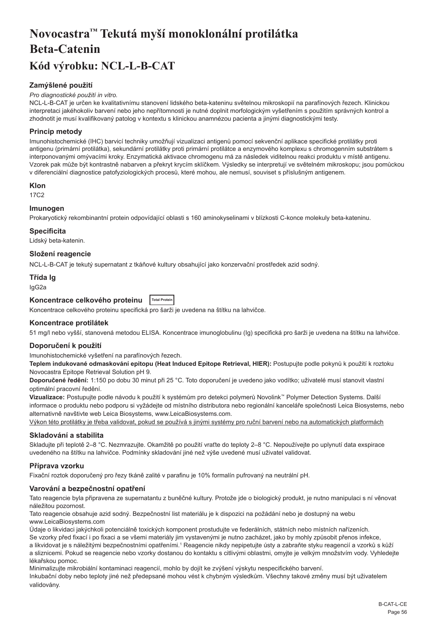# <span id="page-56-0"></span>**Novocastra™ Tekutá myší monoklonální protilátka Beta-Catenin Kód výrobku: NCL-L-B-CAT**

# **Zamýšlené použití**

#### *Pro diagnostické použití in vitro.*

NCL-L-B-CAT je určen ke kvalitativnímu stanovení lidského beta-kateninu světelnou mikroskopií na parafínových řezech. Klinickou interpretaci jakéhokoliv barvení nebo jeho nepřítomnosti je nutné doplnit morfologickým vyšetřením s použitím správných kontrol a zhodnotit je musí kvalifikovaný patolog v kontextu s klinickou anamnézou pacienta a jinými diagnostickými testy.

# **Princip metody**

Imunohistochemické (IHC) barvicí techniky umožňují vizualizaci antigenů pomocí sekvenční aplikace specifické protilátky proti antigenu (primární protilátka), sekundární protilátky proti primární protilátce a enzymového komplexu s chromogenním substrátem s interponovanými omývacími kroky. Enzymatická aktivace chromogenu má za následek viditelnou reakci produktu v místě antigenu. Vzorek pak může být kontrastně nabarven a překryt krycím sklíčkem. Výsledky se interpretují ve světelném mikroskopu; jsou pomůckou v diferenciální diagnostice patofyziologických procesů, které mohou, ale nemusí, souviset s příslušným antigenem.

### **Klon**

17C2

# **Imunogen**

Prokaryotický rekombinantní protein odpovídající oblasti s 160 aminokyselinami v blízkosti C-konce molekuly beta-kateninu.

### **Specificita**

Lidský beta-katenin.

# **Složení reagencie**

NCL-L-B-CAT je tekutý supernatant z tkáňové kultury obsahující jako konzervační prostředek azid sodný.

# **Třída Ig**

IgG2a

# **Koncentrace celkového proteinu Total Protein**

Koncentrace celkového proteinu specifická pro šarži je uvedena na štítku na lahvičce.

# **Koncentrace protilátek**

51 mg/l nebo vyšší, stanovená metodou ELISA. Koncentrace imunoglobulinu (Ig) specifická pro šarži je uvedena na štítku na lahvičce.

#### **Doporučení k použití**

Imunohistochemické vyšetření na parafínových řezech.

**Teplem indukované odmaskování epitopu (Heat Induced Epitope Retrieval, HIER):** Postupujte podle pokynů k použití k roztoku Novocastra Epitope Retrieval Solution pH 9.

**Doporučené ředění:** 1:150 po dobu 30 minut při 25 °C. Toto doporučení je uvedeno jako vodítko; uživatelé musí stanovit vlastní optimální pracovní ředění.

**Vizualizace:** Postupujte podle návodu k použití k systémům pro detekci polymerů Novolink™ Polymer Detection Systems. Další informace o produktu nebo podporu si vyžádejte od místního distributora nebo regionální kanceláře společnosti Leica Biosystems, nebo alternativně navštivte web Leica Biosystems, www.LeicaBiosystems.com.

Výkon této protilátky je třeba validovat, pokud se používá s jinými systémy pro ruční barvení nebo na automatických platformách

# **Skladování a stabilita**

Skladujte při teplotě 2–8 °C. Nezmrazujte. Okamžitě po použití vraťte do teploty 2–8 °C. Nepoužívejte po uplynutí data exspirace uvedeného na štítku na lahvičce. Podmínky skladování jiné než výše uvedené musí uživatel validovat.

# **Příprava vzorku**

Fixační roztok doporučený pro řezy tkáně zalité v parafinu je 10% formalín pufrovaný na neutrální pH.

#### **Varování a bezpečnostní opatření**

Tato reagencie byla připravena ze supernatantu z buněčné kultury. Protože jde o biologický produkt, je nutno manipulaci s ní věnovat náležitou pozornost.

Tato reagencie obsahuje azid sodný. Bezpečnostní list materiálu je k dispozici na požádání nebo je dostupný na webu www.LeicaBiosystems.com

Údaje o likvidaci jakýchkoli potenciálně toxických komponent prostudujte ve federálních, státních nebo místních nařízeních. Se vzorky před fixací i po fixaci a se všemi materiály jim vystavenými je nutno zacházet, jako by mohly způsobit přenos infekce,

a likvidovat je s náležitými bezpečnostními opatřeními.<sup>1</sup> Reagencie nikdy nepipetujte ústy a zabraňte styku reagencií a vzorků s kůží a sliznicemi. Pokud se reagencie nebo vzorky dostanou do kontaktu s citlivými oblastmi, omyjte je velkým množstvím vody. Vyhledejte lékařskou pomoc.

Minimalizujte mikrobiální kontaminaci reagencií, mohlo by dojít ke zvýšení výskytu nespecifického barvení.

Inkubační doby nebo teploty jiné než předepsané mohou vést k chybným výsledkům. Všechny takové změny musí být uživatelem validovány.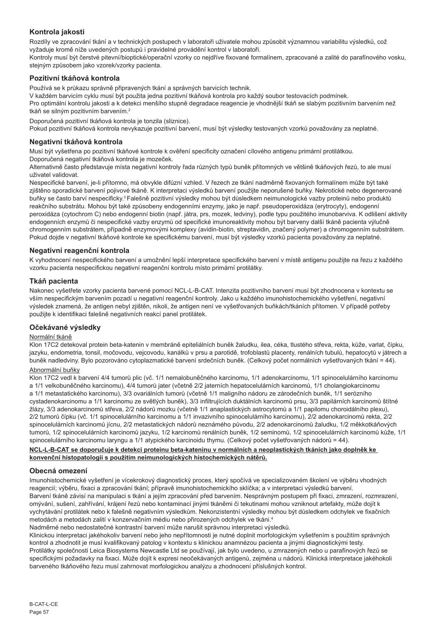# **Kontrola jakosti**

Rozdíly ve zpracování tkání a v technických postupech v laboratoři uživatele mohou způsobit významnou variabilitu výsledků, což vyžaduje kromě níže uvedených postupů i pravidelné provádění kontrol v laboratoři.

Kontroly musí být čerstvé pitevní/bioptické/operační vzorky co nejdříve fixované formalínem, zpracované a zalité do parafínového vosku, stejným způsobem jako vzorek/vzorky pacienta.

# **Pozitivní tkáňová kontrola**

Používá se k průkazu správně připravených tkání a správných barvicích technik.

V každém barvicím cyklu musí být použita jedna pozitivní tkáňová kontrola pro každý soubor testovacích podmínek. Pro optimální kontrolu jakosti a k detekci menšího stupně degradace reagencie je vhodnější tkáň se slabým pozitivním barvením než

tkáň se silným pozitivním barvením.<sup>2</sup>

Doporučená pozitivní tkáňová kontrola je tonzila (sliznice).

Pokud pozitivní tkáňová kontrola nevykazuje pozitivní barvení, musí být výsledky testovaných vzorků považovány za neplatné.

# **Negativní tkáňová kontrola**

Musí být vyšetřena po pozitivní tkáňové kontrole k ověření specificity označení cílového antigenu primární protilátkou. Doporučená negativní tkáňová kontrola je mozeček.

Alternativně často představuje místa negativní kontroly řada různých typů buněk přítomných ve většině tkáňových řezů, to ale musí uživatel validovat.

Nespecifické barvení, je-li přítomno, má obvykle difúzní vzhled. V řezech ze tkání nadměrně fixovaných formalínem může být také zjištěno sporadické barvení pojivové tkáně. K interpretaci výsledků barvení použijte neporušené buňky. Nekrotické nebo degenerované buňky se často barví nespecificky.3 Falešně pozitivní výsledky mohou být důsledkem neimunologické vazby proteinů nebo produktů reakčního substrátu. Mohou být také způsobeny endogenními enzymy, jako je např. pseudoperoxidáza (erytrocyty), endogenní peroxidáza (cytochrom C) nebo endogenní biotin (např. játra, prs, mozek, ledviny), podle typu použitého imunobarviva. K odlišení aktivity endogenních enzymů či nespecifické vazby enzymů od specifické imunoreaktivity mohou být barveny další tkáně pacienta výlučně chromogenním substrátem, případně enzymovými komplexy (avidin-biotin, streptavidin, značený polymer) a chromogenním substrátem. Pokud dojde v negativní tkáňové kontrole ke specifickému barvení, musí být výsledky vzorků pacienta považovány za neplatné.

# **Negativní reagenční kontrola**

K vyhodnocení nespecifického barvení a umožnění lepší interpretace specifického barvení v místě antigenu použijte na řezu z každého vzorku pacienta nespecifickou negativní reagenční kontrolu místo primární protilátky.

# **Tkáň pacienta**

Nakonec vyšetřete vzorky pacienta barvené pomocí NCL-L-B-CAT. Intenzita pozitivního barvení musí být zhodnocena v kontextu se vším nespecifickým barvením pozadí u negativní reagenční kontroly. Jako u každého imunohistochemického vyšetření, negativní výsledek znamená, že antigen nebyl zjištěn, nikoli, že antigen není ve vyšetřovaných buňkách/tkáních přítomen. V případě potřeby použijte k identifikaci falešně negativních reakcí panel protilátek.

# **Očekávané výsledky**

# Normální tkáně

Klon 17C2 detekoval protein beta-katenin v membráně epiteliálních buněk žaludku, ilea, céka, tlustého střeva, rekta, kůže, varlat, čípku, jazyku, endometria, tonsil, močovodu, vejcovodu, kanálků v prsu a parotidě, trofoblastů placenty, renálních tubulů, hepatocytů v játrech a buněk nadledviny. Bylo pozorováno cytoplazmatické barvení srdečních buněk. (Celkový počet normálních vyšetřovaných tkání = 44).

# Abnormální buňky

Klon 17C2 vedl k barvení 4/4 tumorů plic (vč. 1/1 nemalobuněčného karcinomu, 1/1 adenokarcinomu, 1/1 spinocelulárního karcinomu a 1/1 velkobuněčného karcinomu), 4/4 tumorů jater (včetně 2/2 jaterních hepatocelulárních karcinomů, 1/1 cholangiokarcinomu a 1/1 metastatického karcinomu), 3/3 ovariálních tumorů (včetně 1/1 maligního nádoru ze zárodečních buněk, 1/1 serózního cystadenokarcinomu a 1/1 karcinomu ze světlých buněk), 3/3 infiltrujících duktálních karcinomů prsu, 3/3 papilárních karcinomů štítné žlázy, 3/3 adenokarcinomů střeva, 2/2 nádorů mozku (včetně 1/1 anaplastických astrocytomů a 1/1 papilomu choroidálního plexu), 2/2 tumorů čípku (vč. 1/1 spinocelulárního karcinomu a 1/1 invazivního spinocelulárního karcinomu), 2/2 adenokarcinomů rekta, 2/2 spinocelulárních karcinomů jícnu, 2/2 metastatických nádorů neznámého původu, 2/2 adenokarcinomů žaludku, 1/2 měkkotkáňových tumorů, 1/2 spinocelulárních karcinomů jazyku, 1/2 karcinomů renálních buněk, 1/2 seminomů, 1/2 spinocelulárních karcinomů kůže, 1/1 spinocelulárního karcinomu laryngu a 1/1 atypického karcinoidu thymu. (Celkový počet vyšetřovaných nádorů = 44).

## **NCL-L-B-CAT se doporučuje k detekci proteinu beta-kateninu v normálních a neoplastických tkáních jako doplněk ke konvenční histopatologii s použitím neimunologických histochemických nátěrů.**

# **Obecná omezení**

Imunohistochemické vyšetření je vícekrokový diagnostický proces, který spočívá ve specializovaném školení ve výběru vhodných reagencií; výběru, fixaci a zpracování tkání; přípravě imunohistochemickího sklíčka; a v interpretaci výsledků barvení. Barvení tkáně závisí na manipulaci s tkání a jejím zpracování před barvením. Nesprávným postupem při fixaci, zmrazení, rozmrazení, omývání, sušení, zahřívání, krájení řezů nebo kontaminací jinými tkáněmi či tekutinami mohou vzniknout artefakty, může dojít k vychytávání protilátek nebo k falešně negativním výsledkům. Nekonzistentní výsledky mohou být důsledkem odchylek ve fixačních metodách a metodách zalití v konzervačním médiu nebo přirozených odchylek ve tkáni.<sup>4</sup>

Nadměrné nebo nedostatečné kontrastní barvení může narušit správnou interpretaci výsledků.

Klinickou interpretaci jakéhokoliv barvení nebo jeho nepřítomnosti je nutné doplnit morfologickým vyšetřením s použitím správných kontrol a zhodnotit je musí kvalifikovaný patolog v kontextu s klinickou anamnézou pacienta a jinými diagnostickými testy. Protilátky společnosti Leica Biosystems Newcastle Ltd se používají, jak bylo uvedeno, u zmrazených nebo u parafínových řezů se specifickými požadavky na fixaci. Může dojít k expresi neočekávaných antigenů, zejména u nádorů. Klinická interpretace jakéhokoli barveného tkáňového řezu musí zahrnovat morfologickou analýzu a zhodnocení příslušných kontrol.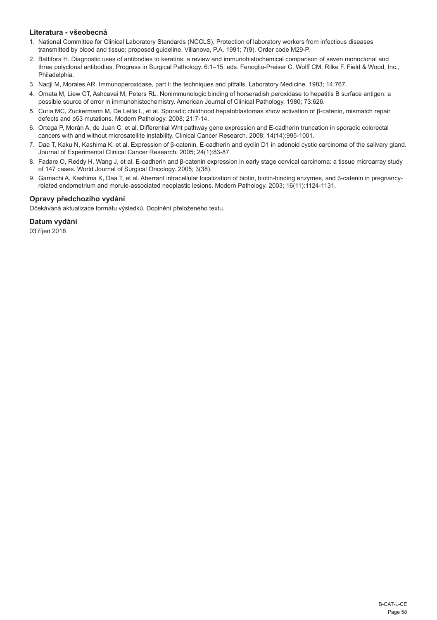# **Literatura - všeobecná**

- 1. National Committee for Clinical Laboratory Standards (NCCLS). Protection of laboratory workers from infectious diseases transmitted by blood and tissue; proposed guideline. Villanova, P.A. 1991; 7(9). Order code M29-P.
- 2. Battifora H. Diagnostic uses of antibodies to keratins: a review and immunohistochemical comparison of seven monoclonal and three polyclonal antibodies. Progress in Surgical Pathology. 6:1–15. eds. Fenoglio-Preiser C, Wolff CM, Rilke F. Field & Wood, Inc., Philadelphia.
- 3. Nadji M, Morales AR. Immunoperoxidase, part I: the techniques and pitfalls. Laboratory Medicine. 1983; 14:767.
- 4. Omata M, Liew CT, Ashcavai M, Peters RL. Nonimmunologic binding of horseradish peroxidase to hepatitis B surface antigen: a possible source of error in immunohistochemistry. American Journal of Clinical Pathology. 1980; 73:626.
- 5. Curia MC, Zuckermann M, De Lellis L, et al. Sporadic childhood hepatoblastomas show activation of β-catenin, mismatch repair defects and p53 mutations. Modern Pathology. 2008; 21:7-14.
- 6. Ortega P, Morán A, de Juan C, et al. Differential Wnt pathway gene expression and E-cadherin truncation in sporadic colorectal cancers with and without microsatellite instability. Clinical Cancer Research. 2008; 14(14):995-1001.
- 7. Daa T, Kaku N, Kashima K, et al. Expression of β-catenin, E-cadherin and cyclin D1 in adenoid cystic carcinoma of the salivary gland. Journal of Experimental Clinical Cancer Research. 2005; 24(1):83-87.
- 8. Fadare O, Reddy H, Wang J, et al. E-cadherin and β-catenin expression in early stage cervical carcinoma: a tissue microarray study of 147 cases. World Journal of Surgical Oncology. 2005; 3(38).
- 9. Gamachi A, Kashima K, Daa T, et al. Aberrant intracellular localization of biotin, biotin-binding enzymes, and β-catenin in pregnancyrelated endometrium and morule-associated neoplastic lesions. Modern Pathology. 2003; 16(11):1124-1131.

# **Opravy předchozího vydání**

Očekávaná aktualizace formátu výsledků. Doplnění přeloženého textu.

# **Datum vydání**

03 říjen 2018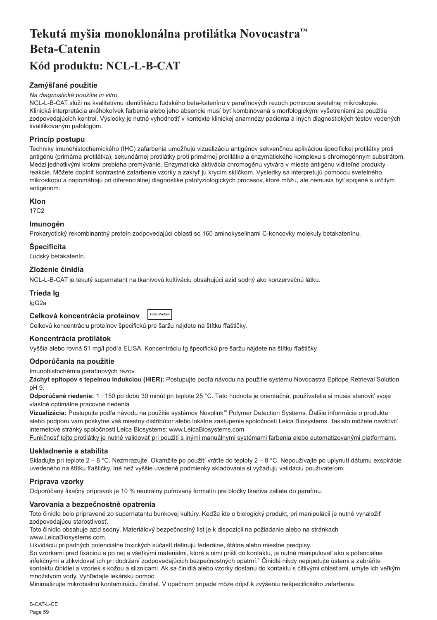# <span id="page-59-0"></span>**Tekutá myšia monoklonálna protilátka Novocastra™ Beta-Catenin Kód produktu: NCL-L-B-CAT**

# **Zamýšľané použitie**

#### *Na diagnostické použitie in vitro.*

NCL-L-B-CAT slúži na kvalitatívnu identifikáciu ľudského beta-katenínu v parafínových rezoch pomocou svetelnej mikroskopie. Klinická interpretácia akéhokoľvek farbenia alebo jeho absencie musí byť kombinovaná s morfologickými vyšetreniami za použitia zodpovedajúcich kontrol. Výsledky je nutné vyhodnotiť v kontexte klinickej anamnézy pacienta a iných diagnostických testov vedených kvalifikovaným patológom.

# **Princíp postupu**

Techniky imunohistochemického (IHC) zafarbenia umožňujú vizualizáciu antigénov sekvenčnou aplikáciou špecifickej protilátky proti antigénu (primárna protilátka), sekundárnej protilátky proti primárnej protilátke a enzymatického komplexu s chromogénnym substrátom. Medzi jednotlivými krokmi prebieha premývanie. Enzymatická aktivácia chromogénu vytvára v mieste antigénu viditeľné produkty reakcie. Môžete doplniť kontrastné zafarbenie vzorky a zakryť ju krycím sklíčkom. Výsledky sa interpretujú pomocou svetelného mikroskopu a napomáhajú pri diferenciálnej diagnostike patofyziologických procesov, ktoré môžu, ale nemusia byť spojené s určitým antigénom.

# **Klon**

17C2

# **Imunogén**

Prokaryotický rekombinantný proteín zodpovedajúci oblasti so 160 aminokyselinami C-koncovky molekuly betakatenínu.

# **Špecificita**

Ľudský betakatenín.

# **Zloženie činidla**

NCL-L-B-CAT je tekutý supernatant na tkanivovú kultiváciu obsahujúci azid sodný ako konzervačnú látku.

### **Trieda Ig**

IgG2a

#### **Celková koncentrácia proteínov Total Protei**

Celkovú koncentráciu proteínov špecifickú pre šaržu nájdete na štítku fľaštičky.

# **Koncentrácia protilátok**

Vyššia alebo rovná 51 mg/l podľa ELISA. Koncentráciu Ig špecifickú pre šaržu nájdete na štítku fľaštičky.

#### **Odporúčania na použitie**

Imunohistochémia parafínových rezov.

**Záchyt epitopov s tepelnou indukciou (HIER):** Postupujte podľa návodu na použitie systému Novocastra Epitope Retrieval Solution pH 9.

**Odporúčané riedenie:** 1 : 150 po dobu 30 minút pri teplote 25 °C. Táto hodnota je orientačná, používatelia si musia stanoviť svoje vlastné optimálne pracovné riedenia.

**Vizualizácia:** Postupujte podľa návodu na použitie systémov Novolink™ Polymer Detection Systems. Ďalšie informácie o produkte alebo podporu vám poskytne váš miestny distribútor alebo lokálne zastúpenie spoločnosti Leica Biosystems. Takisto môžete navštíviť internetové stránky spoločnosti Leica Biosystems: www.LeicaBiosystems.com

Funkčnosť tejto protilátky je nutné validovať pri použití s inými manuálnymi systémami farbenia alebo automatizovanými platformami.

# **Uskladnenie a stabilita**

Skladujte pri teplote 2 – 8 °C. Nezmrazujte. Okamžite po použití vráťte do teploty 2 – 8 °C. Nepoužívajte po uplynutí dátumu exspirácie uvedeného na štítku fľaštičky. Iné než vyššie uvedené podmienky skladovania si vyžadujú validáciu používateľom.

# **Príprava vzorky**

Odporúčaný fixačný prípravok je 10 % neutrálny pufrovaný formalín pre bločky tkaniva zaliate do parafínu.

# **Varovania a bezpečnostné opatrenia**

Toto činidlo bolo pripravené zo supernatantu bunkovej kultúry. Keďže ide o biologický produkt, pri manipulácii je nutné vynaložiť zodpovedajúcu starostlivosť.

Toto činidlo obsahuje azid sodný. Materiálový bezpečnostný list je k dispozícii na požiadanie alebo na stránkach www.LeicaBiosystems.com.

Likvidáciu prípadných potenciálne toxických súčastí definujú federálne, štátne alebo miestne predpisy.

So vzorkami pred fixáciou a po nej a všetkými materiálmi, ktoré s nimi prišli do kontaktu, je nutné manipulovať ako s potenciálne infekčnými a zlikvidovať ich pri dodržaní zodpovedajúcich bezpečnostných opatrní.<sup>1</sup> Činidlá nikdy nepipetujte ústami a zabráňte kontaktu činidiel a vzoriek s kožou a sliznicami. Ak sa činidlá alebo vzorky dostanú do kontaktu s citlivými oblasťami, umyte ich veľkým množstvom vody. Vyhľadajte lekársku pomoc.

Minimalizujte mikrobiálnu kontamináciu činidiel. V opačnom prípade môže dôjsť k zvýšeniu nešpecifického zafarbenia.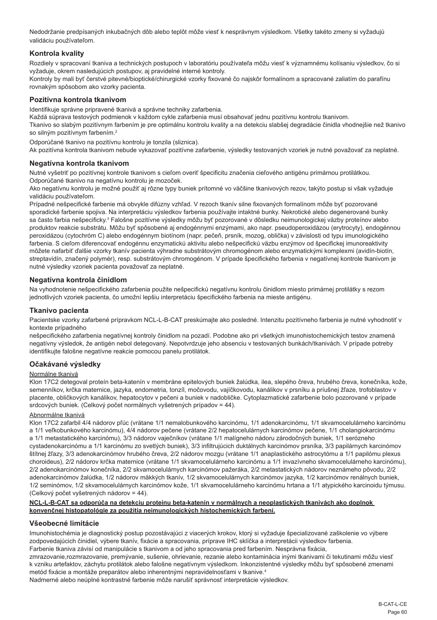Nedodržanie predpísaných inkubačných dôb alebo teplôt môže viesť k nesprávnym výsledkom. Všetky takéto zmeny si vyžadujú validáciu používateľom.

# **Kontrola kvality**

Rozdiely v spracovaní tkaniva a technických postupoch v laboratóriu používateľa môžu viesť k významnému kolísaniu výsledkov, čo si vyžaduje, okrem nasledujúcich postupov, aj pravidelné interné kontroly.

Kontroly by mali byť čerstvé pitevné/bioptické/chirurgické vzorky fixované čo najskôr formalínom a spracované zaliatím do parafínu rovnakým spôsobom ako vzorky pacienta.

# **Pozitívna kontrola tkanivom**

Identifikuje správne pripravené tkanivá a správne techniky zafarbenia.

Každá súprava testových podmienok v každom cykle zafarbenia musí obsahovať jednu pozitívnu kontrolu tkanivom.

Tkanivo so slabým pozitívnym farbením je pre optimálnu kontrolu kvality a na detekciu slabšej degradácie činidla vhodnejšie než tkanivo so silným pozitívnym farbením.<sup>2</sup>

Odporúčané tkanivo na pozitívnu kontrolu je tonzila (sliznica).

Ak pozitívna kontrola tkanivom nebude vykazovať pozitívne zafarbenie, výsledky testovaných vzoriek je nutné považovať za neplatné.

# **Negatívna kontrola tkanivom**

Nutné vyšetriť po pozitívnej kontrole tkanivom s cieľom overiť špecificitu značenia cieľového antigénu primárnou protilátkou. Odporúčané tkanivo na negatívnu kontrolu je mozoček.

Ako negatívnu kontrolu je možné použiť aj rôzne typy buniek prítomné vo väčšine tkanivových rezov, takýto postup si však vyžaduje validáciu používateľom.

Prípadné nešpecifické farbenie má obvykle difúzny vzhľad. V rezoch tkanív silne fixovaných formalínom môže byť pozorované sporadické farbenie spojiva. Na interpretáciu výsledkov farbenia používajte intaktné bunky. Nekrotické alebo degenerované bunky sa často farbia nešpecificky.<sup>3</sup> Falošne pozitívne výsledky môžu byť pozorované v dôsledku neimunologickej väzby proteínov alebo produktov reakcie substrátu. Môžu byť spôsobené aj endogénnymi enzýmami, ako napr. pseudoperoxidázou (erytrocyty), endogénnou peroxidázou (cytochróm C) alebo endogénnym biotínom (napr. pečeň, prsník, mozog, oblička) v závislosti od typu imunologického farbenia. S cieľom diferencovať endogénnu enzymatickú aktivitu alebo nešpecifickú väzbu enzýmov od špecifickej imunoreaktivity môžete nafarbiť ďalšie vzorky tkanív pacienta výhradne substrátovým chromogénom alebo enzymatickými komplexmi (avidín-biotín, streptavidín, značený polymér), resp. substrátovým chromogénom. V prípade špecifického farbenia v negatívnej kontrole tkanivom je nutné výsledky vzoriek pacienta považovať za neplatné.

### **Negatívna kontrola činidlom**

Na vyhodnotenie nešpecifického zafarbenia použite nešpecifickú negatívnu kontrolu činidlom miesto primárnej protilátky s rezom jednotlivých vzoriek pacienta, čo umožní lepšiu interpretáciu špecifického farbenia na mieste antigénu.

#### **Tkanivo pacienta**

Pacientske vzorky zafarbené prípravkom NCL-L-B-CAT preskúmajte ako posledné. Intenzitu pozitívneho farbenia je nutné vyhodnotiť v kontexte prípadného

nešpecifického zafarbenia negatívnej kontroly činidlom na pozadí. Podobne ako pri všetkých imunohistochemických testov znamená negatívny výsledok, že antigén nebol detegovaný. Nepotvrdzuje jeho absenciu v testovaných bunkách/tkanivách. V prípade potreby identifikujte falošne negatívne reakcie pomocou panelu protilátok.

# **Očakávané výsledky**

#### Normálne tkanivá

Klon 17C2 detegoval proteín beta-katenín v membráne epitelových buniek žalúdka, ilea, slepého čreva, hrubého čreva, konečníka, kože, semenníkov, krčka maternice, jazyka, endometria, tonzíl, močovodu, vajíčkovodu, kanálikov v prsníku a príušnej žľaze, trofoblastov v placente, obličkových kanálikov, hepatocytov v pečeni a buniek v nadobličke. Cytoplazmatické zafarbenie bolo pozorované v prípade srdcových buniek. (Celkový počet normálnych vyšetrených prípadov = 44).

#### Abnormálne tkanivá

Klon 17C2 zafarbil 4/4 nádorov pľúc (vrátane 1/1 nemalobunkového karcinómu, 1/1 adenokarcinómu, 1/1 skvamocelulárneho karcinómu a 1/1 veľkobunkového karcinómu), 4/4 nádorov pečene (vrátane 2/2 hepatocelulárnych karcinómov pečene, 1/1 cholangiokarcinómu a 1/1 metastatického karcinómu), 3/3 nádorov vaječníkov (vrátane 1/1 malígneho nádoru zárodočných buniek, 1/1 serózneho cystadenokarcinómu a 1/1 karcinómu zo svetlých buniek), 3/3 infiltrujúcich duktálnych karcinómov prsníka, 3/3 papilárnych karcinómov štítnej žľazy, 3/3 adenokarcinómov hrubého čreva, 2/2 nádorov mozgu (vrátane 1/1 anaplastického astrocytómu a 1/1 papilómu plexus choroideus), 2/2 nádorov krčka maternice (vrátane 1/1 skvamocelulárneho karcinómu a 1/1 invazívneho skvamocelulárneho karcinómu), 2/2 adenokarcinómov konečníka, 2/2 skvamocelulárnych karcinómov pažeráka, 2/2 metastatických nádorov neznámeho pôvodu, 2/2 adenokarcinómov žalúdka, 1/2 nádorov mäkkých tkanív, 1/2 skvamocelulárnych karcinómov jazyka, 1/2 karcinómov renálnych buniek, 1/2 seminómov, 1/2 skvamocelulárnych karcinómov kože, 1/1 skvamocelulárneho karcinómu hrtana a 1/1 atypického karcinoidu týmusu. (Celkový počet vyšetrených nádorov = 44).

#### **NCL-L-B-CAT sa odporúča na detekciu proteínu beta-katenín v normálnych a neoplastických tkanivách ako doplnok konvenčnej histopatológie za použitia neimunologických histochemických farbení.**

#### **Všeobecné limitácie**

Imunohistochémia je diagnostický postup pozostávajúci z viacerých krokov, ktorý si vyžaduje špecializované zaškolenie vo výbere zodpovedajúcich činidiel, výbere tkanív, fixácie a spracovania, príprave IHC sklíčka a interpretácii výsledkov farbenia. Farbenie tkaniva závisí od manipulácie s tkanivom a od jeho spracovania pred farbením. Nesprávna fixácia,

zmrazovanie, rozmrazovanie, premývanie, sušenie, ohrievanie, rezanie alebo kontaminácia inými tkanivami či tekutinami môžu viesť k vzniku artefaktov, záchytu protilátok alebo falošne negatívnym výsledkom. Inkonzistentné výsledky môžu byť spôsobené zmenami metód fixácie a montáže preparátov alebo inherentnými nepravidelnosťami v tkanive.<sup>4</sup>

Nadmerné alebo neúplné kontrastné farbenie môže narušiť správnosť interpretácie výsledkov.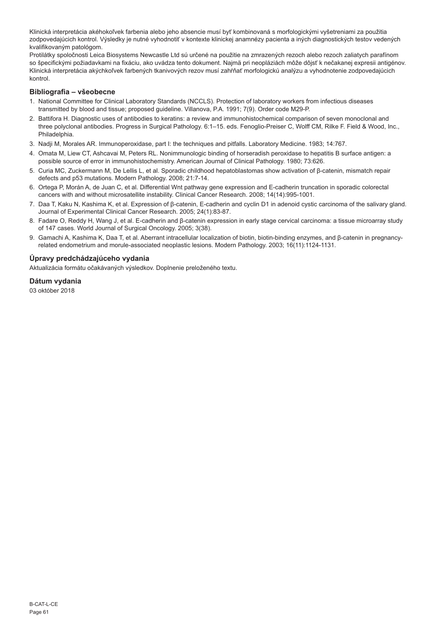Klinická interpretácia akéhokoľvek farbenia alebo jeho absencie musí byť kombinovaná s morfologickými vyšetreniami za použitia zodpovedajúcich kontrol. Výsledky je nutné vyhodnotiť v kontexte klinickej anamnézy pacienta a iných diagnostických testov vedených kvalifikovaným patológom.

Protilátky spoločnosti Leica Biosystems Newcastle Ltd sú určené na použitie na zmrazených rezoch alebo rezoch zaliatych parafínom so špecifickými požiadavkami na fixáciu, ako uvádza tento dokument. Najmä pri neopláziách môže dôjsť k nečakanej expresii antigénov. Klinická interpretácia akýchkoľvek farbených tkanivových rezov musí zahŕňať morfologickú analýzu a vyhodnotenie zodpovedajúcich kontrol.

# **Bibliografia – všeobecne**

- 1. National Committee for Clinical Laboratory Standards (NCCLS). Protection of laboratory workers from infectious diseases transmitted by blood and tissue; proposed guideline. Villanova, P.A. 1991; 7(9). Order code M29-P.
- 2. Battifora H. Diagnostic uses of antibodies to keratins: a review and immunohistochemical comparison of seven monoclonal and three polyclonal antibodies. Progress in Surgical Pathology. 6:1–15. eds. Fenoglio-Preiser C, Wolff CM, Rilke F. Field & Wood, Inc., **Philadelphia**
- 3. Nadji M, Morales AR. Immunoperoxidase, part I: the techniques and pitfalls. Laboratory Medicine. 1983; 14:767.
- 4. Omata M, Liew CT, Ashcavai M, Peters RL. Nonimmunologic binding of horseradish peroxidase to hepatitis B surface antigen: a possible source of error in immunohistochemistry. American Journal of Clinical Pathology. 1980; 73:626.
- 5. Curia MC, Zuckermann M, De Lellis L, et al. Sporadic childhood hepatoblastomas show activation of β-catenin, mismatch repair defects and p53 mutations. Modern Pathology. 2008; 21:7-14.
- 6. Ortega P, Morán A, de Juan C, et al. Differential Wnt pathway gene expression and E-cadherin truncation in sporadic colorectal cancers with and without microsatellite instability. Clinical Cancer Research. 2008; 14(14):995-1001.
- 7. Daa T, Kaku N, Kashima K, et al. Expression of β-catenin, E-cadherin and cyclin D1 in adenoid cystic carcinoma of the salivary gland. Journal of Experimental Clinical Cancer Research. 2005; 24(1):83-87.
- 8. Fadare O, Reddy H, Wang J, et al. E-cadherin and β-catenin expression in early stage cervical carcinoma: a tissue microarray study of 147 cases. World Journal of Surgical Oncology. 2005; 3(38).
- 9. Gamachi A, Kashima K, Daa T, et al. Aberrant intracellular localization of biotin, biotin-binding enzymes, and β-catenin in pregnancyrelated endometrium and morule-associated neoplastic lesions. Modern Pathology. 2003; 16(11):1124-1131.

# **Úpravy predchádzajúceho vydania**

Aktualizácia formátu očakávaných výsledkov. Doplnenie preloženého textu.

# **Dátum vydania**

03 október 2018